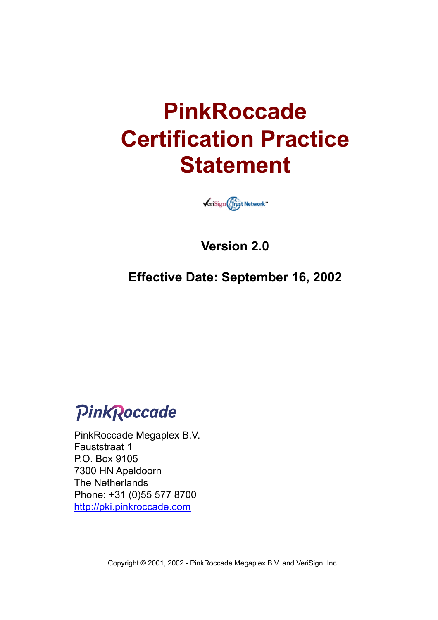# **PinkRoccade Certification Practice Statement**



**Version 2.0** 

**Effective Date: September 16, 2002** 

PinkRoccade

PinkRoccade Megaplex B.V. Fauststraat 1 P.O. Box 9105 7300 HN Apeldoorn The Netherlands Phone: +31 (0)55 577 8700 <http://pki.pinkroccade.com>

Copyright © 2001, 2002 - PinkRoccade Megaplex B.V. and VeriSign, Inc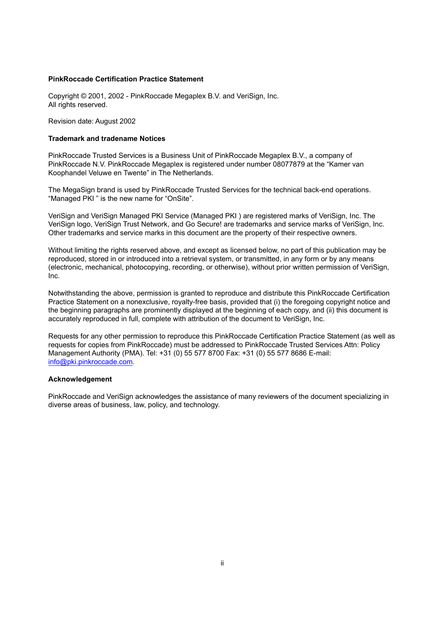#### **PinkRoccade Certification Practice Statement**

Copyright © 2001, 2002 - PinkRoccade Megaplex B.V. and VeriSign, Inc. All rights reserved.

Revision date: August 2002

#### **Trademark and tradename Notices**

PinkRoccade Trusted Services is a Business Unit of PinkRoccade Megaplex B.V., a company of PinkRoccade N.V. PinkRoccade Megaplex is registered under number 08077879 at the "Kamer van Koophandel Veluwe en Twente" in The Netherlands.

The MegaSign brand is used by PinkRoccade Trusted Services for the technical back-end operations. "Managed PKI " is the new name for "OnSite".

VeriSign and VeriSign Managed PKI Service (Managed PKI ) are registered marks of VeriSign, Inc. The VeriSign logo, VeriSign Trust Network, and Go Secure! are trademarks and service marks of VeriSign, Inc. Other trademarks and service marks in this document are the property of their respective owners.

Without limiting the rights reserved above, and except as licensed below, no part of this publication may be reproduced, stored in or introduced into a retrieval system, or transmitted, in any form or by any means (electronic, mechanical, photocopying, recording, or otherwise), without prior written permission of VeriSign, Inc.

Notwithstanding the above, permission is granted to reproduce and distribute this PinkRoccade Certification Practice Statement on a nonexclusive, royalty-free basis, provided that (i) the foregoing copyright notice and the beginning paragraphs are prominently displayed at the beginning of each copy, and (ii) this document is accurately reproduced in full, complete with attribution of the document to VeriSign, Inc.

Requests for any other permission to reproduce this PinkRoccade Certification Practice Statement (as well as requests for copies from PinkRoccade) must be addressed to PinkRoccade Trusted Services Attn: Policy Management Authority (PMA). Tel: +31 (0) 55 577 8700 Fax: +31 (0) 55 577 8686 E-mail: info@pki.pinkroccade.com.

#### **Acknowledgement**

PinkRoccade and VeriSign acknowledges the assistance of many reviewers of the document specializing in diverse areas of business, law, policy, and technology.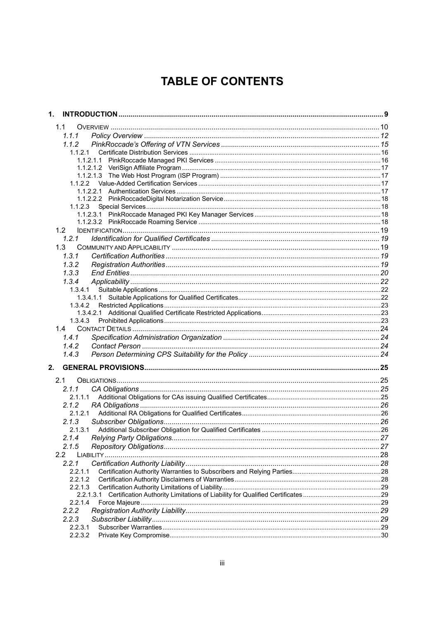# **TABLE OF CONTENTS**

| 1.        |  |
|-----------|--|
| 1.1       |  |
| 1.1.1     |  |
| 1.1.2     |  |
| 1.1.2.1   |  |
|           |  |
|           |  |
|           |  |
|           |  |
|           |  |
|           |  |
|           |  |
|           |  |
|           |  |
| 1.2       |  |
| 1.2.1     |  |
| 1.3       |  |
| 1.3.1     |  |
| 1.3.2     |  |
| 1.3.3     |  |
| 1.3.4     |  |
|           |  |
|           |  |
| 1.3.4.2   |  |
|           |  |
|           |  |
| 1.4       |  |
| 1.4.1     |  |
| 1.4.2     |  |
| 1.4.3     |  |
|           |  |
| 2.        |  |
| 2.1       |  |
| 2.1.1     |  |
| 2.1.1.1   |  |
| 2.1.2     |  |
| 2.1.2.1   |  |
| 2.1.3     |  |
| 2.1.3.1   |  |
|           |  |
| 2.1.5     |  |
| 2.2       |  |
| 2.2.1     |  |
| 2.2.1.1   |  |
| 2.2.1.2   |  |
| 2.2.1.3   |  |
| 2.2.1.3.1 |  |
| 2.2.1.4   |  |
| 2.2.2     |  |
| 2.2.3     |  |
| 2.2.3.1   |  |
| 2.2.3.2   |  |
|           |  |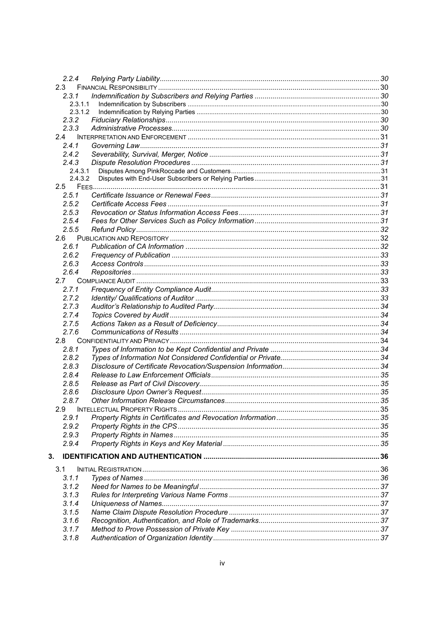| 2.2.4   |  |
|---------|--|
| 2.3     |  |
| 2.3.1   |  |
| 2.3.1.1 |  |
| 2.3.1.2 |  |
| 2.3.2   |  |
| 2.3.3   |  |
| 2.4     |  |
| 2.4.1   |  |
| 2.4.2   |  |
| 2.4.3   |  |
| 2.4.3.1 |  |
| 2.4.3.2 |  |
| 2.5     |  |
| 2.5.1   |  |
| 2.5.2   |  |
| 2.5.3   |  |
| 2.5.4   |  |
| 2.5.5   |  |
|         |  |
| 2.6.1   |  |
| 2.6.2   |  |
| 2.6.3   |  |
| 2.6.4   |  |
| 2.7     |  |
| 2.7.1   |  |
| 2.7.2   |  |
| 2.7.3   |  |
| 2.7.4   |  |
| 2.7.5   |  |
| 2.7.6   |  |
| 2.8     |  |
| 2.8.1   |  |
| 2.8.2   |  |
| 2.8.3   |  |
| 2.8.4   |  |
| 2.8.5   |  |
| 2.8.6   |  |
| 2.8.7   |  |
| 2.9     |  |
| 2.9.1   |  |
| 2.9.2   |  |
| 2.9.3   |  |
| 2.9.4   |  |
|         |  |
| З.      |  |
| 3.1     |  |
| 3.1.1   |  |
| 3.1.2   |  |
| 3.1.3   |  |
| 3.1.4   |  |
| 3.1.5   |  |
| 3.1.6   |  |
| 3.1.7   |  |
| 3.1.8   |  |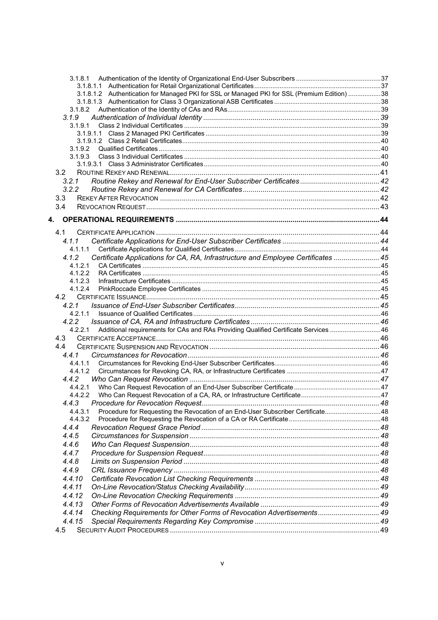| 3.1.8.1.2 Authentication for Managed PKI for SSL or Managed PKI for SSL (Premium Edition) 38    |  |
|-------------------------------------------------------------------------------------------------|--|
|                                                                                                 |  |
|                                                                                                 |  |
| 3.1.9                                                                                           |  |
| 3.1.9.1                                                                                         |  |
| 3.1.9.1.1                                                                                       |  |
|                                                                                                 |  |
| 3.1.9.2                                                                                         |  |
| 3.1.9.3                                                                                         |  |
|                                                                                                 |  |
| 3.2                                                                                             |  |
| 3.2.1                                                                                           |  |
| 3.2.2                                                                                           |  |
| 3.3                                                                                             |  |
| 3.4                                                                                             |  |
| 4.                                                                                              |  |
|                                                                                                 |  |
| 4.1                                                                                             |  |
| 4.1.1                                                                                           |  |
| 4.1.1.1                                                                                         |  |
| Certificate Applications for CA, RA, Infrastructure and Employee Certificates  45<br>4.1.2      |  |
| 4.1.2.1                                                                                         |  |
| 4.1.2.2                                                                                         |  |
| 4.1.2.3                                                                                         |  |
| 4.1.2.4                                                                                         |  |
| 4.2                                                                                             |  |
| 4.2.1                                                                                           |  |
| 4.2.1.1                                                                                         |  |
| 4.2.2                                                                                           |  |
| Additional requirements for CAs and RAs Providing Qualified Certificate Services  46<br>4.2.2.1 |  |
| 4.3                                                                                             |  |
| 4.4                                                                                             |  |
| 4.4.1                                                                                           |  |
| 4.4.1.1                                                                                         |  |
| 4.4.1.2                                                                                         |  |
| 4.4.2                                                                                           |  |
| 4.4.2.1                                                                                         |  |
| 4.4.2.2                                                                                         |  |
| 4.4.3 Procedure for Revocation Request                                                          |  |
| Procedure for Requesting the Revocation of an End-User Subscriber Certificate48<br>4.4.3.1      |  |
| 4.4.3.2                                                                                         |  |
| 4.4.4                                                                                           |  |
| 4.4.5                                                                                           |  |
| 4.4.6                                                                                           |  |
| 4.4.7                                                                                           |  |
| 4.4.8                                                                                           |  |
| 4.4.9                                                                                           |  |
| 4.4.10                                                                                          |  |
| 4.4.11                                                                                          |  |
| 4.4.12                                                                                          |  |
| 4.4.13                                                                                          |  |
| 49. Checking Requirements for Other Forms of Revocation Advertisements 49<br>4.4.14             |  |
| 4.4.15                                                                                          |  |
| 4.5                                                                                             |  |
|                                                                                                 |  |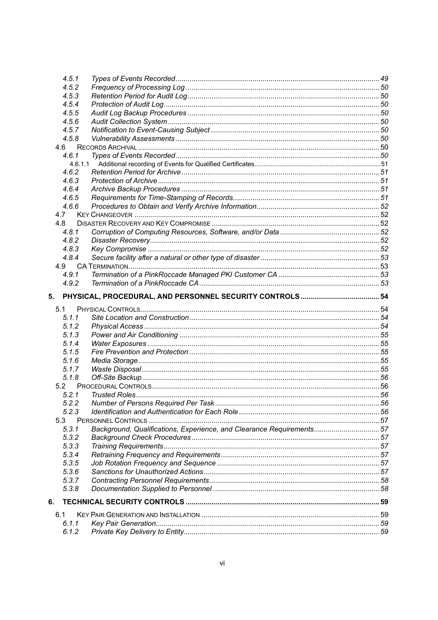|     | 4.5.1   |                                                                      |  |
|-----|---------|----------------------------------------------------------------------|--|
|     | 4.5.2   |                                                                      |  |
|     | 4.5.3   |                                                                      |  |
|     | 4.5.4   |                                                                      |  |
|     | 4.5.5   |                                                                      |  |
|     | 4.5.6   |                                                                      |  |
|     | 4.5.7   |                                                                      |  |
|     | 4.5.8   |                                                                      |  |
|     | 4.6     |                                                                      |  |
|     | 4.6.1   |                                                                      |  |
|     | 4.6.1.1 |                                                                      |  |
|     | 4.6.2   |                                                                      |  |
|     | 4.6.3   |                                                                      |  |
|     | 4.6.4   |                                                                      |  |
|     | 4.6.5   |                                                                      |  |
|     | 4.6.6   |                                                                      |  |
|     | 4.7     |                                                                      |  |
|     | 4.8     |                                                                      |  |
|     | 4.8.1   |                                                                      |  |
|     | 4.8.2   |                                                                      |  |
|     | 4.8.3   |                                                                      |  |
|     | 4.8.4   |                                                                      |  |
|     | 4.9     |                                                                      |  |
|     | 4.9.1   |                                                                      |  |
|     | 4.9.2   |                                                                      |  |
|     |         |                                                                      |  |
| 5.  |         |                                                                      |  |
|     |         |                                                                      |  |
|     |         |                                                                      |  |
|     | 5.1     |                                                                      |  |
|     | 5.1.1   |                                                                      |  |
|     | 5.1.2   |                                                                      |  |
|     | 5.1.3   |                                                                      |  |
|     | 5.1.4   |                                                                      |  |
|     | 5.1.5   |                                                                      |  |
|     | 5.1.6   |                                                                      |  |
|     | 5.1.7   |                                                                      |  |
|     | 5.1.8   |                                                                      |  |
|     |         |                                                                      |  |
|     | 5.2.1   |                                                                      |  |
|     | 5.2.2   |                                                                      |  |
|     | 5.2.3   |                                                                      |  |
|     | 5.3     |                                                                      |  |
|     | 5.3.1   | Background, Qualifications, Experience, and Clearance Requirements57 |  |
|     | 5.3.2   |                                                                      |  |
|     | 5.3.3   |                                                                      |  |
|     | 5.3.4   |                                                                      |  |
|     | 5.3.5   |                                                                      |  |
|     | 5.3.6   |                                                                      |  |
|     | 5.3.7   |                                                                      |  |
|     | 5.3.8   |                                                                      |  |
|     |         |                                                                      |  |
| 6.  |         |                                                                      |  |
| 6.1 |         |                                                                      |  |
|     | 6.1.1   |                                                                      |  |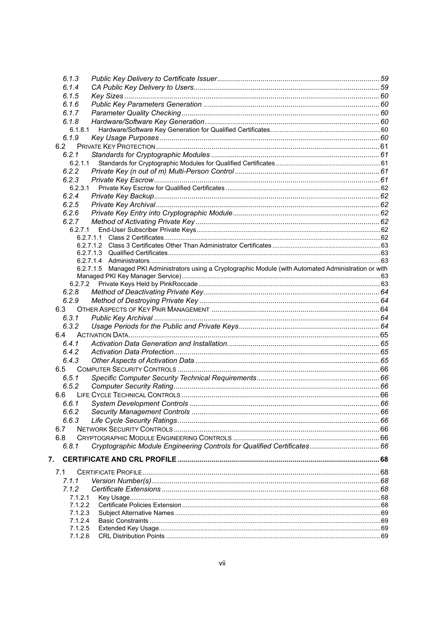|    | 6.1.3              |                                                                                                          |  |
|----|--------------------|----------------------------------------------------------------------------------------------------------|--|
|    | 6.1.4              |                                                                                                          |  |
|    | 6.1.5              |                                                                                                          |  |
|    | 6.1.6              |                                                                                                          |  |
|    | 6.1.7              |                                                                                                          |  |
|    | 6.1.8              |                                                                                                          |  |
|    | 6.1.8.1            |                                                                                                          |  |
|    | 6.1.9              |                                                                                                          |  |
|    | 6.2                |                                                                                                          |  |
|    | 6.2.1              |                                                                                                          |  |
|    | 6.2.1.1            |                                                                                                          |  |
|    | 6.2.2              |                                                                                                          |  |
|    | 6.2.3              |                                                                                                          |  |
|    | 6.2.3.1            |                                                                                                          |  |
|    | 6.2.4              |                                                                                                          |  |
|    | 6.2.5              |                                                                                                          |  |
|    | 6.2.6              |                                                                                                          |  |
|    | 6.2.7              |                                                                                                          |  |
|    | 6.2.7.1            |                                                                                                          |  |
|    |                    |                                                                                                          |  |
|    |                    |                                                                                                          |  |
|    |                    |                                                                                                          |  |
|    |                    |                                                                                                          |  |
|    |                    | 6.2.7.1.5 Managed PKI Administrators using a Cryptographic Module (with Automated Administration or with |  |
|    |                    |                                                                                                          |  |
|    | 6.2.7.2            |                                                                                                          |  |
|    | 6.2.8              |                                                                                                          |  |
|    | 6.2.9              |                                                                                                          |  |
|    | 6.3                |                                                                                                          |  |
|    | 6.3.1              |                                                                                                          |  |
|    | 6.3.2              |                                                                                                          |  |
|    | 6.4                |                                                                                                          |  |
|    | 6.4.1              |                                                                                                          |  |
|    | 6.4.2              |                                                                                                          |  |
|    | 6.4.3              |                                                                                                          |  |
|    | 6.5                |                                                                                                          |  |
|    | 6.5.1              |                                                                                                          |  |
|    | 6.5.2              |                                                                                                          |  |
|    | 6.6                |                                                                                                          |  |
|    | 6.6.1              |                                                                                                          |  |
|    | 6.6.2              |                                                                                                          |  |
|    | 6.6.3              |                                                                                                          |  |
|    | 6.7                |                                                                                                          |  |
|    | 6.8                |                                                                                                          |  |
|    | 6.8.1              | Cryptographic Module Engineering Controls for Qualified Certificates 66                                  |  |
| 7. |                    |                                                                                                          |  |
|    |                    |                                                                                                          |  |
|    | 7.1                |                                                                                                          |  |
|    | 7.1.1              |                                                                                                          |  |
|    | 7.1.2              |                                                                                                          |  |
|    | 7.1.2.1            |                                                                                                          |  |
|    | 7.1.2.2            |                                                                                                          |  |
|    | 7.1.2.3            |                                                                                                          |  |
|    | 7.1.2.4<br>7.1.2.5 |                                                                                                          |  |
|    | 7.1.2.6            |                                                                                                          |  |
|    |                    |                                                                                                          |  |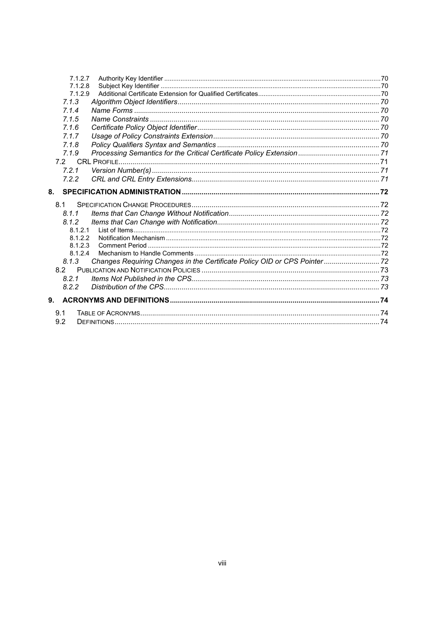| 7.1.2.7                                                                            |  |
|------------------------------------------------------------------------------------|--|
| 7.1.2.8                                                                            |  |
| 7.1.2.9                                                                            |  |
| 7.1.3                                                                              |  |
| 7.1.4                                                                              |  |
| 7.1.5                                                                              |  |
| 7.1.6                                                                              |  |
| 7.1.7                                                                              |  |
| 7.1.8                                                                              |  |
| 7.1.9                                                                              |  |
|                                                                                    |  |
| 7.2.1                                                                              |  |
| 7.2.2                                                                              |  |
| 8.                                                                                 |  |
| 8.1                                                                                |  |
| 8.1.1                                                                              |  |
| 8.1.2                                                                              |  |
| 8.1.2.1                                                                            |  |
| 8.1.2.2                                                                            |  |
| 8.1.2.3                                                                            |  |
| 8.1.2.4                                                                            |  |
| Changes Requiring Changes in the Certificate Policy OID or CPS Pointer 72<br>8.1.3 |  |
| 8.2                                                                                |  |
| 8.2.1                                                                              |  |
| 8.2.2                                                                              |  |
| 9.                                                                                 |  |
| 9.1                                                                                |  |
| 9.2                                                                                |  |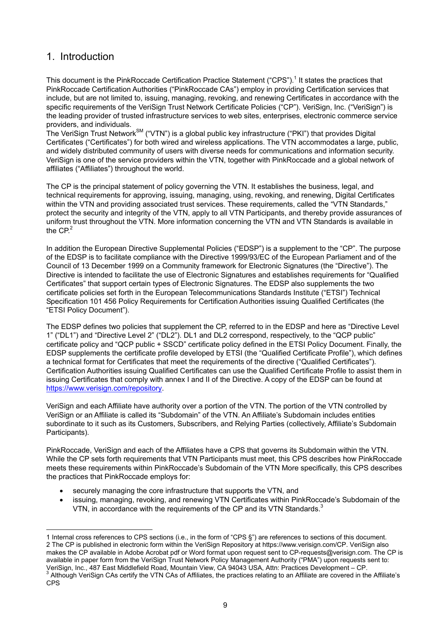## 1. Introduction

l

This document is the PinkRoccade Certification Practice Statement ("CPS").<sup>1</sup> It states the practices that PinkRoccade Certification Authorities ("PinkRoccade CAs") employ in providing Certification services that include, but are not limited to, issuing, managing, revoking, and renewing Certificates in accordance with the specific requirements of the VeriSign Trust Network Certificate Policies ("CP"). VeriSign, Inc. ("VeriSign") is the leading provider of trusted infrastructure services to web sites, enterprises, electronic commerce service providers, and individuals.

.<br>The VeriSign Trust Network<sup>SM</sup> ("VTN") is a global public key infrastructure ("PKI") that provides Digital Certificates ("Certificates") for both wired and wireless applications. The VTN accommodates a large, public, and widely distributed community of users with diverse needs for communications and information security. VeriSign is one of the service providers within the VTN, together with PinkRoccade and a global network of affiliates ("Affiliates") throughout the world.

The CP is the principal statement of policy governing the VTN. It establishes the business, legal, and technical requirements for approving, issuing, managing, using, revoking, and renewing, Digital Certificates within the VTN and providing associated trust services. These requirements, called the "VTN Standards," protect the security and integrity of the VTN, apply to all VTN Participants, and thereby provide assurances of uniform trust throughout the VTN. More information concerning the VTN and VTN Standards is available in the  $CP<sup>2</sup>$ 

In addition the European Directive Supplemental Policies ("EDSP") is a supplement to the "CP". The purpose of the EDSP is to facilitate compliance with the Directive 1999/93/EC of the European Parliament and of the Council of 13 December 1999 on a Community framework for Electronic Signatures (the "Directive"). The Directive is intended to facilitate the use of Electronic Signatures and establishes requirements for "Qualified Certificates" that support certain types of Electronic Signatures. The EDSP also supplements the two certificate policies set forth in the European Telecommunications Standards Institute ("ETSI") Technical Specification 101 456 Policy Requirements for Certification Authorities issuing Qualified Certificates (the "ETSI Policy Document").

The EDSP defines two policies that supplement the CP, referred to in the EDSP and here as "Directive Level 1" ("DL1") and "Directive Level 2" ("DL2"). DL1 and DL2 correspond, respectively, to the "QCP public" certificate policy and "QCP public + SSCD" certificate policy defined in the ETSI Policy Document. Finally, the EDSP supplements the certificate profile developed by ETSI (the "Qualified Certificate Profile"), which defines a technical format for Certificates that meet the requirements of the directive ("Qualified Certificates"). Certification Authorities issuing Qualified Certificates can use the Qualified Certificate Profile to assist them in issuing Certificates that comply with annex I and II of the Directive. A copy of the EDSP can be found at [https://www.verisign.com/repository.](https://www.verisign.com/repository) 

VeriSign and each Affiliate have authority over a portion of the VTN. The portion of the VTN controlled by VeriSign or an Affiliate is called its "Subdomain" of the VTN. An Affiliate's Subdomain includes entities subordinate to it such as its Customers, Subscribers, and Relying Parties (collectively, Affiliate's Subdomain Participants).

PinkRoccade, VeriSign and each of the Affiliates have a CPS that governs its Subdomain within the VTN. While the CP sets forth requirements that VTN Participants must meet, this CPS describes how PinkRoccade meets these requirements within PinkRoccade's Subdomain of the VTN More specifically, this CPS describes the practices that PinkRoccade employs for:

- securely managing the core infrastructure that supports the VTN, and
- issuing, managing, revoking, and renewing VTN Certificates within PinkRoccade's Subdomain of the VTN, in accordance with the requirements of the CP and its VTN Standards. $3$

<sup>1</sup> Internal cross references to CPS sections (i.e., in the form of "CPS §") are references to sections of this document. 2 The CP is published in electronic form within the VeriSign Repository at [https://www.verisign.com/CP.](https://www.verisign.com/CP) VeriSign also makes the CP available in Adobe Acrobat pdf or Word format upon request sent to CP-requests@verisign.com. The CP is available in paper form from the VeriSign Trust Network Policy Management Authority ("PMA") upon requests sent to: VeriSign, Inc., 487 East Middlefield Road, Mountain View, CA 94043 USA, Attn: Practices Development – CP.<br><sup>3</sup> Although VeriSign CAs sertify the VTN CAs of Affiliates, the prestiese relating to an Affiliate are sovered in t

Although VeriSign CAs certify the VTN CAs of Affiliates, the practices relating to an Affiliate are covered in the Affiliate's CPS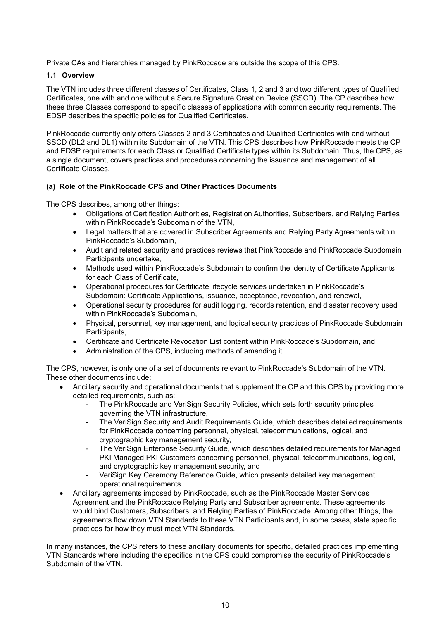Private CAs and hierarchies managed by PinkRoccade are outside the scope of this CPS.

#### **1.1 Overview**

The VTN includes three different classes of Certificates, Class 1, 2 and 3 and two different types of Qualified Certificates, one with and one without a Secure Signature Creation Device (SSCD). The CP describes how these three Classes correspond to specific classes of applications with common security requirements. The EDSP describes the specific policies for Qualified Certificates.

PinkRoccade currently only offers Classes 2 and 3 Certificates and Qualified Certificates with and without SSCD (DL2 and DL1) within its Subdomain of the VTN. This CPS describes how PinkRoccade meets the CP and EDSP requirements for each Class or Qualified Certificate types within its Subdomain. Thus, the CPS, as a single document, covers practices and procedures concerning the issuance and management of all Certificate Classes.

#### **(a) Role of the PinkRoccade CPS and Other Practices Documents**

The CPS describes, among other things:

- Obligations of Certification Authorities, Registration Authorities, Subscribers, and Relying Parties within PinkRoccade's Subdomain of the VTN,
- Legal matters that are covered in Subscriber Agreements and Relying Party Agreements within PinkRoccade's Subdomain,
- Audit and related security and practices reviews that PinkRoccade and PinkRoccade Subdomain Participants undertake,
- Methods used within PinkRoccade's Subdomain to confirm the identity of Certificate Applicants for each Class of Certificate,
- Operational procedures for Certificate lifecycle services undertaken in PinkRoccade's Subdomain: Certificate Applications, issuance, acceptance, revocation, and renewal,
- Operational security procedures for audit logging, records retention, and disaster recovery used within PinkRoccade's Subdomain,
- Physical, personnel, key management, and logical security practices of PinkRoccade Subdomain Participants,
- Certificate and Certificate Revocation List content within PinkRoccade's Subdomain, and
- Administration of the CPS, including methods of amending it.

The CPS, however, is only one of a set of documents relevant to PinkRoccade's Subdomain of the VTN. These other documents include:

- Ancillary security and operational documents that supplement the CP and this CPS by providing more detailed requirements, such as:
	- The PinkRoccade and VeriSign Security Policies, which sets forth security principles governing the VTN infrastructure,
	- The VeriSign Security and Audit Requirements Guide, which describes detailed requirements for PinkRoccade concerning personnel, physical, telecommunications, logical, and cryptographic key management security,
	- The VeriSign Enterprise Security Guide, which describes detailed requirements for Managed PKI Managed PKI Customers concerning personnel, physical, telecommunications, logical, and cryptographic key management security, and
	- VeriSign Key Ceremony Reference Guide, which presents detailed key management operational requirements.
- Ancillary agreements imposed by PinkRoccade, such as the PinkRoccade Master Services Agreement and the PinkRoccade Relying Party and Subscriber agreements. These agreements would bind Customers, Subscribers, and Relying Parties of PinkRoccade. Among other things, the agreements flow down VTN Standards to these VTN Participants and, in some cases, state specific practices for how they must meet VTN Standards.

In many instances, the CPS refers to these ancillary documents for specific, detailed practices implementing VTN Standards where including the specifics in the CPS could compromise the security of PinkRoccade's Subdomain of the VTN.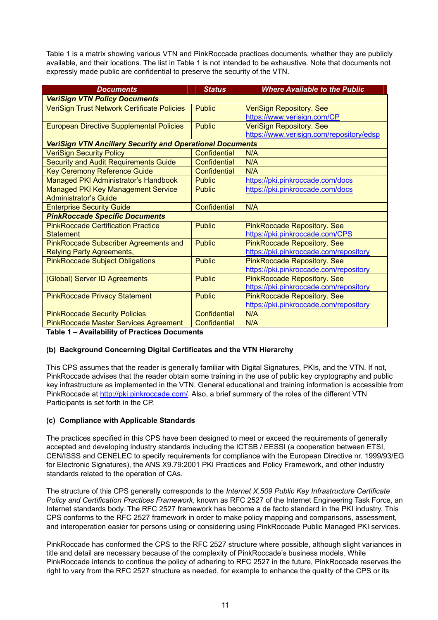Table 1 is a matrix showing various VTN and PinkRoccade practices documents, whether they are publicly available, and their locations. The list in Table 1 is not intended to be exhaustive. Note that documents not expressly made public are confidential to preserve the security of the VTN.

| <b>Documents</b>                                                 | <b>Status</b>       | <b>Where Available to the Public</b>     |  |  |
|------------------------------------------------------------------|---------------------|------------------------------------------|--|--|
| <b>VeriSign VTN Policy Documents</b>                             |                     |                                          |  |  |
| VeriSign Trust Network Certificate Policies                      | <b>Public</b>       | <b>VeriSign Repository. See</b>          |  |  |
|                                                                  |                     | https://www.verisign.com/CP              |  |  |
| <b>European Directive Supplemental Policies</b>                  | <b>Public</b>       | <b>VeriSign Repository. See</b>          |  |  |
|                                                                  |                     | https://www.verisign.com/repository/edsp |  |  |
| <b>VeriSign VTN Ancillary Security and Operational Documents</b> |                     |                                          |  |  |
| <b>VeriSign Security Policy</b>                                  | Confidential        | N/A                                      |  |  |
| <b>Security and Audit Requirements Guide</b>                     | <b>Confidential</b> | N/A                                      |  |  |
| <b>Key Ceremony Reference Guide</b>                              | <b>Confidential</b> | N/A                                      |  |  |
| Managed PKI Administrator's Handbook                             | <b>Public</b>       | https://pki.pinkroccade.com/docs         |  |  |
| <b>Managed PKI Key Management Service</b>                        | <b>Public</b>       | https://pki.pinkroccade.com/docs         |  |  |
| <b>Administrator's Guide</b>                                     |                     |                                          |  |  |
| <b>Enterprise Security Guide</b>                                 | <b>Confidential</b> | N/A                                      |  |  |
| <b>PinkRoccade Specific Documents</b>                            |                     |                                          |  |  |
| <b>PinkRoccade Certification Practice</b>                        | <b>Public</b>       | <b>PinkRoccade Repository. See</b>       |  |  |
| <b>Statement</b>                                                 |                     | https://pki.pinkroccade.com/CPS          |  |  |
| <b>PinkRoccade Subscriber Agreements and</b>                     | <b>Public</b>       | <b>PinkRoccade Repository. See</b>       |  |  |
| <b>Relying Party Agreements,</b>                                 |                     | https://pki.pinkroccade.com/repository   |  |  |
| <b>PinkRoccade Subject Obligations</b>                           | <b>Public</b>       | <b>PinkRoccade Repository. See</b>       |  |  |
|                                                                  |                     | https://pki.pinkroccade.com/repository   |  |  |
| (Global) Server ID Agreements                                    | <b>Public</b>       | <b>PinkRoccade Repository. See</b>       |  |  |
|                                                                  |                     | https://pki.pinkroccade.com/repository   |  |  |
| <b>PinkRoccade Privacy Statement</b>                             | <b>Public</b>       | <b>PinkRoccade Repository. See</b>       |  |  |
|                                                                  |                     | https://pki.pinkroccade.com/repository   |  |  |
| <b>PinkRoccade Security Policies</b>                             | <b>Confidential</b> | N/A                                      |  |  |
| <b>PinkRoccade Master Services Agreement</b>                     | <b>Confidential</b> | N/A                                      |  |  |

**Table 1 – Availability of Practices Documents**

#### **(b) Background Concerning Digital Certificates and the VTN Hierarchy**

This CPS assumes that the reader is generally familiar with Digital Signatures, PKIs, and the VTN. If not, PinkRoccade advises that the reader obtain some training in the use of public key cryptography and public key infrastructure as implemented in the VTN. General educational and training information is accessible from PinkRoccade at [http://pki.pinkroccade.com/.](http://pki.pinkroccade.com/) Also, a brief summary of the roles of the different VTN Participants is set forth in the CP.

#### **(c) Compliance with Applicable Standards**

The practices specified in this CPS have been designed to meet or exceed the requirements of generally accepted and developing industry standards including the ICTSB / EESSI (a cooperation between ETSI, CEN/ISSS and CENELEC to specify requirements for compliance with the European Directive nr. 1999/93/EG for Electronic Signatures), the ANS X9.79:2001 PKI Practices and Policy Framework, and other industry standards related to the operation of CAs.

The structure of this CPS generally corresponds to the *Internet X.509 Public Key Infrastructure Certificate Policy and Certification Practices Framework*, known as RFC 2527 of the Internet Engineering Task Force, an Internet standards body. The RFC 2527 framework has become a de facto standard in the PKI industry. This CPS conforms to the RFC 2527 framework in order to make policy mapping and comparisons, assessment, and interoperation easier for persons using or considering using PinkRoccade Public Managed PKI services.

PinkRoccade has conformed the CPS to the RFC 2527 structure where possible, although slight variances in title and detail are necessary because of the complexity of PinkRoccade's business models. While PinkRoccade intends to continue the policy of adhering to RFC 2527 in the future, PinkRoccade reserves the right to vary from the RFC 2527 structure as needed, for example to enhance the quality of the CPS or its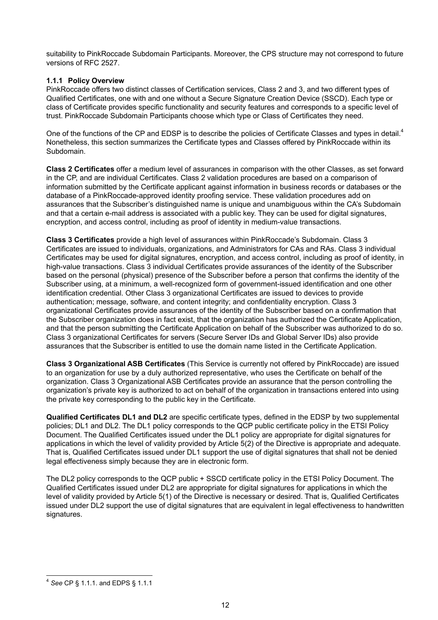suitability to PinkRoccade Subdomain Participants. Moreover, the CPS structure may not correspond to future versions of RFC 2527.

#### **1.1.1 Policy Overview**

PinkRoccade offers two distinct classes of Certification services, Class 2 and 3, and two different types of Qualified Certificates, one with and one without a Secure Signature Creation Device (SSCD). Each type or class of Certificate provides specific functionality and security features and corresponds to a specific level of trust. PinkRoccade Subdomain Participants choose which type or Class of Certificates they need.

One of the functions of the CP and EDSP is to describe the policies of Certificate Classes and types in detail.<sup>4</sup> Nonetheless, this section summarizes the Certificate types and Classes offered by PinkRoccade within its Subdomain.

**Class 2 Certificates** offer a medium level of assurances in comparison with the other Classes, as set forward in the CP, and are individual Certificates. Class 2 validation procedures are based on a comparison of information submitted by the Certificate applicant against information in business records or databases or the database of a PinkRoccade-approved identity proofing service. These validation procedures add on assurances that the Subscriber's distinguished name is unique and unambiguous within the CA's Subdomain and that a certain e-mail address is associated with a public key. They can be used for digital signatures, encryption, and access control, including as proof of identity in medium-value transactions.

**Class 3 Certificates** provide a high level of assurances within PinkRoccade's Subdomain. Class 3 Certificates are issued to individuals, organizations, and Administrators for CAs and RAs. Class 3 individual Certificates may be used for digital signatures, encryption, and access control, including as proof of identity, in high-value transactions. Class 3 individual Certificates provide assurances of the identity of the Subscriber based on the personal (physical) presence of the Subscriber before a person that confirms the identity of the Subscriber using, at a minimum, a well-recognized form of government-issued identification and one other identification credential. Other Class 3 organizational Certificates are issued to devices to provide authentication; message, software, and content integrity; and confidentiality encryption. Class 3 organizational Certificates provide assurances of the identity of the Subscriber based on a confirmation that the Subscriber organization does in fact exist, that the organization has authorized the Certificate Application, and that the person submitting the Certificate Application on behalf of the Subscriber was authorized to do so. Class 3 organizational Certificates for servers (Secure Server IDs and Global Server IDs) also provide assurances that the Subscriber is entitled to use the domain name listed in the Certificate Application.

**Class 3 Organizational ASB Certificates** (This Service is currently not offered by PinkRoccade) are issued to an organization for use by a duly authorized representative, who uses the Certificate on behalf of the organization. Class 3 Organizational ASB Certificates provide an assurance that the person controlling the organization's private key is authorized to act on behalf of the organization in transactions entered into using the private key corresponding to the public key in the Certificate.

**Qualified Certificates DL1 and DL2** are specific certificate types, defined in the EDSP by two supplemental policies; DL1 and DL2. The DL1 policy corresponds to the QCP public certificate policy in the ETSI Policy Document. The Qualified Certificates issued under the DL1 policy are appropriate for digital signatures for applications in which the level of validity provided by Article 5(2) of the Directive is appropriate and adequate. That is, Qualified Certificates issued under DL1 support the use of digital signatures that shall not be denied legal effectiveness simply because they are in electronic form.

The DL2 policy corresponds to the QCP public + SSCD certificate policy in the ETSI Policy Document. The Qualified Certificates issued under DL2 are appropriate for digital signatures for applications in which the level of validity provided by Article 5(1) of the Directive is necessary or desired. That is, Qualified Certificates issued under DL2 support the use of digital signatures that are equivalent in legal effectiveness to handwritten signatures.

<sup>-</sup><sup>4</sup> *See* CP § 1.1.1. and EDPS § 1.1.1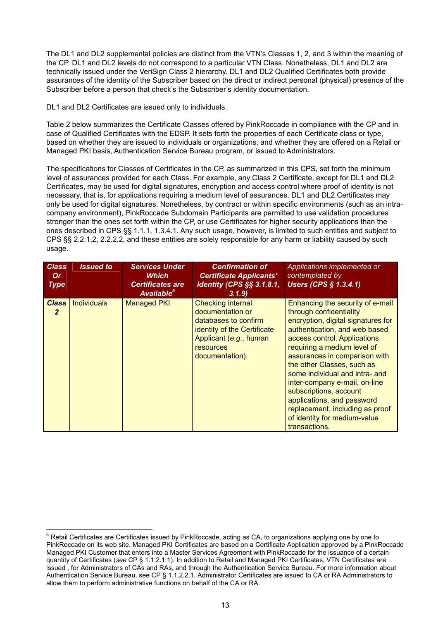The DL1 and DL2 supplemental policies are distinct from the VTN's Classes 1, 2, and 3 within the meaning of the CP. DL1 and DL2 levels do not correspond to a particular VTN Class. Nonetheless, DL1 and DL2 are technically issued under the VeriSign Class 2 hierarchy. DL1 and DL2 Qualified Certificates both provide assurances of the identity of the Subscriber based on the direct or indirect personal (physical) presence of the Subscriber before a person that check's the Subscriber's identity documentation.

DL1 and DL2 Certificates are issued only to individuals.

Table 2 below summarizes the Certificate Classes offered by PinkRoccade in compliance with the CP and in case of Qualified Certificates with the EDSP. It sets forth the properties of each Certificate class or type, based on whether they are issued to individuals or organizations, and whether they are offered on a Retail or Managed PKI basis, Authentication Service Bureau program, or issued to Administrators.

The specifications for Classes of Certificates in the CP, as summarized in this CPS, set forth the minimum level of assurances provided for each Class. For example, any Class 2 Certificate, except for DL1 and DL2 Certificates, may be used for digital signatures, encryption and access control where proof of identity is not necessary, that is, for applications requiring a medium level of assurances. DL1 and DL2 Certificates may only be used for digital signatures. Nonetheless, by contract or within specific environments (such as an intracompany environment), PinkRoccade Subdomain Participants are permitted to use validation procedures stronger than the ones set forth within the CP, or use Certificates for higher security applications than the ones described in CPS §§ 1.1.1, 1.3.4.1. Any such usage, however, is limited to such entities and subject to CPS §§ 2.2.1.2, 2.2.2.2, and these entities are solely responsible for any harm or liability caused by such usage.

| <b>Class</b><br><b>Or</b><br><b>Type</b> | <b>Issued to</b>   | <b>Services Under</b><br><b>Which</b><br><b>Certificates are</b><br>Available <sup>5</sup> | <b>Confirmation of</b><br><b>Certificate Applicants'</b><br><b>Identity (CPS §§ 3.1.8.1,</b><br>3.1.9                                                                | Applications implemented or<br>contemplated by<br><b>Users (CPS § 1.3.4.1)</b>                                                                                                                                                                                                                                                                                                                                                                                                  |
|------------------------------------------|--------------------|--------------------------------------------------------------------------------------------|----------------------------------------------------------------------------------------------------------------------------------------------------------------------|---------------------------------------------------------------------------------------------------------------------------------------------------------------------------------------------------------------------------------------------------------------------------------------------------------------------------------------------------------------------------------------------------------------------------------------------------------------------------------|
| <b>Class</b><br>$\overline{2}$           | <b>Individuals</b> | <b>Managed PKI</b>                                                                         | <b>Checking internal</b><br>documentation or<br>databases to confirm<br>identity of the Certificate<br>Applicant (e.g., human<br><b>resources</b><br>documentation). | Enhancing the security of e-mail<br>through confidentiality<br>encryption, digital signatures for<br>authentication, and web based<br>access control. Applications<br>requiring a medium level of<br>assurances in comparison with<br>the other Classes, such as<br>some individual and intra- and<br>inter-company e-mail, on-line<br>subscriptions, account<br>applications, and password<br>replacement, including as proof<br>of identity for medium-value<br>transactions. |

 5 Retail Certificates are Certificates issued by PinkRoccade, acting as CA, to organizations applying one by one to PinkRoccade on its web site. Managed PKI Certificates are based on a Certificate Application approved by a PinkRoccade Managed PKI Customer that enters into a Master Services Agreement with PinkRoccade for the issuance of a certain quantity of Certificates (*see* CP § 1.1.2.1.1). In addition to Retail and Managed PKI Certificates, VTN Certificates are issued , for Administrators of CAs and RAs, and through the Authentication Service Bureau. For more information about Authentication Service Bureau, see CP § 1.1.2.2.1. Administrator Certificates are issued to CA or RA Administrators to allow them to perform administrative functions on behalf of the CA or RA.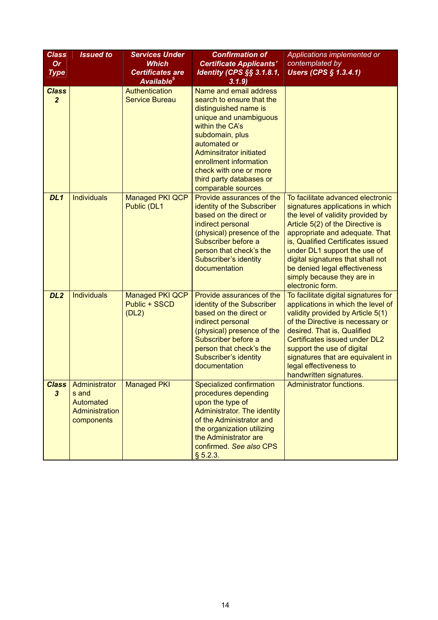| <b>Class</b><br><b>Or</b><br><b>Type</b> | <b>Issued to</b>                                                    | <b>Services Under</b><br><b>Which</b><br><b>Certificates are</b><br>Available <sup>5</sup> | <b>Confirmation of</b><br><b>Certificate Applicants'</b><br><b>Identity (CPS §§ 3.1.8.1,</b><br>3.1.9)                                                                                                                                                                                               | Applications implemented or<br>contemplated by<br><b>Users (CPS § 1.3.4.1)</b>                                                                                                                                                                                                                                                                                                |
|------------------------------------------|---------------------------------------------------------------------|--------------------------------------------------------------------------------------------|------------------------------------------------------------------------------------------------------------------------------------------------------------------------------------------------------------------------------------------------------------------------------------------------------|-------------------------------------------------------------------------------------------------------------------------------------------------------------------------------------------------------------------------------------------------------------------------------------------------------------------------------------------------------------------------------|
| <b>Class</b><br>$\overline{2}$           |                                                                     | Authentication<br><b>Service Bureau</b>                                                    | Name and email address<br>search to ensure that the<br>distinguished name is<br>unique and unambiguous<br>within the CA's<br>subdomain, plus<br>automated or<br><b>Adminsitrator initiated</b><br>enrollment information<br>check with one or more<br>third party databases or<br>comparable sources |                                                                                                                                                                                                                                                                                                                                                                               |
| DL <sub>1</sub>                          | <b>Individuals</b>                                                  | <b>Managed PKI QCP</b><br>Public (DL1                                                      | Provide assurances of the<br>identity of the Subscriber<br>based on the direct or<br>indirect personal<br>(physical) presence of the<br>Subscriber before a<br>person that check's the<br>Subscriber's identity<br>documentation                                                                     | To facilitate advanced electronic<br>signatures applications in which<br>the level of validity provided by<br>Article 5(2) of the Directive is<br>appropriate and adequate. That<br>is, Qualified Certificates issued<br>under DL1 support the use of<br>digital signatures that shall not<br>be denied legal effectiveness<br>simply because they are in<br>electronic form. |
| DL <sub>2</sub>                          | <b>Individuals</b>                                                  | <b>Managed PKI QCP</b><br>Public + SSCD<br>(DL2)                                           | Provide assurances of the<br>identity of the Subscriber<br>based on the direct or<br>indirect personal<br>(physical) presence of the<br>Subscriber before a<br>person that check's the<br>Subscriber's identity<br>documentation                                                                     | To facilitate digital signatures for<br>applications in which the level of<br>validity provided by Article 5(1)<br>of the Directive is necessary or<br>desired. That is, Qualified<br>Certificates issued under DL2<br>support the use of digital<br>signatures that are equivalent in<br>legal effectiveness to<br>handwritten signatures.                                   |
| <b>Class</b><br>$\boldsymbol{3}$         | Administrator<br>s and<br>Automated<br>Administration<br>components | <b>Managed PKI</b>                                                                         | Specialized confirmation<br>procedures depending<br>upon the type of<br><b>Administrator. The identity</b><br>of the Administrator and<br>the organization utilizing<br>the Administrator are<br>confirmed. See also CPS<br>§ 5.2.3.                                                                 | Administrator functions.                                                                                                                                                                                                                                                                                                                                                      |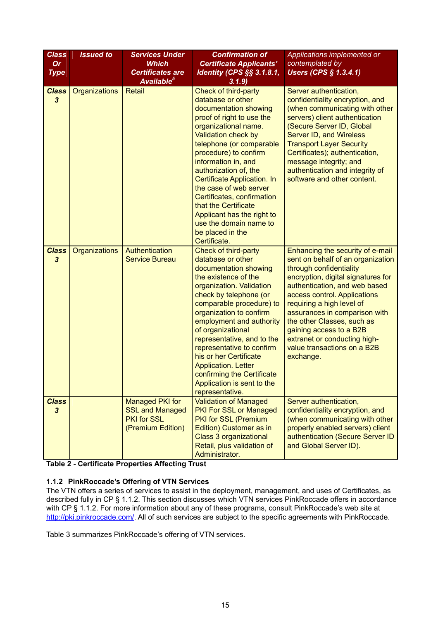| <b>Class</b><br><b>Or</b><br><b>Type</b> | <b>Issued to</b> | <b>Services Under</b><br><b>Which</b><br><b>Certificates are</b><br>Available <sup>5</sup>  | <b>Confirmation of</b><br><b>Certificate Applicants'</b><br>Identity (CPS §§ 3.1.8.1,<br>3.1.9                                                                                                                                                                                                                                                                                                                                                                 | Applications implemented or<br>contemplated by<br><b>Users (CPS § 1.3.4.1)</b>                                                                                                                                                                                                                                                                                                                             |
|------------------------------------------|------------------|---------------------------------------------------------------------------------------------|----------------------------------------------------------------------------------------------------------------------------------------------------------------------------------------------------------------------------------------------------------------------------------------------------------------------------------------------------------------------------------------------------------------------------------------------------------------|------------------------------------------------------------------------------------------------------------------------------------------------------------------------------------------------------------------------------------------------------------------------------------------------------------------------------------------------------------------------------------------------------------|
| <b>Class</b><br>$\boldsymbol{3}$         | Organizations    | <b>Retail</b>                                                                               | Check of third-party<br>database or other<br>documentation showing<br>proof of right to use the<br>organizational name.<br>Validation check by<br>telephone (or comparable<br>procedure) to confirm<br>information in, and<br>authorization of, the<br>Certificate Application. In<br>the case of web server<br>Certificates, confirmation<br>that the Certificate<br>Applicant has the right to<br>use the domain name to<br>be placed in the<br>Certificate. | Server authentication,<br>confidentiality encryption, and<br>(when communicating with other<br>servers) client authentication<br>(Secure Server ID, Global<br>Server ID, and Wireless<br><b>Transport Layer Security</b><br>Certificates); authentication,<br>message integrity; and<br>authentication and integrity of<br>software and other content.                                                     |
| <b>Class</b><br>$\boldsymbol{3}$         | Organizations    | Authentication<br><b>Service Bureau</b>                                                     | Check of third-party<br>database or other<br>documentation showing<br>the existence of the<br>organization. Validation<br>check by telephone (or<br>comparable procedure) to<br>organization to confirm<br>employment and authority<br>of organizational<br>representative, and to the<br>representative to confirm<br>his or her Certificate<br><b>Application. Letter</b><br>confirming the Certificate<br>Application is sent to the<br>representative.     | Enhancing the security of e-mail<br>sent on behalf of an organization<br>through confidentiality<br>encryption, digital signatures for<br>authentication, and web based<br>access control. Applications<br>requiring a high level of<br>assurances in comparison with<br>the other Classes, such as<br>gaining access to a B2B<br>extranet or conducting high-<br>value transactions on a B2B<br>exchange. |
| <b>Class</b><br>$\boldsymbol{3}$         |                  | <b>Managed PKI for</b><br><b>SSL and Managed</b><br><b>PKI</b> for SSL<br>(Premium Edition) | <b>Validation of Managed</b><br><b>PKI For SSL or Managed</b><br>PKI for SSL (Premium<br>Edition) Customer as in<br><b>Class 3 organizational</b><br>Retail, plus validation of<br>Administrator.                                                                                                                                                                                                                                                              | Server authentication,<br>confidentiality encryption, and<br>(when communicating with other<br>properly enabled servers) client<br>authentication (Secure Server ID<br>and Global Server ID).                                                                                                                                                                                                              |

**Table 2 - Certificate Properties Affecting Trust** 

#### **1.1.2 PinkRoccade's Offering of VTN Services**

The VTN offers a series of services to assist in the deployment, management, and uses of Certificates, as described fully in CP § 1.1.2. This section discusses which VTN services PinkRoccade offers in accordance with CP § 1.1.2. For more information about any of these programs, consult PinkRoccade's web site at [http://pki.pinkroccade.com/.](http://pki.pinkroccade.com/) All of such services are subject to the specific agreements with PinkRoccade.

Table 3 summarizes PinkRoccade's offering of VTN services.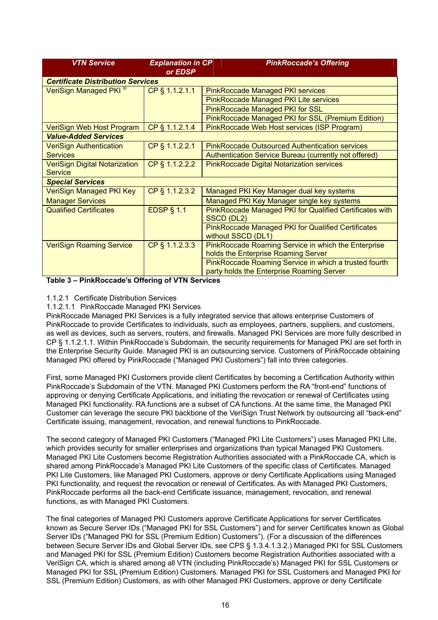| <b>VTN Service</b>                                     | <b>Explanation in CP</b><br>or EDSP | <b>PinkRoccade's Offering</b>                                                   |  |
|--------------------------------------------------------|-------------------------------------|---------------------------------------------------------------------------------|--|
| <b>Certificate Distribution Services</b>               |                                     |                                                                                 |  |
| VeriSign Managed PKI <sup>®</sup>                      | CP § 1.1.2.1.1                      | <b>PinkRoccade Managed PKI services</b>                                         |  |
|                                                        |                                     | PinkRoccade Managed PKI Lite services                                           |  |
|                                                        |                                     | <b>PinkRoccade Managed PKI for SSL</b>                                          |  |
|                                                        |                                     | PinkRoccade Managed PKI for SSL (Premium Edition)                               |  |
| VeriSign Web Host Program                              | CP § 1.1.2.1.4                      | PinkRoccade Web Host services (ISP Program)                                     |  |
| <b>Value-Added Services</b>                            |                                     |                                                                                 |  |
| <b>VeriSign Authentication</b>                         | CP § 1.1.2.2.1                      | <b>PinkRoccade Outsourced Authentication services</b>                           |  |
| <b>Services</b>                                        |                                     | Authentication Service Bureau (currently not offered)                           |  |
| <b>VeriSign Digital Notarization</b><br><b>Service</b> | CP § 1.1.2.2.2                      | <b>PinkRoccade Digital Notarization services</b>                                |  |
| <b>Special Services</b>                                |                                     |                                                                                 |  |
| <b>VeriSign Managed PKI Key</b>                        | CP § 1.1.2.3.2                      | Managed PKI Key Manager dual key systems                                        |  |
| <b>Manager Services</b>                                |                                     | Managed PKI Key Manager single key systems                                      |  |
| <b>Qualified Certificates</b>                          | <b>EDSP § 1.1</b>                   | PinkRoccade Managed PKI for Qualified Certificates with<br>SSCD (DL2)           |  |
|                                                        |                                     | <b>PinkRoccade Managed PKI for Qualified Certificates</b><br>without SSCD (DL1) |  |
| <b>VeriSign Roaming Service</b>                        | CP § 1.1.2.3.3                      | PinkRoccade Roaming Service in which the Enterprise                             |  |
|                                                        |                                     | holds the Enterprise Roaming Server                                             |  |
|                                                        |                                     | PinkRoccade Roaming Service in which a trusted fourth                           |  |
|                                                        |                                     | party holds the Enterprise Roaming Server                                       |  |

#### **Table 3 – PinkRoccade's Offering of VTN Services**

#### 1.1.2.1 Certificate Distribution Services

#### 1.1.2.1.1 PinkRoccade Managed PKI Services

PinkRoccade Managed PKI Services is a fully integrated service that allows enterprise Customers of PinkRoccade to provide Certificates to individuals, such as employees, partners, suppliers, and customers, as well as devices, such as servers, routers, and firewalls. Managed PKI Services are more fully described in CP § 1.1.2.1.1. Within PinkRoccade's Subdomain, the security requirements for Managed PKI are set forth in the Enterprise Security Guide. Managed PKI is an outsourcing service. Customers of PinkRoccade obtaining Managed PKI offered by PinkRoccade ("Managed PKI Customers") fall into three categories.

First, some Managed PKI Customers provide client Certificates by becoming a Certification Authority within PinkRoccade's Subdomain of the VTN. Managed PKI Customers perform the RA "front-end" functions of approving or denying Certificate Applications, and initiating the revocation or renewal of Certificates using Managed PKI functionality. RA functions are a subset of CA functions. At the same time, the Managed PKI Customer can leverage the secure PKI backbone of the VeriSign Trust Network by outsourcing all "back-end" Certificate issuing, management, revocation, and renewal functions to PinkRoccade.

The second category of Managed PKI Customers ("Managed PKI Lite Customers") uses Managed PKI Lite, which provides security for smaller enterprises and organizations than typical Managed PKI Customers. Managed PKI Lite Customers become Registration Authorities associated with a PinkRoccade CA, which is shared among PinkRoccade's Managed PKI Lite Customers of the specific class of Certificates. Managed PKI Lite Customers, like Managed PKI Customers, approve or deny Certificate Applications using Managed PKI functionality, and request the revocation or renewal of Certificates. As with Managed PKI Customers, PinkRoccade performs all the back-end Certificate issuance, management, revocation, and renewal functions, as with Managed PKI Customers.

The final categories of Managed PKI Customers approve Certificate Applications for server Certificates known as Secure Server IDs ("Managed PKI for SSL Customers") and for server Certificates known as Global Server IDs ("Managed PKI for SSL (Premium Edition) Customers"). (For a discussion of the differences between Secure Server IDs and Global Server IDs, see CPS § 1.3.4.1.3.2.) Managed PKI for SSL Customers and Managed PKI for SSL (Premium Edition) Customers become Registration Authorities associated with a VeriSign CA, which is shared among all VTN (including PinkRoccade's) Managed PKI for SSL Customers or Managed PKI for SSL (Premium Edition) Customers. Managed PKI for SSL Customers and Managed PKI for SSL (Premium Edition) Customers, as with other Managed PKI Customers, approve or deny Certificate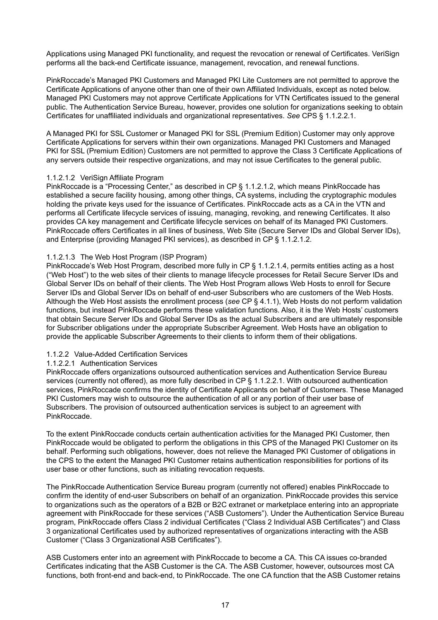Applications using Managed PKI functionality, and request the revocation or renewal of Certificates. VeriSign performs all the back-end Certificate issuance, management, revocation, and renewal functions.

PinkRoccade's Managed PKI Customers and Managed PKI Lite Customers are not permitted to approve the Certificate Applications of anyone other than one of their own Affiliated Individuals, except as noted below. Managed PKI Customers may not approve Certificate Applications for VTN Certificates issued to the general public. The Authentication Service Bureau, however, provides one solution for organizations seeking to obtain Certificates for unaffiliated individuals and organizational representatives. *See* CPS § 1.1.2.2.1.

A Managed PKI for SSL Customer or Managed PKI for SSL (Premium Edition) Customer may only approve Certificate Applications for servers within their own organizations. Managed PKI Customers and Managed PKI for SSL (Premium Edition) Customers are not permitted to approve the Class 3 Certificate Applications of any servers outside their respective organizations, and may not issue Certificates to the general public.

#### 1.1.2.1.2 VeriSign Affiliate Program

PinkRoccade is a "Processing Center," as described in CP § 1.1.2.1.2, which means PinkRoccade has established a secure facility housing, among other things, CA systems, including the cryptographic modules holding the private keys used for the issuance of Certificates. PinkRoccade acts as a CA in the VTN and performs all Certificate lifecycle services of issuing, managing, revoking, and renewing Certificates. It also provides CA key management and Certificate lifecycle services on behalf of its Managed PKI Customers. PinkRoccade offers Certificates in all lines of business, Web Site (Secure Server IDs and Global Server IDs), and Enterprise (providing Managed PKI services), as described in CP § 1.1.2.1.2.

#### 1.1.2.1.3 The Web Host Program (ISP Program)

PinkRoccade's Web Host Program, described more fully in CP § 1.1.2.1.4, permits entities acting as a host ("Web Host") to the web sites of their clients to manage lifecycle processes for Retail Secure Server IDs and Global Server IDs on behalf of their clients. The Web Host Program allows Web Hosts to enroll for Secure Server IDs and Global Server IDs on behalf of end-user Subscribers who are customers of the Web Hosts. Although the Web Host assists the enrollment process (*see* CP § 4.1.1), Web Hosts do not perform validation functions, but instead PinkRoccade performs these validation functions. Also, it is the Web Hosts' customers that obtain Secure Server IDs and Global Server IDs as the actual Subscribers and are ultimately responsible for Subscriber obligations under the appropriate Subscriber Agreement. Web Hosts have an obligation to provide the applicable Subscriber Agreements to their clients to inform them of their obligations.

#### 1.1.2.2 Value-Added Certification Services

#### 1.1.2.2.1 Authentication Services

PinkRoccade offers organizations outsourced authentication services and Authentication Service Bureau services (currently not offered), as more fully described in CP § 1.1.2.2.1. With outsourced authentication services, PinkRoccade confirms the identity of Certificate Applicants on behalf of Customers. These Managed PKI Customers may wish to outsource the authentication of all or any portion of their user base of Subscribers. The provision of outsourced authentication services is subject to an agreement with PinkRoccade.

To the extent PinkRoccade conducts certain authentication activities for the Managed PKI Customer, then PinkRoccade would be obligated to perform the obligations in this CPS of the Managed PKI Customer on its behalf. Performing such obligations, however, does not relieve the Managed PKI Customer of obligations in the CPS to the extent the Managed PKI Customer retains authentication responsibilities for portions of its user base or other functions, such as initiating revocation requests.

The PinkRoccade Authentication Service Bureau program (currently not offered) enables PinkRoccade to confirm the identity of end-user Subscribers on behalf of an organization. PinkRoccade provides this service to organizations such as the operators of a B2B or B2C extranet or marketplace entering into an appropriate agreement with PinkRoccade for these services ("ASB Customers"). Under the Authentication Service Bureau program, PinkRoccade offers Class 2 individual Certificates ("Class 2 Individual ASB Certificates") and Class 3 organizational Certificates used by authorized representatives of organizations interacting with the ASB Customer ("Class 3 Organizational ASB Certificates").

ASB Customers enter into an agreement with PinkRoccade to become a CA. This CA issues co-branded Certificates indicating that the ASB Customer is the CA. The ASB Customer, however, outsources most CA functions, both front-end and back-end, to PinkRoccade. The one CA function that the ASB Customer retains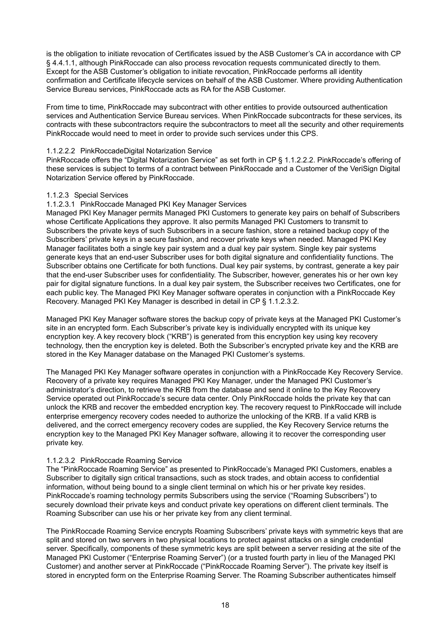is the obligation to initiate revocation of Certificates issued by the ASB Customer's CA in accordance with CP § 4.4.1.1, although PinkRoccade can also process revocation requests communicated directly to them. Except for the ASB Customer's obligation to initiate revocation, PinkRoccade performs all identity confirmation and Certificate lifecycle services on behalf of the ASB Customer. Where providing Authentication Service Bureau services, PinkRoccade acts as RA for the ASB Customer.

From time to time, PinkRoccade may subcontract with other entities to provide outsourced authentication services and Authentication Service Bureau services. When PinkRoccade subcontracts for these services, its contracts with these subcontractors require the subcontractors to meet all the security and other requirements PinkRoccade would need to meet in order to provide such services under this CPS.

#### 1.1.2.2.2 PinkRoccadeDigital Notarization Service

PinkRoccade offers the "Digital Notarization Service" as set forth in CP § 1.1.2.2.2. PinkRoccade's offering of these services is subject to terms of a contract between PinkRoccade and a Customer of the VeriSign Digital Notarization Service offered by PinkRoccade.

#### 1.1.2.3 Special Services

#### 1.1.2.3.1 PinkRoccade Managed PKI Key Manager Services

Managed PKI Key Manager permits Managed PKI Customers to generate key pairs on behalf of Subscribers whose Certificate Applications they approve. It also permits Managed PKI Customers to transmit to Subscribers the private keys of such Subscribers in a secure fashion, store a retained backup copy of the Subscribers' private keys in a secure fashion, and recover private keys when needed. Managed PKI Key Manager facilitates both a single key pair system and a dual key pair system. Single key pair systems generate keys that an end-user Subscriber uses for both digital signature and confidentiality functions. The Subscriber obtains one Certificate for both functions. Dual key pair systems, by contrast, generate a key pair that the end-user Subscriber uses for confidentiality. The Subscriber, however, generates his or her own key pair for digital signature functions. In a dual key pair system, the Subscriber receives two Certificates, one for each public key. The Managed PKI Key Manager software operates in conjunction with a PinkRoccade Key Recovery. Managed PKI Key Manager is described in detail in CP § 1.1.2.3.2.

Managed PKI Key Manager software stores the backup copy of private keys at the Managed PKI Customer's site in an encrypted form. Each Subscriber's private key is individually encrypted with its unique key encryption key. A key recovery block ("KRB") is generated from this encryption key using key recovery technology, then the encryption key is deleted. Both the Subscriber's encrypted private key and the KRB are stored in the Key Manager database on the Managed PKI Customer's systems.

The Managed PKI Key Manager software operates in conjunction with a PinkRoccade Key Recovery Service. Recovery of a private key requires Managed PKI Key Manager, under the Managed PKI Customer's administrator's direction, to retrieve the KRB from the database and send it online to the Key Recovery Service operated out PinkRoccade's secure data center. Only PinkRoccade holds the private key that can unlock the KRB and recover the embedded encryption key. The recovery request to PinkRoccade will include enterprise emergency recovery codes needed to authorize the unlocking of the KRB. If a valid KRB is delivered, and the correct emergency recovery codes are supplied, the Key Recovery Service returns the encryption key to the Managed PKI Key Manager software, allowing it to recover the corresponding user private key.

#### 1.1.2.3.2 PinkRoccade Roaming Service

The "PinkRoccade Roaming Service" as presented to PinkRoccade's Managed PKI Customers, enables a Subscriber to digitally sign critical transactions, such as stock trades, and obtain access to confidential information, without being bound to a single client terminal on which his or her private key resides. PinkRoccade's roaming technology permits Subscribers using the service ("Roaming Subscribers") to securely download their private keys and conduct private key operations on different client terminals. The Roaming Subscriber can use his or her private key from any client terminal.

The PinkRoccade Roaming Service encrypts Roaming Subscribers' private keys with symmetric keys that are split and stored on two servers in two physical locations to protect against attacks on a single credential server. Specifically, components of these symmetric keys are split between a server residing at the site of the Managed PKI Customer ("Enterprise Roaming Server") (or a trusted fourth party in lieu of the Managed PKI Customer) and another server at PinkRoccade ("PinkRoccade Roaming Server"). The private key itself is stored in encrypted form on the Enterprise Roaming Server. The Roaming Subscriber authenticates himself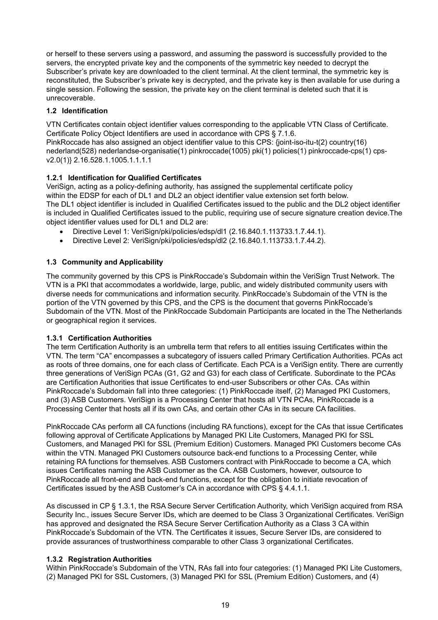or herself to these servers using a password, and assuming the password is successfully provided to the servers, the encrypted private key and the components of the symmetric key needed to decrypt the Subscriber's private key are downloaded to the client terminal. At the client terminal, the symmetric key is reconstituted, the Subscriber's private key is decrypted, and the private key is then available for use during a single session. Following the session, the private key on the client terminal is deleted such that it is unrecoverable.

#### **1.2 Identification**

VTN Certificates contain object identifier values corresponding to the applicable VTN Class of Certificate. Certificate Policy Object Identifiers are used in accordance with CPS § 7.1.6. PinkRoccade has also assigned an object identifier value to this CPS: {joint-iso-itu-t(2) country(16) nederland(528) nederlandse-organisatie(1) pinkroccade(1005) pki(1) policies(1) pinkroccade-cps(1) cpsv2.0(1)} 2.16.528.1.1005.1.1.1.1

#### **1.2.1 Identification for Qualified Certificates**

VeriSign, acting as a policy-defining authority, has assigned the supplemental certificate policy within the EDSP for each of DL1 and DL2 an object identifier value extension set forth below. The DL1 object identifier is included in Qualified Certificates issued to the public and the DL2 object identifier is included in Qualified Certificates issued to the public, requiring use of secure signature creation device.The object identifier values used for DL1 and DL2 are:

- Directive Level 1: VeriSign/pki/policies/edsp/dl1 (2.16.840.1.113733.1.7.44.1).
- Directive Level 2: VeriSign/pki/policies/edsp/dl2 (2.16.840.1.113733.1.7.44.2).

#### **1.3 Community and Applicability**

The community governed by this CPS is PinkRoccade's Subdomain within the VeriSign Trust Network. The VTN is a PKI that accommodates a worldwide, large, public, and widely distributed community users with diverse needs for communications and information security. PinkRoccade's Subdomain of the VTN is the portion of the VTN governed by this CPS, and the CPS is the document that governs PinkRoccade's Subdomain of the VTN. Most of the PinkRoccade Subdomain Participants are located in the The Netherlands or geographical region it services.

#### **1.3.1 Certification Authorities**

The term Certification Authority is an umbrella term that refers to all entities issuing Certificates within the VTN. The term "CA" encompasses a subcategory of issuers called Primary Certification Authorities. PCAs act as roots of three domains, one for each class of Certificate. Each PCA is a VeriSign entity. There are currently three generations of VeriSign PCAs (G1, G2 and G3) for each class of Certificate. Subordinate to the PCAs are Certification Authorities that issue Certificates to end-user Subscribers or other CAs. CAs within PinkRoccade's Subdomain fall into three categories: (1) PinkRoccade itself, (2) Managed PKI Customers, and (3) ASB Customers. VeriSign is a Processing Center that hosts all VTN PCAs, PinkRoccade is a Processing Center that hosts all if its own CAs, and certain other CAs in its secure CA facilities.

PinkRoccade CAs perform all CA functions (including RA functions), except for the CAs that issue Certificates following approval of Certificate Applications by Managed PKI Lite Customers, Managed PKI for SSL Customers, and Managed PKI for SSL (Premium Edition) Customers. Managed PKI Customers become CAs within the VTN. Managed PKI Customers outsource back-end functions to a Processing Center, while retaining RA functions for themselves. ASB Customers contract with PinkRoccade to become a CA, which issues Certificates naming the ASB Customer as the CA. ASB Customers, however, outsource to PinkRoccade all front-end and back-end functions, except for the obligation to initiate revocation of Certificates issued by the ASB Customer's CA in accordance with CPS § 4.4.1.1.

As discussed in CP § 1.3.1, the RSA Secure Server Certification Authority, which VeriSign acquired from RSA Security Inc., issues Secure Server IDs, which are deemed to be Class 3 Organizational Certificates. VeriSign has approved and designated the RSA Secure Server Certification Authority as a Class 3 CA within PinkRoccade's Subdomain of the VTN. The Certificates it issues, Secure Server IDs, are considered to provide assurances of trustworthiness comparable to other Class 3 organizational Certificates.

#### **1.3.2 Registration Authorities**

Within PinkRoccade's Subdomain of the VTN, RAs fall into four categories: (1) Managed PKI Lite Customers, (2) Managed PKI for SSL Customers, (3) Managed PKI for SSL (Premium Edition) Customers, and (4)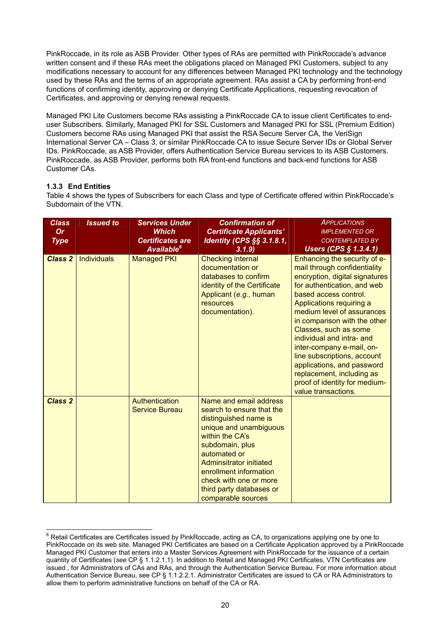PinkRoccade, in its role as ASB Provider. Other types of RAs are permitted with PinkRoccade's advance written consent and if these RAs meet the obligations placed on Managed PKI Customers, subject to any modifications necessary to account for any differences between Managed PKI technology and the technology used by these RAs and the terms of an appropriate agreement. RAs assist a CA by performing front-end functions of confirming identity, approving or denying Certificate Applications, requesting revocation of Certificates, and approving or denying renewal requests.

Managed PKI Lite Customers become RAs assisting a PinkRoccade CA to issue client Certificates to enduser Subscribers. Similarly, Managed PKI for SSL Customers and Managed PKI for SSL (Premium Edition) Customers become RAs using Managed PKI that assist the RSA Secure Server CA, the VeriSign International Server CA – Class 3, or similar PinkRoccade CA to issue Secure Server IDs or Global Server IDs. PinkRoccade, as ASB Provider, offers Authentication Service Bureau services to its ASB Customers. PinkRoccade, as ASB Provider, performs both RA front-end functions and back-end functions for ASB Customer CAs.

#### **1.3.3 End Entities**

Table 4 shows the types of Subscribers for each Class and type of Certificate offered within PinkRoccade's Subdomain of the VTN.

| <b>Class</b><br><b>Or</b><br><b>Type</b> | <b>Issued to</b> | <b>Services Under</b><br><b>Which</b><br><b>Certificates are</b><br>Available <sup>6</sup> | <b>Confirmation of</b><br><b>Certificate Applicants'</b><br><b>Identity (CPS §§ 3.1.8.1,</b><br>3.1.9                                                                                                                                                                                         | <b>APPLICATIONS</b><br><b>IMPLEMENTED OR</b><br><b>CONTEMPLATED BY</b><br>Users (CPS § 1.3.4.1)                                                                                                                                                                                                                                                                                                                                                                                       |
|------------------------------------------|------------------|--------------------------------------------------------------------------------------------|-----------------------------------------------------------------------------------------------------------------------------------------------------------------------------------------------------------------------------------------------------------------------------------------------|---------------------------------------------------------------------------------------------------------------------------------------------------------------------------------------------------------------------------------------------------------------------------------------------------------------------------------------------------------------------------------------------------------------------------------------------------------------------------------------|
| <b>Class 2</b>                           | Individuals      | <b>Managed PKI</b>                                                                         | <b>Checking internal</b><br>documentation or<br>databases to confirm<br>identity of the Certificate<br>Applicant (e.g., human<br>resources<br>documentation).                                                                                                                                 | Enhancing the security of e-<br>mail through confidentiality<br>encryption, digital signatures<br>for authentication, and web<br>based access control.<br>Applications requiring a<br>medium level of assurances<br>in comparison with the other<br>Classes, such as some<br>individual and intra- and<br>inter-company e-mail, on-<br>line subscriptions, account<br>applications, and password<br>replacement, including as<br>proof of identity for medium-<br>value transactions. |
| <b>Class 2</b>                           |                  | <b>Authentication</b><br><b>Service Bureau</b>                                             | Name and email address<br>search to ensure that the<br>distinguished name is<br>unique and unambiguous<br>within the CA's<br>subdomain, plus<br>automated or<br>Adminsitrator initiated<br>enrollment information<br>check with one or more<br>third party databases or<br>comparable sources |                                                                                                                                                                                                                                                                                                                                                                                                                                                                                       |

 6 Retail Certificates are Certificates issued by PinkRoccade, acting as CA, to organizations applying one by one to PinkRoccade on its web site. Managed PKI Certificates are based on a Certificate Application approved by a PinkRoccade Managed PKI Customer that enters into a Master Services Agreement with PinkRoccade for the issuance of a certain quantity of Certificates (*see* CP § 1.1.2.1.1). In addition to Retail and Managed PKI Certificates, VTN Certificates are issued , for Administrators of CAs and RAs, and through the Authentication Service Bureau. For more information about Authentication Service Bureau, see CP § 1.1.2.2.1. Administrator Certificates are issued to CA or RA Administrators to allow them to perform administrative functions on behalf of the CA or RA.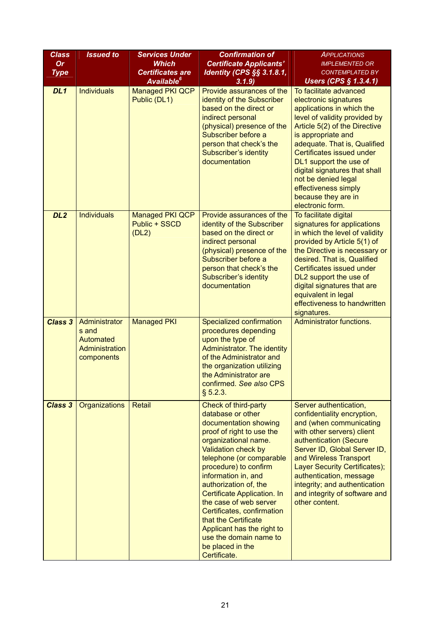| <b>Class</b><br><b>Or</b><br><b>Type</b> | <b>Issued to</b>                                                    | <b>Services Under</b><br><b>Which</b><br><b>Certificates are</b><br><b>Available</b> <sup>6</sup> | <b>Confirmation of</b><br><b>Certificate Applicants'</b><br><b>Identity (CPS §§ 3.1.8.1,</b><br>3.1.9                                                                                                                                                                                                                                                                                                                                                          | <b>APPLICATIONS</b><br><b>IMPLEMENTED OR</b><br><b>CONTEMPLATED BY</b><br>Users (CPS $§$ 1.3.4.1)                                                                                                                                                                                                                                                                                      |
|------------------------------------------|---------------------------------------------------------------------|---------------------------------------------------------------------------------------------------|----------------------------------------------------------------------------------------------------------------------------------------------------------------------------------------------------------------------------------------------------------------------------------------------------------------------------------------------------------------------------------------------------------------------------------------------------------------|----------------------------------------------------------------------------------------------------------------------------------------------------------------------------------------------------------------------------------------------------------------------------------------------------------------------------------------------------------------------------------------|
| DL1                                      | <b>Individuals</b>                                                  | Managed PKI QCP<br>Public (DL1)                                                                   | Provide assurances of the<br>identity of the Subscriber<br>based on the direct or<br>indirect personal<br>(physical) presence of the<br>Subscriber before a<br>person that check's the<br>Subscriber's identity<br>documentation                                                                                                                                                                                                                               | To facilitate advanced<br>electronic signatures<br>applications in which the<br>level of validity provided by<br>Article 5(2) of the Directive<br>is appropriate and<br>adequate. That is, Qualified<br>Certificates issued under<br>DL1 support the use of<br>digital signatures that shall<br>not be denied legal<br>effectiveness simply<br>because they are in<br>electronic form. |
| DL <sub>2</sub>                          | <b>Individuals</b>                                                  | <b>Managed PKI QCP</b><br>Public + SSCD<br>(DL2)                                                  | Provide assurances of the<br>identity of the Subscriber<br>based on the direct or<br>indirect personal<br>(physical) presence of the<br>Subscriber before a<br>person that check's the<br>Subscriber's identity<br>documentation                                                                                                                                                                                                                               | To facilitate digital<br>signatures for applications<br>in which the level of validity<br>provided by Article 5(1) of<br>the Directive is necessary or<br>desired. That is, Qualified<br>Certificates issued under<br>DL2 support the use of<br>digital signatures that are<br>equivalent in legal<br>effectiveness to handwritten<br>signatures.                                      |
| <b>Class 3</b>                           | Administrator<br>s and<br>Automated<br>Administration<br>components | <b>Managed PKI</b>                                                                                | Specialized confirmation<br>procedures depending<br>upon the type of<br>Administrator. The identity<br>of the Administrator and<br>the organization utilizing<br>the Administrator are<br>confirmed. See also CPS<br>§ 5.2.3.                                                                                                                                                                                                                                  | Administrator functions.                                                                                                                                                                                                                                                                                                                                                               |
| <b>Class 3</b>                           | Organizations                                                       | <b>Retail</b>                                                                                     | Check of third-party<br>database or other<br>documentation showing<br>proof of right to use the<br>organizational name.<br>Validation check by<br>telephone (or comparable<br>procedure) to confirm<br>information in, and<br>authorization of, the<br>Certificate Application. In<br>the case of web server<br>Certificates, confirmation<br>that the Certificate<br>Applicant has the right to<br>use the domain name to<br>be placed in the<br>Certificate. | Server authentication,<br>confidentiality encryption,<br>and (when communicating<br>with other servers) client<br>authentication (Secure<br>Server ID, Global Server ID,<br>and Wireless Transport<br>Layer Security Certificates);<br>authentication, message<br>integrity; and authentication<br>and integrity of software and<br>other content.                                     |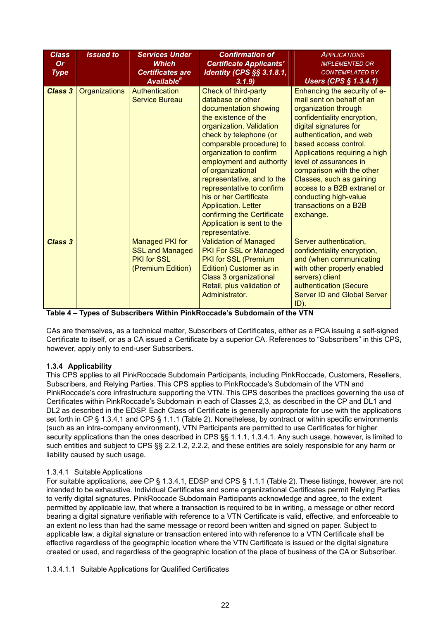| <b>Class</b><br><b>Or</b><br><b>Type</b> | <b>Issued to</b>     | <b>Services Under</b><br><b>Which</b><br><b>Certificates are</b><br>Available <sup>6</sup> | <b>Confirmation of</b><br><b>Certificate Applicants'</b><br><b>Identity (CPS §§ 3.1.8.1,</b><br>3.1.9                                                                                                                                                                                                                                                                                                                                                      | <b>APPLICATIONS</b><br><b>IMPLEMENTED OR</b><br><b>CONTEMPLATED BY</b><br>Users (CPS $§$ 1.3.4.1)                                                                                                                                                                                                                                                                                                                |
|------------------------------------------|----------------------|--------------------------------------------------------------------------------------------|------------------------------------------------------------------------------------------------------------------------------------------------------------------------------------------------------------------------------------------------------------------------------------------------------------------------------------------------------------------------------------------------------------------------------------------------------------|------------------------------------------------------------------------------------------------------------------------------------------------------------------------------------------------------------------------------------------------------------------------------------------------------------------------------------------------------------------------------------------------------------------|
| <b>Class 3</b>                           | <b>Organizations</b> | Authentication<br><b>Service Bureau</b>                                                    | Check of third-party<br>database or other<br>documentation showing<br>the existence of the<br>organization. Validation<br>check by telephone (or<br>comparable procedure) to<br>organization to confirm<br>employment and authority<br>of organizational<br>representative, and to the<br>representative to confirm<br>his or her Certificate<br><b>Application. Letter</b><br>confirming the Certificate<br>Application is sent to the<br>representative. | Enhancing the security of e-<br>mail sent on behalf of an<br>organization through<br>confidentiality encryption,<br>digital signatures for<br>authentication, and web<br>based access control.<br>Applications requiring a high<br>level of assurances in<br>comparison with the other<br>Classes, such as gaining<br>access to a B2B extranet or<br>conducting high-value<br>transactions on a B2B<br>exchange. |
| <b>Class 3</b>                           |                      | Managed PKI for<br><b>SSL and Managed</b><br><b>PKI for SSL</b><br>(Premium Edition)       | <b>Validation of Managed</b><br><b>PKI For SSL or Managed</b><br>PKI for SSL (Premium<br>Edition) Customer as in<br><b>Class 3 organizational</b><br>Retail, plus validation of<br>Administrator.                                                                                                                                                                                                                                                          | Server authentication,<br>confidentiality encryption,<br>and (when communicating<br>with other properly enabled<br>servers) client<br>authentication (Secure<br><b>Server ID and Global Server</b><br>ID).                                                                                                                                                                                                       |

|  |  | Table 4 – Types of Subscribers Within PinkRoccade's Subdomain of the VTN |  |
|--|--|--------------------------------------------------------------------------|--|

CAs are themselves, as a technical matter, Subscribers of Certificates, either as a PCA issuing a self-signed Certificate to itself, or as a CA issued a Certificate by a superior CA. References to "Subscribers" in this CPS, however, apply only to end-user Subscribers.

#### **1.3.4 Applicability**

This CPS applies to all PinkRoccade Subdomain Participants, including PinkRoccade, Customers, Resellers, Subscribers, and Relying Parties. This CPS applies to PinkRoccade's Subdomain of the VTN and PinkRoccade's core infrastructure supporting the VTN. This CPS describes the practices governing the use of Certificates within PinkRoccade's Subdomain in each of Classes 2,3, as described in the CP and DL1 and DL2 as described in the EDSP. Each Class of Certificate is generally appropriate for use with the applications set forth in CP § 1.3.4.1 and CPS § 1.1.1 (Table 2). Nonetheless, by contract or within specific environments (such as an intra-company environment), VTN Participants are permitted to use Certificates for higher security applications than the ones described in CPS §§ 1.1.1, 1.3.4.1. Any such usage, however, is limited to such entities and subject to CPS §§ 2.2.1.2, 2.2.2, and these entities are solely responsible for any harm or liability caused by such usage.

#### 1.3.4.1 Suitable Applications

For suitable applications, *see* CP § 1.3.4.1, EDSP and CPS § 1.1.1 (Table 2). These listings, however, are not intended to be exhaustive. Individual Certificates and some organizational Certificates permit Relying Parties to verify digital signatures. PinkRoccade Subdomain Participants acknowledge and agree, to the extent permitted by applicable law, that where a transaction is required to be in writing, a message or other record bearing a digital signature verifiable with reference to a VTN Certificate is valid, effective, and enforceable to an extent no less than had the same message or record been written and signed on paper. Subject to applicable law, a digital signature or transaction entered into with reference to a VTN Certificate shall be effective regardless of the geographic location where the VTN Certificate is issued or the digital signature created or used, and regardless of the geographic location of the place of business of the CA or Subscriber.

1.3.4.1.1 Suitable Applications for Qualified Certificates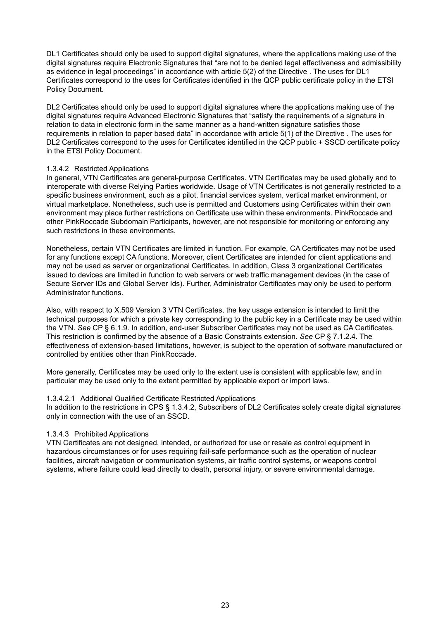DL1 Certificates should only be used to support digital signatures, where the applications making use of the digital signatures require Electronic Signatures that "are not to be denied legal effectiveness and admissibility as evidence in legal proceedings" in accordance with article 5(2) of the Directive . The uses for DL1 Certificates correspond to the uses for Certificates identified in the QCP public certificate policy in the ETSI Policy Document.

DL2 Certificates should only be used to support digital signatures where the applications making use of the digital signatures require Advanced Electronic Signatures that "satisfy the requirements of a signature in relation to data in electronic form in the same manner as a hand-written signature satisfies those requirements in relation to paper based data" in accordance with article 5(1) of the Directive . The uses for DL2 Certificates correspond to the uses for Certificates identified in the QCP public + SSCD certificate policy in the ETSI Policy Document.

#### 1.3.4.2 Restricted Applications

In general, VTN Certificates are general-purpose Certificates. VTN Certificates may be used globally and to interoperate with diverse Relying Parties worldwide. Usage of VTN Certificates is not generally restricted to a specific business environment, such as a pilot, financial services system, vertical market environment, or virtual marketplace. Nonetheless, such use is permitted and Customers using Certificates within their own environment may place further restrictions on Certificate use within these environments. PinkRoccade and other PinkRoccade Subdomain Participants, however, are not responsible for monitoring or enforcing any such restrictions in these environments.

Nonetheless, certain VTN Certificates are limited in function. For example, CA Certificates may not be used for any functions except CA functions. Moreover, client Certificates are intended for client applications and may not be used as server or organizational Certificates. In addition, Class 3 organizational Certificates issued to devices are limited in function to web servers or web traffic management devices (in the case of Secure Server IDs and Global Server Ids). Further, Administrator Certificates may only be used to perform Administrator functions.

Also, with respect to X.509 Version 3 VTN Certificates, the key usage extension is intended to limit the technical purposes for which a private key corresponding to the public key in a Certificate may be used within the VTN. *See* CP § 6.1.9. In addition, end-user Subscriber Certificates may not be used as CA Certificates. This restriction is confirmed by the absence of a Basic Constraints extension. *See* CP § 7.1.2.4. The effectiveness of extension-based limitations, however, is subject to the operation of software manufactured or controlled by entities other than PinkRoccade.

More generally, Certificates may be used only to the extent use is consistent with applicable law, and in particular may be used only to the extent permitted by applicable export or import laws.

#### 1.3.4.2.1 Additional Qualified Certificate Restricted Applications

In addition to the restrictions in CPS § 1.3.4.2, Subscribers of DL2 Certificates solely create digital signatures only in connection with the use of an SSCD.

#### 1.3.4.3 Prohibited Applications

VTN Certificates are not designed, intended, or authorized for use or resale as control equipment in hazardous circumstances or for uses requiring fail-safe performance such as the operation of nuclear facilities, aircraft navigation or communication systems, air traffic control systems, or weapons control systems, where failure could lead directly to death, personal injury, or severe environmental damage.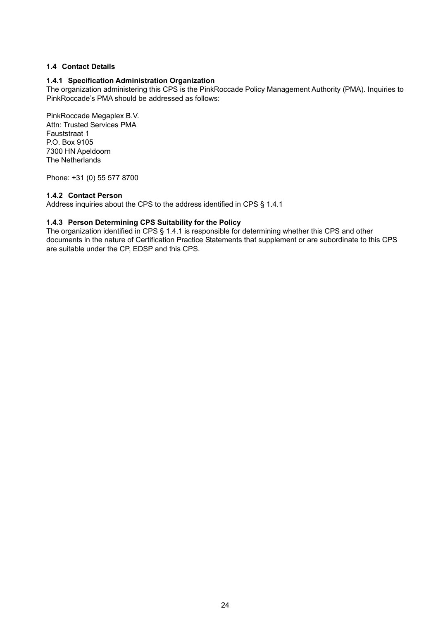#### **1.4 Contact Details**

#### **1.4.1 Specification Administration Organization**

The organization administering this CPS is the PinkRoccade Policy Management Authority (PMA). Inquiries to PinkRoccade's PMA should be addressed as follows:

PinkRoccade Megaplex B.V. Attn: Trusted Services PMA Fauststraat 1 P.O. Box 9105 7300 HN Apeldoorn The Netherlands

Phone: +31 (0) 55 577 8700

#### **1.4.2 Contact Person**

Address inquiries about the CPS to the address identified in CPS § 1.4.1

#### **1.4.3 Person Determining CPS Suitability for the Policy**

The organization identified in CPS § 1.4.1 is responsible for determining whether this CPS and other documents in the nature of Certification Practice Statements that supplement or are subordinate to this CPS are suitable under the CP, EDSP and this CPS.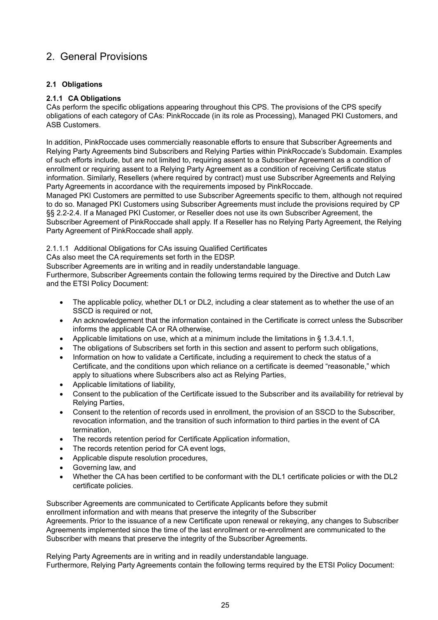## 2. General Provisions

#### **2.1 Obligations**

#### **2.1.1 CA Obligations**

CAs perform the specific obligations appearing throughout this CPS. The provisions of the CPS specify obligations of each category of CAs: PinkRoccade (in its role as Processing), Managed PKI Customers, and ASB Customers.

In addition, PinkRoccade uses commercially reasonable efforts to ensure that Subscriber Agreements and Relying Party Agreements bind Subscribers and Relying Parties within PinkRoccade's Subdomain. Examples of such efforts include, but are not limited to, requiring assent to a Subscriber Agreement as a condition of enrollment or requiring assent to a Relying Party Agreement as a condition of receiving Certificate status information. Similarly, Resellers (where required by contract) must use Subscriber Agreements and Relying Party Agreements in accordance with the requirements imposed by PinkRoccade.

Managed PKI Customers are permitted to use Subscriber Agreements specific to them, although not required to do so. Managed PKI Customers using Subscriber Agreements must include the provisions required by CP §§ 2.2-2.4. If a Managed PKI Customer, or Reseller does not use its own Subscriber Agreement, the Subscriber Agreement of PinkRoccade shall apply. If a Reseller has no Relying Party Agreement, the Relying Party Agreement of PinkRoccade shall apply.

#### 2.1.1.1 Additional Obligations for CAs issuing Qualified Certificates

CAs also meet the CA requirements set forth in the EDSP.

Subscriber Agreements are in writing and in readily understandable language.

Furthermore, Subscriber Agreements contain the following terms required by the Directive and Dutch Law and the ETSI Policy Document:

- The applicable policy, whether DL1 or DL2, including a clear statement as to whether the use of an SSCD is required or not.
- An acknowledgement that the information contained in the Certificate is correct unless the Subscriber informs the applicable CA or RA otherwise,
- Applicable limitations on use, which at a minimum include the limitations in § 1.3.4.1.1,
- The obligations of Subscribers set forth in this section and assent to perform such obligations,
- Information on how to validate a Certificate, including a requirement to check the status of a Certificate, and the conditions upon which reliance on a certificate is deemed "reasonable," which apply to situations where Subscribers also act as Relying Parties,
- Applicable limitations of liability,
- Consent to the publication of the Certificate issued to the Subscriber and its availability for retrieval by Relying Parties,
- Consent to the retention of records used in enrollment, the provision of an SSCD to the Subscriber, revocation information, and the transition of such information to third parties in the event of CA termination,
- The records retention period for Certificate Application information,
- The records retention period for CA event logs.
- Applicable dispute resolution procedures,
- Governing law, and
- Whether the CA has been certified to be conformant with the DL1 certificate policies or with the DL2 certificate policies.

Subscriber Agreements are communicated to Certificate Applicants before they submit enrollment information and with means that preserve the integrity of the Subscriber Agreements. Prior to the issuance of a new Certificate upon renewal or rekeying, any changes to Subscriber Agreements implemented since the time of the last enrollment or re-enrollment are communicated to the Subscriber with means that preserve the integrity of the Subscriber Agreements.

Relying Party Agreements are in writing and in readily understandable language. Furthermore, Relying Party Agreements contain the following terms required by the ETSI Policy Document: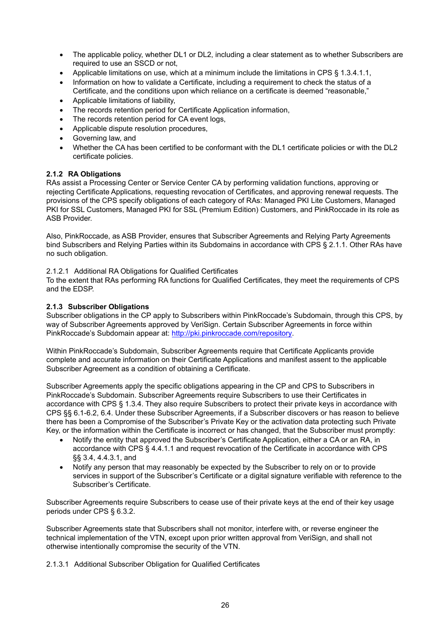- The applicable policy, whether DL1 or DL2, including a clear statement as to whether Subscribers are required to use an SSCD or not,
- Applicable limitations on use, which at a minimum include the limitations in CPS § 1.3.4.1.1,
- Information on how to validate a Certificate, including a requirement to check the status of a Certificate, and the conditions upon which reliance on a certificate is deemed "reasonable,"
- Applicable limitations of liability,
- The records retention period for Certificate Application information,
- The records retention period for CA event logs,
- Applicable dispute resolution procedures,
- Governing law, and
- Whether the CA has been certified to be conformant with the DL1 certificate policies or with the DL2 certificate policies.

#### **2.1.2 RA Obligations**

RAs assist a Processing Center or Service Center CA by performing validation functions, approving or rejecting Certificate Applications, requesting revocation of Certificates, and approving renewal requests. The provisions of the CPS specify obligations of each category of RAs: Managed PKI Lite Customers, Managed PKI for SSL Customers, Managed PKI for SSL (Premium Edition) Customers, and PinkRoccade in its role as ASB Provider.

Also, PinkRoccade, as ASB Provider, ensures that Subscriber Agreements and Relying Party Agreements bind Subscribers and Relying Parties within its Subdomains in accordance with CPS § 2.1.1. Other RAs have no such obligation.

2.1.2.1 Additional RA Obligations for Qualified Certificates

To the extent that RAs performing RA functions for Qualified Certificates, they meet the requirements of CPS and the EDSP.

#### **2.1.3 Subscriber Obligations**

Subscriber obligations in the CP apply to Subscribers within PinkRoccade's Subdomain, through this CPS, by way of Subscriber Agreements approved by VeriSign. Certain Subscriber Agreements in force within PinkRoccade's Subdomain appear at: [http://pki.pinkroccade.com/repository.](http://pki.pinkroccade.com/repository)

Within PinkRoccade's Subdomain, Subscriber Agreements require that Certificate Applicants provide complete and accurate information on their Certificate Applications and manifest assent to the applicable Subscriber Agreement as a condition of obtaining a Certificate.

Subscriber Agreements apply the specific obligations appearing in the CP and CPS to Subscribers in PinkRoccade's Subdomain. Subscriber Agreements require Subscribers to use their Certificates in accordance with CPS § 1.3.4. They also require Subscribers to protect their private keys in accordance with CPS §§ 6.1-6.2, 6.4. Under these Subscriber Agreements, if a Subscriber discovers or has reason to believe there has been a Compromise of the Subscriber's Private Key or the activation data protecting such Private Key, or the information within the Certificate is incorrect or has changed, that the Subscriber must promptly:

- Notify the entity that approved the Subscriber's Certificate Application, either a CA or an RA, in accordance with CPS § 4.4.1.1 and request revocation of the Certificate in accordance with CPS §§ 3.4, 4.4.3.1, and
- Notify any person that may reasonably be expected by the Subscriber to rely on or to provide services in support of the Subscriber's Certificate or a digital signature verifiable with reference to the Subscriber's Certificate.

Subscriber Agreements require Subscribers to cease use of their private keys at the end of their key usage periods under CPS § 6.3.2.

Subscriber Agreements state that Subscribers shall not monitor, interfere with, or reverse engineer the technical implementation of the VTN, except upon prior written approval from VeriSign, and shall not otherwise intentionally compromise the security of the VTN.

2.1.3.1 Additional Subscriber Obligation for Qualified Certificates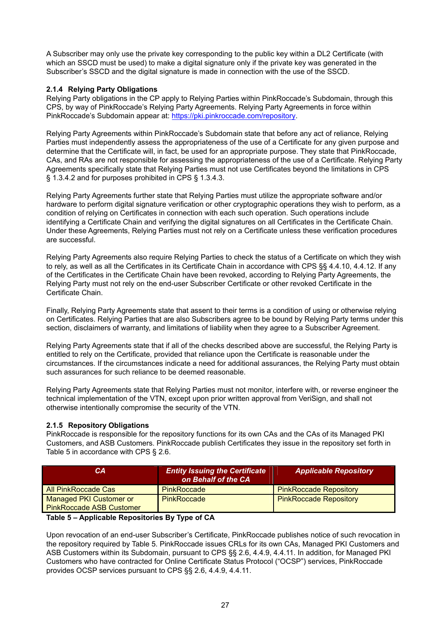A Subscriber may only use the private key corresponding to the public key within a DL2 Certificate (with which an SSCD must be used) to make a digital signature only if the private key was generated in the Subscriber's SSCD and the digital signature is made in connection with the use of the SSCD.

#### **2.1.4 Relying Party Obligations**

Relying Party obligations in the CP apply to Relying Parties within PinkRoccade's Subdomain, through this CPS, by way of PinkRoccade's Relying Party Agreements. Relying Party Agreements in force within PinkRoccade's Subdomain appear at: [https://pki.pinkroccade.com/repository.](https://pki.pinkroccade.com/repository)

Relying Party Agreements within PinkRoccade's Subdomain state that before any act of reliance, Relying Parties must independently assess the appropriateness of the use of a Certificate for any given purpose and determine that the Certificate will, in fact, be used for an appropriate purpose. They state that PinkRoccade, CAs, and RAs are not responsible for assessing the appropriateness of the use of a Certificate. Relying Party Agreements specifically state that Relying Parties must not use Certificates beyond the limitations in CPS § 1.3.4.2 and for purposes prohibited in CPS § 1.3.4.3.

Relying Party Agreements further state that Relying Parties must utilize the appropriate software and/or hardware to perform digital signature verification or other cryptographic operations they wish to perform, as a condition of relying on Certificates in connection with each such operation. Such operations include identifying a Certificate Chain and verifying the digital signatures on all Certificates in the Certificate Chain. Under these Agreements, Relying Parties must not rely on a Certificate unless these verification procedures are successful.

Relying Party Agreements also require Relying Parties to check the status of a Certificate on which they wish to rely, as well as all the Certificates in its Certificate Chain in accordance with CPS §§ 4.4.10, 4.4.12. If any of the Certificates in the Certificate Chain have been revoked, according to Relying Party Agreements, the Relying Party must not rely on the end-user Subscriber Certificate or other revoked Certificate in the Certificate Chain.

Finally, Relying Party Agreements state that assent to their terms is a condition of using or otherwise relying on Certificates. Relying Parties that are also Subscribers agree to be bound by Relying Party terms under this section, disclaimers of warranty, and limitations of liability when they agree to a Subscriber Agreement.

Relying Party Agreements state that if all of the checks described above are successful, the Relying Party is entitled to rely on the Certificate, provided that reliance upon the Certificate is reasonable under the circumstances. If the circumstances indicate a need for additional assurances, the Relying Party must obtain such assurances for such reliance to be deemed reasonable.

Relying Party Agreements state that Relying Parties must not monitor, interfere with, or reverse engineer the technical implementation of the VTN, except upon prior written approval from VeriSign, and shall not otherwise intentionally compromise the security of the VTN.

#### **2.1.5 Repository Obligations**

PinkRoccade is responsible for the repository functions for its own CAs and the CAs of its Managed PKI Customers, and ASB Customers. PinkRoccade publish Certificates they issue in the repository set forth in Table 5 in accordance with CPS § 2.6.

| CA.                                                               | <b>Entity Issuing the Certificate</b><br>on Behalf of the CA | <b>Applicable Repository</b>  |
|-------------------------------------------------------------------|--------------------------------------------------------------|-------------------------------|
| <b>All PinkRoccade Cas</b>                                        | <b>PinkRoccade</b>                                           | <b>PinkRoccade Repository</b> |
| <b>Managed PKI Customer or</b><br><b>PinkRoccade ASB Customer</b> | PinkRoccade                                                  | <b>PinkRoccade Repository</b> |

#### **Table 5 – Applicable Repositories By Type of CA**

Upon revocation of an end-user Subscriber's Certificate, PinkRoccade publishes notice of such revocation in the repository required by Table 5. PinkRoccade issues CRLs for its own CAs, Managed PKI Customers and ASB Customers within its Subdomain, pursuant to CPS §§ 2.6, 4.4.9, 4.4.11. In addition, for Managed PKI Customers who have contracted for Online Certificate Status Protocol ("OCSP") services, PinkRoccade provides OCSP services pursuant to CPS §§ 2.6, 4.4.9, 4.4.11.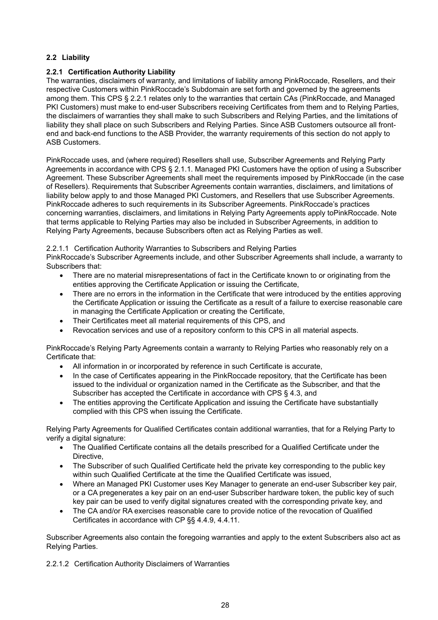#### **2.2 Liability**

#### **2.2.1 Certification Authority Liability**

The warranties, disclaimers of warranty, and limitations of liability among PinkRoccade, Resellers, and their respective Customers within PinkRoccade's Subdomain are set forth and governed by the agreements among them. This CPS § 2.2.1 relates only to the warranties that certain CAs (PinkRoccade, and Managed PKI Customers) must make to end-user Subscribers receiving Certificates from them and to Relying Parties, the disclaimers of warranties they shall make to such Subscribers and Relying Parties, and the limitations of liability they shall place on such Subscribers and Relying Parties. Since ASB Customers outsource all frontend and back-end functions to the ASB Provider, the warranty requirements of this section do not apply to ASB Customers.

PinkRoccade uses, and (where required) Resellers shall use, Subscriber Agreements and Relying Party Agreements in accordance with CPS § 2.1.1. Managed PKI Customers have the option of using a Subscriber Agreement. These Subscriber Agreements shall meet the requirements imposed by PinkRoccade (in the case of Resellers). Requirements that Subscriber Agreements contain warranties, disclaimers, and limitations of liability below apply to and those Managed PKI Customers, and Resellers that use Subscriber Agreements. PinkRoccade adheres to such requirements in its Subscriber Agreements. PinkRoccade's practices concerning warranties, disclaimers, and limitations in Relying Party Agreements apply toPinkRoccade. Note that terms applicable to Relying Parties may also be included in Subscriber Agreements, in addition to Relying Party Agreements, because Subscribers often act as Relying Parties as well.

2.2.1.1 Certification Authority Warranties to Subscribers and Relying Parties

PinkRoccade's Subscriber Agreements include, and other Subscriber Agreements shall include, a warranty to Subscribers that:

- There are no material misrepresentations of fact in the Certificate known to or originating from the entities approving the Certificate Application or issuing the Certificate,
- There are no errors in the information in the Certificate that were introduced by the entities approving the Certificate Application or issuing the Certificate as a result of a failure to exercise reasonable care in managing the Certificate Application or creating the Certificate,
- Their Certificates meet all material requirements of this CPS, and
- Revocation services and use of a repository conform to this CPS in all material aspects.

PinkRoccade's Relying Party Agreements contain a warranty to Relying Parties who reasonably rely on a Certificate that:

- All information in or incorporated by reference in such Certificate is accurate,
- In the case of Certificates appearing in the PinkRoccade repository, that the Certificate has been issued to the individual or organization named in the Certificate as the Subscriber, and that the Subscriber has accepted the Certificate in accordance with CPS § 4.3, and
- The entities approving the Certificate Application and issuing the Certificate have substantially complied with this CPS when issuing the Certificate.

Relying Party Agreements for Qualified Certificates contain additional warranties, that for a Relying Party to verify a digital signature:

- The Qualified Certificate contains all the details prescribed for a Qualified Certificate under the Directive,
- The Subscriber of such Qualified Certificate held the private key corresponding to the public key within such Qualified Certificate at the time the Qualified Certificate was issued,
- Where an Managed PKI Customer uses Key Manager to generate an end-user Subscriber key pair, or a CA pregenerates a key pair on an end-user Subscriber hardware token, the public key of such key pair can be used to verify digital signatures created with the corresponding private key, and
- The CA and/or RA exercises reasonable care to provide notice of the revocation of Qualified Certificates in accordance with CP §§ 4.4.9, 4.4.11.

Subscriber Agreements also contain the foregoing warranties and apply to the extent Subscribers also act as Relying Parties.

2.2.1.2 Certification Authority Disclaimers of Warranties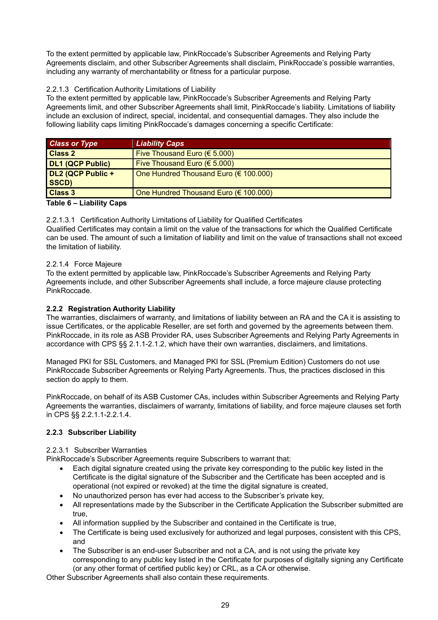To the extent permitted by applicable law, PinkRoccade's Subscriber Agreements and Relying Party Agreements disclaim, and other Subscriber Agreements shall disclaim, PinkRoccade's possible warranties, including any warranty of merchantability or fitness for a particular purpose.

#### 2.2.1.3 Certification Authority Limitations of Liability

To the extent permitted by applicable law, PinkRoccade's Subscriber Agreements and Relying Party Agreements limit, and other Subscriber Agreements shall limit, PinkRoccade's liability. Limitations of liability include an exclusion of indirect, special, incidental, and consequential damages. They also include the following liability caps limiting PinkRoccade's damages concerning a specific Certificate:

| <b>Class or Type</b>       | <b>Liability Caps</b>                           |
|----------------------------|-------------------------------------------------|
| <b>Class 2</b>             | Five Thousand Euro (€ 5.000)                    |
| <b>DL1 (QCP Public)</b>    | Five Thousand Euro (€ 5.000)                    |
| DL2 (QCP Public +<br>SSCD) | One Hundred Thousand Euro ( $\epsilon$ 100.000) |
| <b>Class 3</b>             | One Hundred Thousand Euro ( $\epsilon$ 100.000) |
| Tablo 6 - Liability Cape   |                                                 |

#### **Table 6 – Liability Caps**

2.2.1.3.1 Certification Authority Limitations of Liability for Qualified Certificates

Qualified Certificates may contain a limit on the value of the transactions for which the Qualified Certificate can be used. The amount of such a limitation of liability and limit on the value of transactions shall not exceed the limitation of liability.

#### 2.2.1.4 Force Majeure

To the extent permitted by applicable law, PinkRoccade's Subscriber Agreements and Relying Party Agreements include, and other Subscriber Agreements shall include, a force majeure clause protecting PinkRoccade.

#### **2.2.2 Registration Authority Liability**

The warranties, disclaimers of warranty, and limitations of liability between an RA and the CA it is assisting to issue Certificates, or the applicable Reseller, are set forth and governed by the agreements between them. PinkRoccade, in its role as ASB Provider RA, uses Subscriber Agreements and Relying Party Agreements in accordance with CPS §§ 2.1.1-2.1.2, which have their own warranties, disclaimers, and limitations.

Managed PKI for SSL Customers, and Managed PKI for SSL (Premium Edition) Customers do not use PinkRoccade Subscriber Agreements or Relying Party Agreements. Thus, the practices disclosed in this section do apply to them.

PinkRoccade, on behalf of its ASB Customer CAs, includes within Subscriber Agreements and Relying Party Agreements the warranties, disclaimers of warranty, limitations of liability, and force majeure clauses set forth in CPS §§ 2.2.1.1-2.2.1.4.

#### **2.2.3 Subscriber Liability**

#### 2.2.3.1 Subscriber Warranties

PinkRoccade's Subscriber Agreements require Subscribers to warrant that:

- Each digital signature created using the private key corresponding to the public key listed in the Certificate is the digital signature of the Subscriber and the Certificate has been accepted and is operational (not expired or revoked) at the time the digital signature is created,
- No unauthorized person has ever had access to the Subscriber's private key,
- All representations made by the Subscriber in the Certificate Application the Subscriber submitted are true,
- All information supplied by the Subscriber and contained in the Certificate is true,
- The Certificate is being used exclusively for authorized and legal purposes, consistent with this CPS, and
- The Subscriber is an end-user Subscriber and not a CA, and is not using the private key corresponding to any public key listed in the Certificate for purposes of digitally signing any Certificate (or any other format of certified public key) or CRL, as a CA or otherwise.

Other Subscriber Agreements shall also contain these requirements.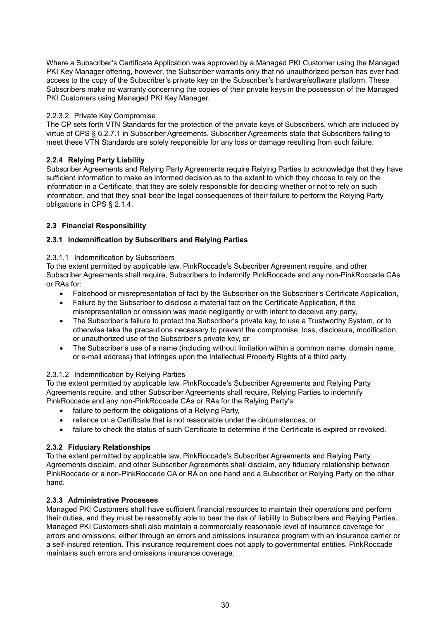Where a Subscriber's Certificate Application was approved by a Managed PKI Customer using the Managed PKI Key Manager offering, however, the Subscriber warrants only that no unauthorized person has ever had access to the copy of the Subscriber's private key on the Subscriber's hardware/software platform. These Subscribers make no warranty concerning the copies of their private keys in the possession of the Managed PKI Customers using Managed PKI Key Manager.

#### 2.2.3.2 Private Key Compromise

The CP sets forth VTN Standards for the protection of the private keys of Subscribers, which are included by virtue of CPS § 6.2.7.1 in Subscriber Agreements. Subscriber Agreements state that Subscribers failing to meet these VTN Standards are solely responsible for any loss or damage resulting from such failure.

#### **2.2.4 Relying Party Liability**

Subscriber Agreements and Relying Party Agreements require Relying Parties to acknowledge that they have sufficient information to make an informed decision as to the extent to which they choose to rely on the information in a Certificate, that they are solely responsible for deciding whether or not to rely on such information, and that they shall bear the legal consequences of their failure to perform the Relying Party obligations in CPS § 2.1.4.

#### **2.3 Financial Responsibility**

#### **2.3.1 Indemnification by Subscribers and Relying Parties**

#### 2.3.1.1 Indemnification by Subscribers

To the extent permitted by applicable law, PinkRoccade's Subscriber Agreement require, and other Subscriber Agreements shall require, Subscribers to indemnify PinkRoccade and any non-PinkRoccade CAs or RAs for:

- Falsehood or misrepresentation of fact by the Subscriber on the Subscriber's Certificate Application,
- Failure by the Subscriber to disclose a material fact on the Certificate Application, if the misrepresentation or omission was made negligently or with intent to deceive any party,
- The Subscriber's failure to protect the Subscriber's private key, to use a Trustworthy System, or to otherwise take the precautions necessary to prevent the compromise, loss, disclosure, modification, or unauthorized use of the Subscriber's private key, or
- The Subscriber's use of a name (including without limitation within a common name, domain name, or e-mail address) that infringes upon the Intellectual Property Rights of a third party.

#### 2.3.1.2 Indemnification by Relying Parties

To the extent permitted by applicable law, PinkRoccade's Subscriber Agreements and Relying Party Agreements require, and other Subscriber Agreements shall require, Relying Parties to indemnify PinkRoccade and any non-PinkRoccade CAs or RAs for the Relying Party's:

- failure to perform the obligations of a Relying Party,
- reliance on a Certificate that is not reasonable under the circumstances, or
- failure to check the status of such Certificate to determine if the Certificate is expired or revoked.

#### **2.3.2 Fiduciary Relationships**

To the extent permitted by applicable law, PinkRoccade's Subscriber Agreements and Relying Party Agreements disclaim, and other Subscriber Agreements shall disclaim, any fiduciary relationship between PinkRoccade or a non-PinkRoccade CA or RA on one hand and a Subscriber or Relying Party on the other hand.

#### **2.3.3 Administrative Processes**

Managed PKI Customers shall have sufficient financial resources to maintain their operations and perform their duties, and they must be reasonably able to bear the risk of liability to Subscribers and Relying Parties.. Managed PKI Customers shall also maintain a commercially reasonable level of insurance coverage for errors and omissions, either through an errors and omissions insurance program with an insurance carrier or a self-insured retention. This insurance requirement does not apply to governmental entities. PinkRoccade maintains such errors and omissions insurance coverage.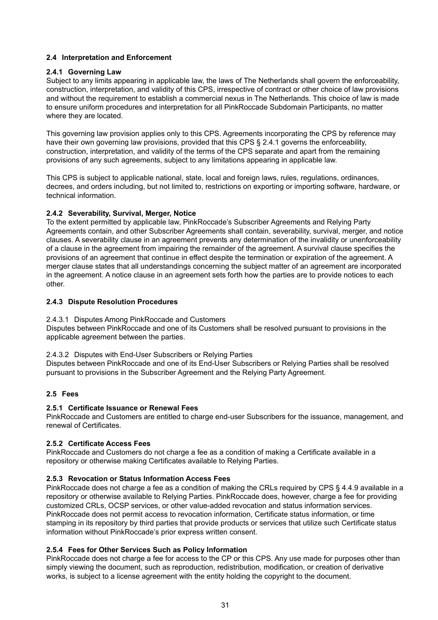#### **2.4 Interpretation and Enforcement**

#### **2.4.1 Governing Law**

Subject to any limits appearing in applicable law, the laws of The Netherlands shall govern the enforceability, construction, interpretation, and validity of this CPS, irrespective of contract or other choice of law provisions and without the requirement to establish a commercial nexus in The Netherlands. This choice of law is made to ensure uniform procedures and interpretation for all PinkRoccade Subdomain Participants, no matter where they are located.

This governing law provision applies only to this CPS. Agreements incorporating the CPS by reference may have their own governing law provisions, provided that this CPS § 2.4.1 governs the enforceability, construction, interpretation, and validity of the terms of the CPS separate and apart from the remaining provisions of any such agreements, subject to any limitations appearing in applicable law.

This CPS is subject to applicable national, state, local and foreign laws, rules, regulations, ordinances, decrees, and orders including, but not limited to, restrictions on exporting or importing software, hardware, or technical information.

#### **2.4.2 Severability, Survival, Merger, Notice**

To the extent permitted by applicable law, PinkRoccade's Subscriber Agreements and Relying Party Agreements contain, and other Subscriber Agreements shall contain, severability, survival, merger, and notice clauses. A severability clause in an agreement prevents any determination of the invalidity or unenforceability of a clause in the agreement from impairing the remainder of the agreement. A survival clause specifies the provisions of an agreement that continue in effect despite the termination or expiration of the agreement. A merger clause states that all understandings concerning the subject matter of an agreement are incorporated in the agreement. A notice clause in an agreement sets forth how the parties are to provide notices to each other.

#### **2.4.3 Dispute Resolution Procedures**

#### 2.4.3.1 Disputes Among PinkRoccade and Customers

Disputes between PinkRoccade and one of its Customers shall be resolved pursuant to provisions in the applicable agreement between the parties.

2.4.3.2 Disputes with End-User Subscribers or Relying Parties

Disputes between PinkRoccade and one of its End-User Subscribers or Relying Parties shall be resolved pursuant to provisions in the Subscriber Agreement and the Relying Party Agreement.

#### **2.5 Fees**

#### **2.5.1 Certificate Issuance or Renewal Fees**

PinkRoccade and Customers are entitled to charge end-user Subscribers for the issuance, management, and renewal of Certificates.

#### **2.5.2 Certificate Access Fees**

PinkRoccade and Customers do not charge a fee as a condition of making a Certificate available in a repository or otherwise making Certificates available to Relying Parties.

#### **2.5.3 Revocation or Status Information Access Fees**

PinkRoccade does not charge a fee as a condition of making the CRLs required by CPS § 4.4.9 available in a repository or otherwise available to Relying Parties. PinkRoccade does, however, charge a fee for providing customized CRLs, OCSP services, or other value-added revocation and status information services. PinkRoccade does not permit access to revocation information, Certificate status information, or time stamping in its repository by third parties that provide products or services that utilize such Certificate status information without PinkRoccade's prior express written consent.

#### **2.5.4 Fees for Other Services Such as Policy Information**

PinkRoccade does not charge a fee for access to the CP or this CPS. Any use made for purposes other than simply viewing the document, such as reproduction, redistribution, modification, or creation of derivative works, is subject to a license agreement with the entity holding the copyright to the document.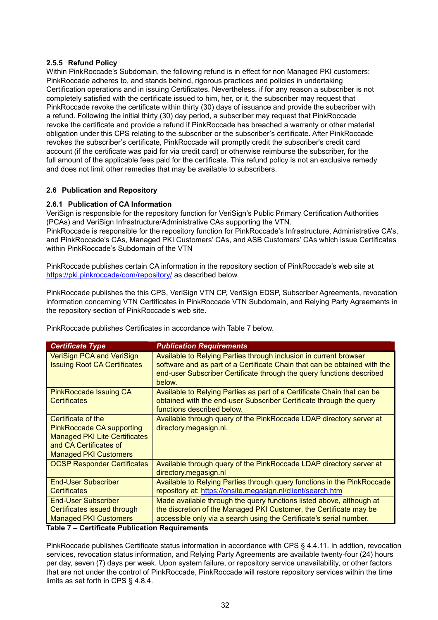#### **2.5.5 Refund Policy**

Within PinkRoccade's Subdomain, the following refund is in effect for non Managed PKI customers: PinkRoccade adheres to, and stands behind, rigorous practices and policies in undertaking Certification operations and in issuing Certificates. Nevertheless, if for any reason a subscriber is not completely satisfied with the certificate issued to him, her, or it, the subscriber may request that PinkRoccade revoke the certificate within thirty (30) days of issuance and provide the subscriber with a refund. Following the initial thirty (30) day period, a subscriber may request that PinkRoccade revoke the certificate and provide a refund if PinkRoccade has breached a warranty or other material obligation under this CPS relating to the subscriber or the subscriber's certificate. After PinkRoccade revokes the subscriber's certificate, PinkRoccade will promptly credit the subscriber's credit card account (if the certificate was paid for via credit card) or otherwise reimburse the subscriber, for the full amount of the applicable fees paid for the certificate. This refund policy is not an exclusive remedy and does not limit other remedies that may be available to subscribers.

#### **2.6 Publication and Repository**

#### **2.6.1 Publication of CA Information**

VeriSign is responsible for the repository function for VeriSign's Public Primary Certification Authorities (PCAs) and VeriSign Infrastructure/Administrative CAs supporting the VTN. PinkRoccade is responsible for the repository function for PinkRoccade's Infrastructure, Administrative CA's, and PinkRoccade's CAs, Managed PKI Customers' CAs, and ASB Customers' CAs which issue Certificates within PinkRoccade's Subdomain of the VTN

PinkRoccade publishes certain CA information in the repository section of PinkRoccade's web site at <https://pki.pinkroccade/com/repository/>as described below.

PinkRoccade publishes the this CPS, VeriSign VTN CP, VeriSign EDSP, Subscriber Agreements, revocation information concerning VTN Certificates in PinkRoccade VTN Subdomain, and Relying Party Agreements in the repository section of PinkRoccade's web site.

PinkRoccade publishes Certificates in accordance with Table 7 below.

| <b>Certificate Type</b>                                                                                                                                  | <b>Publication Requirements</b>                                                                                                                                                                                                         |
|----------------------------------------------------------------------------------------------------------------------------------------------------------|-----------------------------------------------------------------------------------------------------------------------------------------------------------------------------------------------------------------------------------------|
| <b>VeriSign PCA and VeriSign</b><br><b>Issuing Root CA Certificates</b>                                                                                  | Available to Relying Parties through inclusion in current browser<br>software and as part of a Certificate Chain that can be obtained with the<br>end-user Subscriber Certificate through the query functions described<br>below.       |
| <b>PinkRoccade Issuing CA</b><br><b>Certificates</b>                                                                                                     | Available to Relying Parties as part of a Certificate Chain that can be<br>obtained with the end-user Subscriber Certificate through the query<br>functions described below.                                                            |
| Certificate of the<br><b>PinkRoccade CA supporting</b><br><b>Managed PKI Lite Certificates</b><br>and CA Certificates of<br><b>Managed PKI Customers</b> | Available through query of the PinkRoccade LDAP directory server at<br>directory.megasign.nl.                                                                                                                                           |
| <b>OCSP Responder Certificates</b>                                                                                                                       | Available through query of the PinkRoccade LDAP directory server at<br>directory.megasign.nl                                                                                                                                            |
| <b>End-User Subscriber</b><br><b>Certificates</b>                                                                                                        | Available to Relying Parties through query functions in the PinkRoccade<br>repository at: https://onsite.megasign.nl/client/search.htm                                                                                                  |
| <b>End-User Subscriber</b><br>Certificates issued through<br><b>Managed PKI Customers</b><br>エットナッ ブー・ハット・パー・エー・エー・トリー                                   | Made available through the query functions listed above, although at<br>the discretion of the Managed PKI Customer, the Certificate may be<br>accessible only via a search using the Certificate's serial number.<br>De antiga de entre |

#### **Table 7 – Certificate Publication Requirements**

PinkRoccade publishes Certificate status information in accordance with CPS § 4.4.11. In addtion, revocation services, revocation status information, and Relying Party Agreements are available twenty-four (24) hours per day, seven (7) days per week. Upon system failure, or repository service unavailability, or other factors that are not under the control of PinkRoccade, PinkRoccade will restore repository services within the time limits as set forth in CPS § 4.8.4.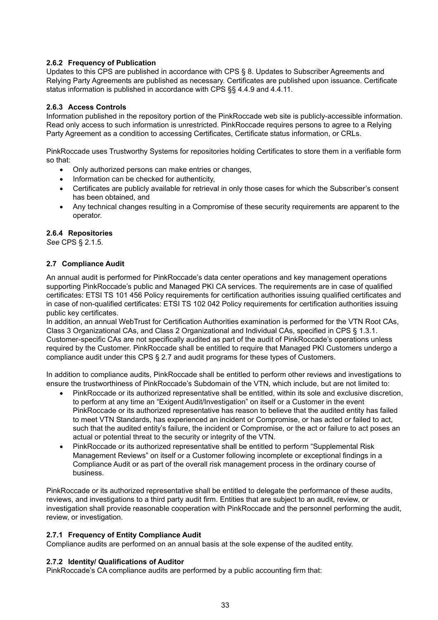#### **2.6.2 Frequency of Publication**

Updates to this CPS are published in accordance with CPS § 8. Updates to Subscriber Agreements and Relying Party Agreements are published as necessary. Certificates are published upon issuance. Certificate status information is published in accordance with CPS §§ 4.4.9 and 4.4.11.

#### **2.6.3 Access Controls**

Information published in the repository portion of the PinkRoccade web site is publicly-accessible information. Read only access to such information is unrestricted. PinkRoccade requires persons to agree to a Relying Party Agreement as a condition to accessing Certificates, Certificate status information, or CRLs.

PinkRoccade uses Trustworthy Systems for repositories holding Certificates to store them in a verifiable form so that:

- Only authorized persons can make entries or changes,
- Information can be checked for authenticity,
- Certificates are publicly available for retrieval in only those cases for which the Subscriber's consent has been obtained, and
- Any technical changes resulting in a Compromise of these security requirements are apparent to the operator.

#### **2.6.4 Repositories**

*See* CPS § 2.1.5.

#### **2.7 Compliance Audit**

An annual audit is performed for PinkRoccade's data center operations and key management operations supporting PinkRoccade's public and Managed PKI CA services. The requirements are in case of qualified certificates: ETSI TS 101 456 Policy requirements for certification authorities issuing qualified certificates and in case of non-qualified certificates: ETSI TS 102 042 Policy requirements for certification authorities issuing public key certificates.

In addition, an annual WebTrust for Certification Authorities examination is performed for the VTN Root CAs, Class 3 Organizational CAs, and Class 2 Organizational and Individual CAs, specified in CPS § 1.3.1. Customer-specific CAs are not specifically audited as part of the audit of PinkRoccade's operations unless required by the Customer. PinkRoccade shall be entitled to require that Managed PKI Customers undergo a compliance audit under this CPS § 2.7 and audit programs for these types of Customers.

In addition to compliance audits, PinkRoccade shall be entitled to perform other reviews and investigations to ensure the trustworthiness of PinkRoccade's Subdomain of the VTN, which include, but are not limited to:

- PinkRoccade or its authorized representative shall be entitled, within its sole and exclusive discretion, to perform at any time an "Exigent Audit/Investigation" on itself or a Customer in the event PinkRoccade or its authorized representative has reason to believe that the audited entity has failed to meet VTN Standards, has experienced an incident or Compromise, or has acted or failed to act, such that the audited entity's failure, the incident or Compromise, or the act or failure to act poses an actual or potential threat to the security or integrity of the VTN.
- PinkRoccade or its authorized representative shall be entitled to perform "Supplemental Risk Management Reviews" on itself or a Customer following incomplete or exceptional findings in a Compliance Audit or as part of the overall risk management process in the ordinary course of business.

PinkRoccade or its authorized representative shall be entitled to delegate the performance of these audits, reviews, and investigations to a third party audit firm. Entities that are subject to an audit, review, or investigation shall provide reasonable cooperation with PinkRoccade and the personnel performing the audit, review, or investigation.

#### **2.7.1 Frequency of Entity Compliance Audit**

Compliance audits are performed on an annual basis at the sole expense of the audited entity.

#### **2.7.2 Identity/ Qualifications of Auditor**

PinkRoccade's CA compliance audits are performed by a public accounting firm that: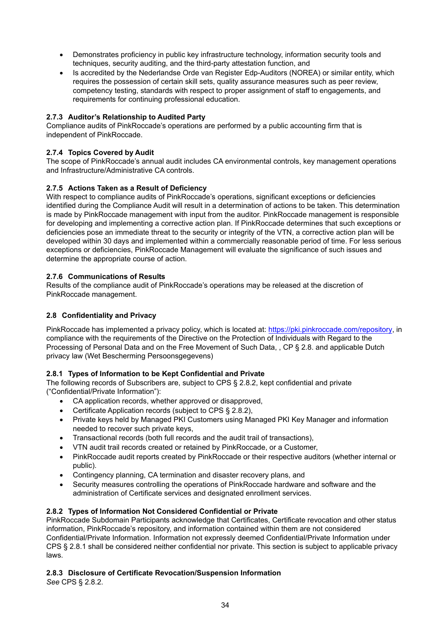- Demonstrates proficiency in public key infrastructure technology, information security tools and techniques, security auditing, and the third-party attestation function, and
- Is accredited by the Nederlandse Orde van Register Edp-Auditors (NOREA) or similar entity, which requires the possession of certain skill sets, quality assurance measures such as peer review, competency testing, standards with respect to proper assignment of staff to engagements, and requirements for continuing professional education.

#### **2.7.3 Auditor's Relationship to Audited Party**

Compliance audits of PinkRoccade's operations are performed by a public accounting firm that is independent of PinkRoccade.

#### **2.7.4 Topics Covered by Audit**

The scope of PinkRoccade's annual audit includes CA environmental controls, key management operations and Infrastructure/Administrative CA controls.

#### **2.7.5 Actions Taken as a Result of Deficiency**

With respect to compliance audits of PinkRoccade's operations, significant exceptions or deficiencies identified during the Compliance Audit will result in a determination of actions to be taken. This determination is made by PinkRoccade management with input from the auditor. PinkRoccade management is responsible for developing and implementing a corrective action plan. If PinkRoccade determines that such exceptions or deficiencies pose an immediate threat to the security or integrity of the VTN, a corrective action plan will be developed within 30 days and implemented within a commercially reasonable period of time. For less serious exceptions or deficiencies, PinkRoccade Management will evaluate the significance of such issues and determine the appropriate course of action.

#### **2.7.6 Communications of Results**

Results of the compliance audit of PinkRoccade's operations may be released at the discretion of PinkRoccade management.

#### **2.8 Confidentiality and Privacy**

PinkRoccade has implemented a privacy policy, which is located at: [https://pki.pinkroccade.com/repository,](https://pki.pinkroccade.com/repository) in compliance with the requirements of the Directive on the Protection of Individuals with Regard to the Processing of Personal Data and on the Free Movement of Such Data, , CP § 2.8. and applicable Dutch privacy law (Wet Bescherming Persoonsgegevens)

#### **2.8.1 Types of Information to be Kept Confidential and Private**

The following records of Subscribers are, subject to CPS § 2.8.2, kept confidential and private ("Confidential/Private Information"):

- CA application records, whether approved or disapproved,
- Certificate Application records (subject to CPS § 2.8.2),
- Private keys held by Managed PKI Customers using Managed PKI Key Manager and information needed to recover such private keys,
- Transactional records (both full records and the audit trail of transactions),
- VTN audit trail records created or retained by PinkRoccade, or a Customer,
- PinkRoccade audit reports created by PinkRoccade or their respective auditors (whether internal or public).
- Contingency planning, CA termination and disaster recovery plans, and
- Security measures controlling the operations of PinkRoccade hardware and software and the administration of Certificate services and designated enrollment services.

#### **2.8.2 Types of Information Not Considered Confidential or Private**

PinkRoccade Subdomain Participants acknowledge that Certificates, Certificate revocation and other status information, PinkRoccade's repository, and information contained within them are not considered Confidential/Private Information. Information not expressly deemed Confidential/Private Information under CPS § 2.8.1 shall be considered neither confidential nor private. This section is subject to applicable privacy laws.

#### **2.8.3 Disclosure of Certificate Revocation/Suspension Information**

*See* CPS § 2.8.2.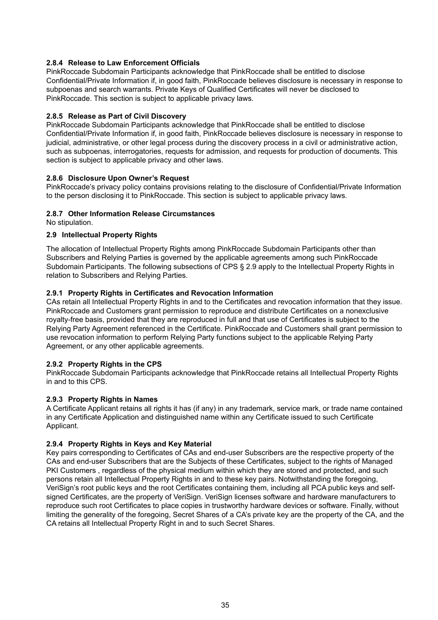#### **2.8.4 Release to Law Enforcement Officials**

PinkRoccade Subdomain Participants acknowledge that PinkRoccade shall be entitled to disclose Confidential/Private Information if, in good faith, PinkRoccade believes disclosure is necessary in response to subpoenas and search warrants. Private Keys of Qualified Certificates will never be disclosed to PinkRoccade. This section is subject to applicable privacy laws.

#### **2.8.5 Release as Part of Civil Discovery**

PinkRoccade Subdomain Participants acknowledge that PinkRoccade shall be entitled to disclose Confidential/Private Information if, in good faith, PinkRoccade believes disclosure is necessary in response to judicial, administrative, or other legal process during the discovery process in a civil or administrative action, such as subpoenas, interrogatories, requests for admission, and requests for production of documents. This section is subject to applicable privacy and other laws.

#### **2.8.6 Disclosure Upon Owner's Request**

PinkRoccade's privacy policy contains provisions relating to the disclosure of Confidential/Private Information to the person disclosing it to PinkRoccade. This section is subject to applicable privacy laws.

#### **2.8.7 Other Information Release Circumstances**

No stipulation.

#### **2.9 Intellectual Property Rights**

The allocation of Intellectual Property Rights among PinkRoccade Subdomain Participants other than Subscribers and Relying Parties is governed by the applicable agreements among such PinkRoccade Subdomain Participants. The following subsections of CPS § 2.9 apply to the Intellectual Property Rights in relation to Subscribers and Relying Parties.

#### **2.9.1 Property Rights in Certificates and Revocation Information**

CAs retain all Intellectual Property Rights in and to the Certificates and revocation information that they issue. PinkRoccade and Customers grant permission to reproduce and distribute Certificates on a nonexclusive royalty-free basis, provided that they are reproduced in full and that use of Certificates is subject to the Relying Party Agreement referenced in the Certificate. PinkRoccade and Customers shall grant permission to use revocation information to perform Relying Party functions subject to the applicable Relying Party Agreement, or any other applicable agreements.

#### **2.9.2 Property Rights in the CPS**

PinkRoccade Subdomain Participants acknowledge that PinkRoccade retains all Intellectual Property Rights in and to this CPS.

#### **2.9.3 Property Rights in Names**

A Certificate Applicant retains all rights it has (if any) in any trademark, service mark, or trade name contained in any Certificate Application and distinguished name within any Certificate issued to such Certificate Applicant.

#### **2.9.4 Property Rights in Keys and Key Material**

Key pairs corresponding to Certificates of CAs and end-user Subscribers are the respective property of the CAs and end-user Subscribers that are the Subjects of these Certificates, subject to the rights of Managed PKI Customers , regardless of the physical medium within which they are stored and protected, and such persons retain all Intellectual Property Rights in and to these key pairs. Notwithstanding the foregoing, VeriSign's root public keys and the root Certificates containing them, including all PCA public keys and selfsigned Certificates, are the property of VeriSign. VeriSign licenses software and hardware manufacturers to reproduce such root Certificates to place copies in trustworthy hardware devices or software. Finally, without limiting the generality of the foregoing, Secret Shares of a CA's private key are the property of the CA, and the CA retains all Intellectual Property Right in and to such Secret Shares.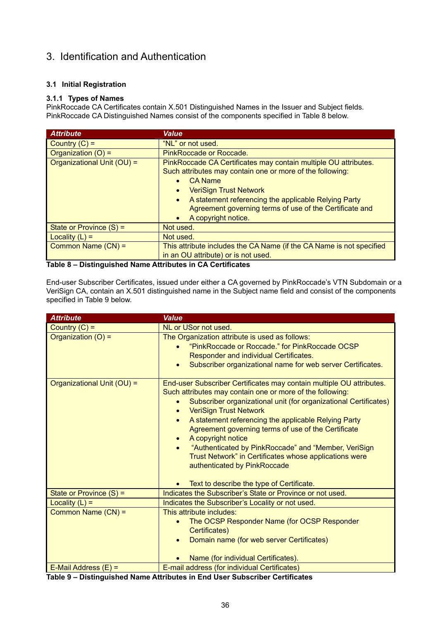# 3. Identification and Authentication

#### **3.1 Initial Registration**

#### **3.1.1 Types of Names**

PinkRoccade CA Certificates contain X.501 Distinguished Names in the Issuer and Subject fields. PinkRoccade CA Distinguished Names consist of the components specified in Table 8 below.

| <b>Attribute</b>           | <b>Value</b>                                                                                                                                                                                                   |
|----------------------------|----------------------------------------------------------------------------------------------------------------------------------------------------------------------------------------------------------------|
| Country $(C)$ =            | "NL" or not used.                                                                                                                                                                                              |
| Organization $(O)$ =       | PinkRoccade or Roccade.                                                                                                                                                                                        |
| Organizational Unit (OU) = | PinkRoccade CA Certificates may contain multiple OU attributes.<br>Such attributes may contain one or more of the following:<br><b>CA Name</b>                                                                 |
|                            | <b>VeriSign Trust Network</b><br>$\bullet$<br>A statement referencing the applicable Relying Party<br>$\bullet$<br>Agreement governing terms of use of the Certificate and<br>A copyright notice.<br>$\bullet$ |
| State or Province $(S)$ =  | Not used.                                                                                                                                                                                                      |
| Locality $(L)$ =           | Not used.                                                                                                                                                                                                      |
| Common Name (CN) =         | This attribute includes the CA Name (if the CA Name is not specified<br>in an OU attribute) or is not used.                                                                                                    |

#### **Table 8 – Distinguished Name Attributes in CA Certificates**

End-user Subscriber Certificates, issued under either a CA governed by PinkRoccade's VTN Subdomain or a VeriSign CA, contain an X.501 distinguished name in the Subject name field and consist of the components specified in Table 9 below.

| <b>Attribute</b>           | <b>Value</b>                                                                                                                                                                                                                                                                                                                                                                                                                                                                                                                                                                                                                                |
|----------------------------|---------------------------------------------------------------------------------------------------------------------------------------------------------------------------------------------------------------------------------------------------------------------------------------------------------------------------------------------------------------------------------------------------------------------------------------------------------------------------------------------------------------------------------------------------------------------------------------------------------------------------------------------|
| Country $(C)$ =            | NL or USor not used.                                                                                                                                                                                                                                                                                                                                                                                                                                                                                                                                                                                                                        |
| Organization (O) =         | The Organization attribute is used as follows:<br>"PinkRoccade or Roccade." for PinkRoccade OCSP<br>$\bullet$<br>Responder and individual Certificates.<br>Subscriber organizational name for web server Certificates.<br>$\bullet$                                                                                                                                                                                                                                                                                                                                                                                                         |
| Organizational Unit (OU) = | End-user Subscriber Certificates may contain multiple OU attributes.<br>Such attributes may contain one or more of the following:<br>Subscriber organizational unit (for organizational Certificates)<br>$\bullet$<br><b>VeriSign Trust Network</b><br>$\bullet$<br>A statement referencing the applicable Relying Party<br>$\bullet$<br>Agreement governing terms of use of the Certificate<br>A copyright notice<br>$\bullet$<br>"Authenticated by PinkRoccade" and "Member, VeriSign<br>$\bullet$<br>Trust Network" in Certificates whose applications were<br>authenticated by PinkRoccade<br>Text to describe the type of Certificate. |
| State or Province $(S)$ =  | Indicates the Subscriber's State or Province or not used.                                                                                                                                                                                                                                                                                                                                                                                                                                                                                                                                                                                   |
| Locality $(L)$ =           | Indicates the Subscriber's Locality or not used.                                                                                                                                                                                                                                                                                                                                                                                                                                                                                                                                                                                            |
| Common Name (CN) =         | This attribute includes:<br>The OCSP Responder Name (for OCSP Responder<br>Certificates)<br>Domain name (for web server Certificates)<br>$\bullet$<br>Name (for individual Certificates).                                                                                                                                                                                                                                                                                                                                                                                                                                                   |
| E-Mail Address $(E)$ =     | E-mail address (for individual Certificates)                                                                                                                                                                                                                                                                                                                                                                                                                                                                                                                                                                                                |

**Table 9 – Distinguished Name Attributes in End User Subscriber Certificates**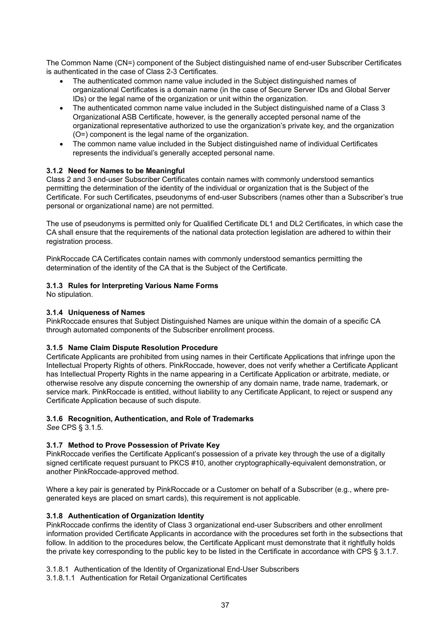The Common Name (CN=) component of the Subject distinguished name of end-user Subscriber Certificates is authenticated in the case of Class 2-3 Certificates.

- The authenticated common name value included in the Subject distinguished names of organizational Certificates is a domain name (in the case of Secure Server IDs and Global Server IDs) or the legal name of the organization or unit within the organization.
- The authenticated common name value included in the Subject distinguished name of a Class 3 Organizational ASB Certificate, however, is the generally accepted personal name of the organizational representative authorized to use the organization's private key, and the organization (O=) component is the legal name of the organization.
- The common name value included in the Subject distinguished name of individual Certificates represents the individual's generally accepted personal name.

#### **3.1.2 Need for Names to be Meaningful**

Class 2 and 3 end-user Subscriber Certificates contain names with commonly understood semantics permitting the determination of the identity of the individual or organization that is the Subject of the Certificate. For such Certificates, pseudonyms of end-user Subscribers (names other than a Subscriber's true personal or organizational name) are not permitted.

The use of pseudonyms is permitted only for Qualified Certificate DL1 and DL2 Certificates, in which case the CA shall ensure that the requirements of the national data protection legislation are adhered to within their registration process.

PinkRoccade CA Certificates contain names with commonly understood semantics permitting the determination of the identity of the CA that is the Subject of the Certificate.

#### **3.1.3 Rules for Interpreting Various Name Forms**

No stipulation.

#### **3.1.4 Uniqueness of Names**

PinkRoccade ensures that Subject Distinguished Names are unique within the domain of a specific CA through automated components of the Subscriber enrollment process.

#### **3.1.5 Name Claim Dispute Resolution Procedure**

Certificate Applicants are prohibited from using names in their Certificate Applications that infringe upon the Intellectual Property Rights of others. PinkRoccade, however, does not verify whether a Certificate Applicant has Intellectual Property Rights in the name appearing in a Certificate Application or arbitrate, mediate, or otherwise resolve any dispute concerning the ownership of any domain name, trade name, trademark, or service mark. PinkRoccade is entitled, without liability to any Certificate Applicant, to reject or suspend any Certificate Application because of such dispute.

#### **3.1.6 Recognition, Authentication, and Role of Trademarks**

*See* CPS § 3.1.5.

#### **3.1.7 Method to Prove Possession of Private Key**

PinkRoccade verifies the Certificate Applicant's possession of a private key through the use of a digitally signed certificate request pursuant to PKCS #10, another cryptographically-equivalent demonstration, or another PinkRoccade-approved method.

Where a key pair is generated by PinkRoccade or a Customer on behalf of a Subscriber (e.g., where pregenerated keys are placed on smart cards), this requirement is not applicable.

#### **3.1.8 Authentication of Organization Identity**

PinkRoccade confirms the identity of Class 3 organizational end-user Subscribers and other enrollment information provided Certificate Applicants in accordance with the procedures set forth in the subsections that follow. In addition to the procedures below, the Certificate Applicant must demonstrate that it rightfully holds the private key corresponding to the public key to be listed in the Certificate in accordance with CPS § 3.1.7.

- 3.1.8.1 Authentication of the Identity of Organizational End-User Subscribers
- 3.1.8.1.1 Authentication for Retail Organizational Certificates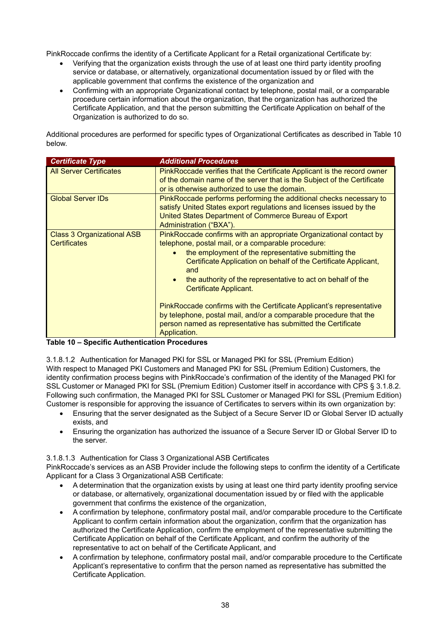PinkRoccade confirms the identity of a Certificate Applicant for a Retail organizational Certificate by:

- Verifying that the organization exists through the use of at least one third party identity proofing service or database, or alternatively, organizational documentation issued by or filed with the applicable government that confirms the existence of the organization and
- Confirming with an appropriate Organizational contact by telephone, postal mail, or a comparable procedure certain information about the organization, that the organization has authorized the Certificate Application, and that the person submitting the Certificate Application on behalf of the Organization is authorized to do so.

Additional procedures are performed for specific types of Organizational Certificates as described in Table 10 below.

| <b>Certificate Type</b>                                  | <b>Additional Procedures</b>                                                                                                                                                                                                                                                                                                                                                                                                                                                                                                                                                                 |
|----------------------------------------------------------|----------------------------------------------------------------------------------------------------------------------------------------------------------------------------------------------------------------------------------------------------------------------------------------------------------------------------------------------------------------------------------------------------------------------------------------------------------------------------------------------------------------------------------------------------------------------------------------------|
| <b>All Server Certificates</b>                           | PinkRoccade verifies that the Certificate Applicant is the record owner<br>of the domain name of the server that is the Subject of the Certificate<br>or is otherwise authorized to use the domain.                                                                                                                                                                                                                                                                                                                                                                                          |
| <b>Global Server IDs</b>                                 | PinkRoccade performs performing the additional checks necessary to<br>satisfy United States export regulations and licenses issued by the<br>United States Department of Commerce Bureau of Export<br>Administration ("BXA").                                                                                                                                                                                                                                                                                                                                                                |
| <b>Class 3 Organizational ASB</b><br><b>Certificates</b> | PinkRoccade confirms with an appropriate Organizational contact by<br>telephone, postal mail, or a comparable procedure:<br>the employment of the representative submitting the<br>$\bullet$<br>Certificate Application on behalf of the Certificate Applicant,<br>and<br>the authority of the representative to act on behalf of the<br>Certificate Applicant.<br>PinkRoccade confirms with the Certificate Applicant's representative<br>by telephone, postal mail, and/or a comparable procedure that the<br>person named as representative has submitted the Certificate<br>Application. |

#### **Table 10 – Specific Authentication Procedures**

3.1.8.1.2 Authentication for Managed PKI for SSL or Managed PKI for SSL (Premium Edition) With respect to Managed PKI Customers and Managed PKI for SSL (Premium Edition) Customers, the identity confirmation process begins with PinkRoccade's confirmation of the identity of the Managed PKI for SSL Customer or Managed PKI for SSL (Premium Edition) Customer itself in accordance with CPS § 3.1.8.2. Following such confirmation, the Managed PKI for SSL Customer or Managed PKI for SSL (Premium Edition) Customer is responsible for approving the issuance of Certificates to servers within its own organization by:

- Ensuring that the server designated as the Subject of a Secure Server ID or Global Server ID actually exists, and
- Ensuring the organization has authorized the issuance of a Secure Server ID or Global Server ID to the server.

#### 3.1.8.1.3 Authentication for Class 3 Organizational ASB Certificates

PinkRoccade's services as an ASB Provider include the following steps to confirm the identity of a Certificate Applicant for a Class 3 Organizational ASB Certificate:

- A determination that the organization exists by using at least one third party identity proofing service or database, or alternatively, organizational documentation issued by or filed with the applicable government that confirms the existence of the organization,
- A confirmation by telephone, confirmatory postal mail, and/or comparable procedure to the Certificate Applicant to confirm certain information about the organization, confirm that the organization has authorized the Certificate Application, confirm the employment of the representative submitting the Certificate Application on behalf of the Certificate Applicant, and confirm the authority of the representative to act on behalf of the Certificate Applicant, and
- A confirmation by telephone, confirmatory postal mail, and/or comparable procedure to the Certificate Applicant's representative to confirm that the person named as representative has submitted the Certificate Application.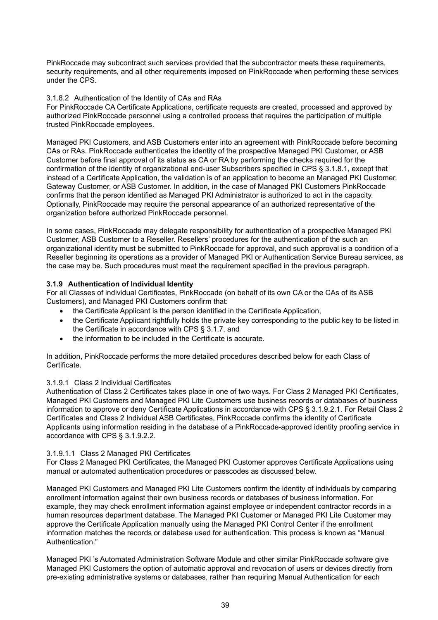PinkRoccade may subcontract such services provided that the subcontractor meets these requirements, security requirements, and all other requirements imposed on PinkRoccade when performing these services under the CPS.

#### 3.1.8.2 Authentication of the Identity of CAs and RAs

For PinkRoccade CA Certificate Applications, certificate requests are created, processed and approved by authorized PinkRoccade personnel using a controlled process that requires the participation of multiple trusted PinkRoccade employees.

Managed PKI Customers, and ASB Customers enter into an agreement with PinkRoccade before becoming CAs or RAs. PinkRoccade authenticates the identity of the prospective Managed PKI Customer, or ASB Customer before final approval of its status as CA or RA by performing the checks required for the confirmation of the identity of organizational end-user Subscribers specified in CPS § 3.1.8.1, except that instead of a Certificate Application, the validation is of an application to become an Managed PKI Customer, Gateway Customer, or ASB Customer. In addition, in the case of Managed PKI Customers PinkRoccade confirms that the person identified as Managed PKI Administrator is authorized to act in the capacity. Optionally, PinkRoccade may require the personal appearance of an authorized representative of the organization before authorized PinkRoccade personnel.

In some cases, PinkRoccade may delegate responsibility for authentication of a prospective Managed PKI Customer, ASB Customer to a Reseller. Resellers' procedures for the authentication of the such an organizational identity must be submitted to PinkRoccade for approval, and such approval is a condition of a Reseller beginning its operations as a provider of Managed PKI or Authentication Service Bureau services, as the case may be. Such procedures must meet the requirement specified in the previous paragraph.

#### **3.1.9 Authentication of Individual Identity**

For all Classes of individual Certificates, PinkRoccade (on behalf of its own CA or the CAs of its ASB Customers), and Managed PKI Customers confirm that:

- the Certificate Applicant is the person identified in the Certificate Application,
- the Certificate Applicant rightfully holds the private key corresponding to the public key to be listed in the Certificate in accordance with CPS § 3.1.7, and
- the information to be included in the Certificate is accurate.

In addition, PinkRoccade performs the more detailed procedures described below for each Class of Certificate.

#### 3.1.9.1 Class 2 Individual Certificates

Authentication of Class 2 Certificates takes place in one of two ways. For Class 2 Managed PKI Certificates, Managed PKI Customers and Managed PKI Lite Customers use business records or databases of business information to approve or deny Certificate Applications in accordance with CPS § 3.1.9.2.1. For Retail Class 2 Certificates and Class 2 Individual ASB Certificates, PinkRoccade confirms the identity of Certificate Applicants using information residing in the database of a PinkRoccade-approved identity proofing service in accordance with CPS § 3.1.9.2.2.

#### 3.1.9.1.1 Class 2 Managed PKI Certificates

For Class 2 Managed PKI Certificates, the Managed PKI Customer approves Certificate Applications using manual or automated authentication procedures or passcodes as discussed below.

Managed PKI Customers and Managed PKI Lite Customers confirm the identity of individuals by comparing enrollment information against their own business records or databases of business information. For example, they may check enrollment information against employee or independent contractor records in a human resources department database. The Managed PKI Customer or Managed PKI Lite Customer may approve the Certificate Application manually using the Managed PKI Control Center if the enrollment information matches the records or database used for authentication. This process is known as "Manual Authentication."

Managed PKI 's Automated Administration Software Module and other similar PinkRoccade software give Managed PKI Customers the option of automatic approval and revocation of users or devices directly from pre-existing administrative systems or databases, rather than requiring Manual Authentication for each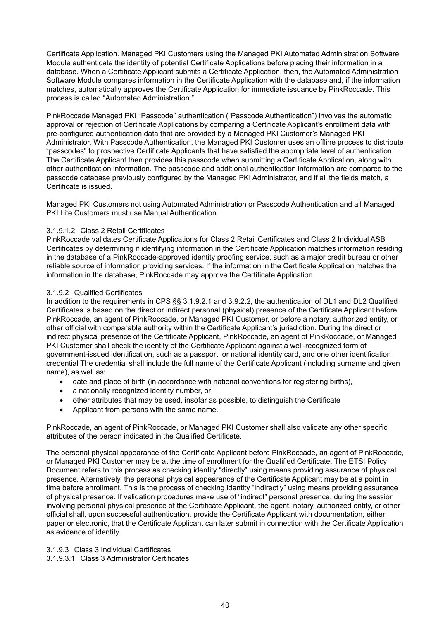Certificate Application. Managed PKI Customers using the Managed PKI Automated Administration Software Module authenticate the identity of potential Certificate Applications before placing their information in a database. When a Certificate Applicant submits a Certificate Application, then, the Automated Administration Software Module compares information in the Certificate Application with the database and, if the information matches, automatically approves the Certificate Application for immediate issuance by PinkRoccade. This process is called "Automated Administration."

PinkRoccade Managed PKI "Passcode" authentication ("Passcode Authentication") involves the automatic approval or rejection of Certificate Applications by comparing a Certificate Applicant's enrollment data with pre-configured authentication data that are provided by a Managed PKI Customer's Managed PKI Administrator. With Passcode Authentication, the Managed PKI Customer uses an offline process to distribute "passcodes" to prospective Certificate Applicants that have satisfied the appropriate level of authentication. The Certificate Applicant then provides this passcode when submitting a Certificate Application, along with other authentication information. The passcode and additional authentication information are compared to the passcode database previously configured by the Managed PKI Administrator, and if all the fields match, a Certificate is issued.

Managed PKI Customers not using Automated Administration or Passcode Authentication and all Managed PKI Lite Customers must use Manual Authentication.

#### 3.1.9.1.2 Class 2 Retail Certificates

PinkRoccade validates Certificate Applications for Class 2 Retail Certificates and Class 2 Individual ASB Certificates by determining if identifying information in the Certificate Application matches information residing in the database of a PinkRoccade-approved identity proofing service, such as a major credit bureau or other reliable source of information providing services. If the information in the Certificate Application matches the information in the database, PinkRoccade may approve the Certificate Application.

#### 3.1.9.2 Qualified Certificates

In addition to the requirements in CPS §§ 3.1.9.2.1 and 3.9.2.2, the authentication of DL1 and DL2 Qualified Certificates is based on the direct or indirect personal (physical) presence of the Certificate Applicant before PinkRoccade, an agent of PinkRoccade, or Managed PKI Customer, or before a notary, authorized entity, or other official with comparable authority within the Certificate Applicant's jurisdiction. During the direct or indirect physical presence of the Certificate Applicant, PinkRoccade, an agent of PinkRoccade, or Managed PKI Customer shall check the identity of the Certificate Applicant against a well-recognized form of government-issued identification, such as a passport, or national identity card, and one other identification credential The credential shall include the full name of the Certificate Applicant (including surname and given name), as well as:

- date and place of birth (in accordance with national conventions for registering births),
- a nationally recognized identity number, or
- other attributes that may be used, insofar as possible, to distinguish the Certificate
- Applicant from persons with the same name.

PinkRoccade, an agent of PinkRoccade, or Managed PKI Customer shall also validate any other specific attributes of the person indicated in the Qualified Certificate.

The personal physical appearance of the Certificate Applicant before PinkRoccade, an agent of PinkRoccade, or Managed PKI Customer may be at the time of enrollment for the Qualified Certificate. The ETSI Policy Document refers to this process as checking identity "directly" using means providing assurance of physical presence. Alternatively, the personal physical appearance of the Certificate Applicant may be at a point in time before enrollment. This is the process of checking identity "indirectly" using means providing assurance of physical presence. If validation procedures make use of "indirect" personal presence, during the session involving personal physical presence of the Certificate Applicant, the agent, notary, authorized entity, or other official shall, upon successful authentication, provide the Certificate Applicant with documentation, either paper or electronic, that the Certificate Applicant can later submit in connection with the Certificate Application as evidence of identity.

3.1.9.3 Class 3 Individual Certificates

3.1.9.3.1 Class 3 Administrator Certificates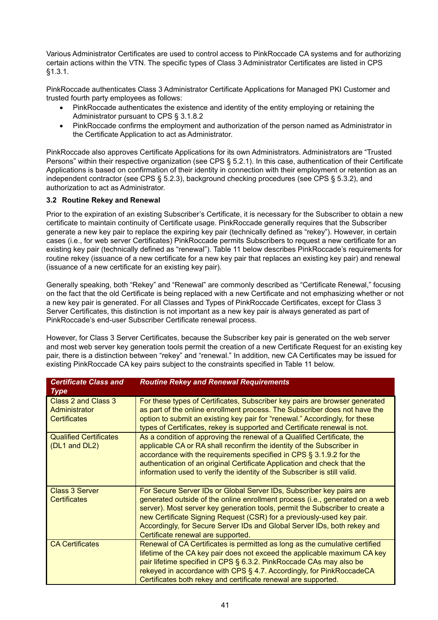Various Administrator Certificates are used to control access to PinkRoccade CA systems and for authorizing certain actions within the VTN. The specific types of Class 3 Administrator Certificates are listed in CPS §1.3.1.

PinkRoccade authenticates Class 3 Administrator Certificate Applications for Managed PKI Customer and trusted fourth party employees as follows:

- PinkRoccade authenticates the existence and identity of the entity employing or retaining the Administrator pursuant to CPS § 3.1.8.2
- PinkRoccade confirms the employment and authorization of the person named as Administrator in the Certificate Application to act as Administrator.

PinkRoccade also approves Certificate Applications for its own Administrators. Administrators are "Trusted Persons" within their respective organization (see CPS § 5.2.1). In this case, authentication of their Certificate Applications is based on confirmation of their identity in connection with their employment or retention as an independent contractor (see CPS § 5.2.3), background checking procedures (see CPS § 5.3.2), and authorization to act as Administrator.

## **3.2 Routine Rekey and Renewal**

Prior to the expiration of an existing Subscriber's Certificate, it is necessary for the Subscriber to obtain a new certificate to maintain continuity of Certificate usage. PinkRoccade generally requires that the Subscriber generate a new key pair to replace the expiring key pair (technically defined as "rekey"). However, in certain cases (i.e., for web server Certificates) PinkRoccade permits Subscribers to request a new certificate for an existing key pair (technically defined as "renewal"). Table 11 below describes PinkRoccade's requirements for routine rekey (issuance of a new certificate for a new key pair that replaces an existing key pair) and renewal (issuance of a new certificate for an existing key pair).

Generally speaking, both "Rekey" and "Renewal" are commonly described as "Certificate Renewal," focusing on the fact that the old Certificate is being replaced with a new Certificate and not emphasizing whether or not a new key pair is generated. For all Classes and Types of PinkRoccade Certificates, except for Class 3 Server Certificates, this distinction is not important as a new key pair is always generated as part of PinkRoccade's end-user Subscriber Certificate renewal process.

However, for Class 3 Server Certificates, because the Subscriber key pair is generated on the web server and most web server key generation tools permit the creation of a new Certificate Request for an existing key pair, there is a distinction between "rekey" and "renewal." In addition, new CA Certificates may be issued for existing PinkRoccade CA key pairs subject to the constraints specified in Table 11 below.

| <b>Certificate Class and</b><br><b>Type</b>                 | <b>Routine Rekey and Renewal Requirements</b>                                                                                                                                                                                                                                                                                                                                                                                   |
|-------------------------------------------------------------|---------------------------------------------------------------------------------------------------------------------------------------------------------------------------------------------------------------------------------------------------------------------------------------------------------------------------------------------------------------------------------------------------------------------------------|
| Class 2 and Class 3<br>Administrator<br><b>Certificates</b> | For these types of Certificates, Subscriber key pairs are browser generated<br>as part of the online enrollment process. The Subscriber does not have the<br>option to submit an existing key pair for "renewal." Accordingly, for these<br>types of Certificates, rekey is supported and Certificate renewal is not.                                                                                                           |
| <b>Qualified Certificates</b><br>(DL1 and DL2)              | As a condition of approving the renewal of a Qualified Certificate, the<br>applicable CA or RA shall reconfirm the identity of the Subscriber in<br>accordance with the requirements specified in CPS § 3.1.9.2 for the<br>authentication of an original Certificate Application and check that the<br>information used to verify the identity of the Subscriber is still valid.                                                |
| <b>Class 3 Server</b><br><b>Certificates</b>                | For Secure Server IDs or Global Server IDs, Subscriber key pairs are<br>generated outside of the online enrollment process (i.e., generated on a web<br>server). Most server key generation tools, permit the Subscriber to create a<br>new Certificate Signing Request (CSR) for a previously-used key pair.<br>Accordingly, for Secure Server IDs and Global Server IDs, both rekey and<br>Certificate renewal are supported. |
| <b>CA Certificates</b>                                      | Renewal of CA Certificates is permitted as long as the cumulative certified<br>lifetime of the CA key pair does not exceed the applicable maximum CA key<br>pair lifetime specified in CPS § 6.3.2. PinkRoccade CAs may also be<br>rekeyed in accordance with CPS § 4.7. Accordingly, for PinkRoccadeCA<br>Certificates both rekey and certificate renewal are supported.                                                       |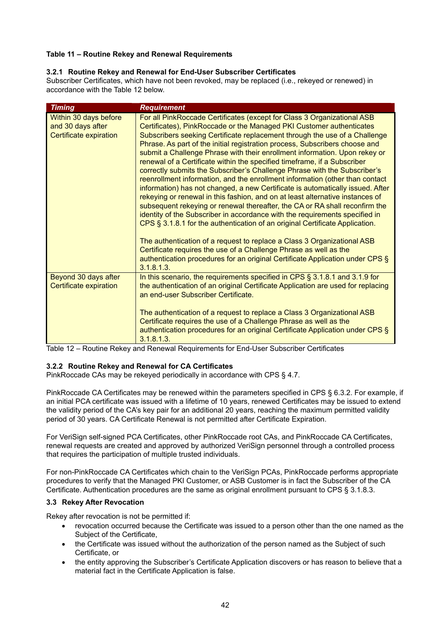# **Table 11 – Routine Rekey and Renewal Requirements**

## **3.2.1 Routine Rekey and Renewal for End-User Subscriber Certificates**

Subscriber Certificates, which have not been revoked, may be replaced (i.e., rekeyed or renewed) in accordance with the Table 12 below.

| <b>Timing</b>                                                        | <b>Requirement</b>                                                                                                                                                                                                                                                                                                                                                                                                                                                                                                                                                                                                                                                                                                                                                                                                                                                                                                                                                                                                                                                                                                                                                                                                                                                                                  |
|----------------------------------------------------------------------|-----------------------------------------------------------------------------------------------------------------------------------------------------------------------------------------------------------------------------------------------------------------------------------------------------------------------------------------------------------------------------------------------------------------------------------------------------------------------------------------------------------------------------------------------------------------------------------------------------------------------------------------------------------------------------------------------------------------------------------------------------------------------------------------------------------------------------------------------------------------------------------------------------------------------------------------------------------------------------------------------------------------------------------------------------------------------------------------------------------------------------------------------------------------------------------------------------------------------------------------------------------------------------------------------------|
| Within 30 days before<br>and 30 days after<br>Certificate expiration | For all PinkRoccade Certificates (except for Class 3 Organizational ASB<br>Certificates), PinkRoccade or the Managed PKI Customer authenticates<br>Subscribers seeking Certificate replacement through the use of a Challenge<br>Phrase. As part of the initial registration process, Subscribers choose and<br>submit a Challenge Phrase with their enrollment information. Upon rekey or<br>renewal of a Certificate within the specified timeframe, if a Subscriber<br>correctly submits the Subscriber's Challenge Phrase with the Subscriber's<br>reenrollment information, and the enrollment information (other than contact<br>information) has not changed, a new Certificate is automatically issued. After<br>rekeying or renewal in this fashion, and on at least alternative instances of<br>subsequent rekeying or renewal thereafter, the CA or RA shall reconfirm the<br>identity of the Subscriber in accordance with the requirements specified in<br>CPS § 3.1.8.1 for the authentication of an original Certificate Application.<br>The authentication of a request to replace a Class 3 Organizational ASB<br>Certificate requires the use of a Challenge Phrase as well as the<br>authentication procedures for an original Certificate Application under CPS §<br>3.1.8.1.3. |
| Beyond 30 days after<br>Certificate expiration                       | In this scenario, the requirements specified in CPS § 3.1.8.1 and 3.1.9 for<br>the authentication of an original Certificate Application are used for replacing<br>an end-user Subscriber Certificate.<br>The authentication of a request to replace a Class 3 Organizational ASB<br>Certificate requires the use of a Challenge Phrase as well as the<br>authentication procedures for an original Certificate Application under CPS §<br>3.1.8.1.3.                                                                                                                                                                                                                                                                                                                                                                                                                                                                                                                                                                                                                                                                                                                                                                                                                                               |

Table 12 – Routine Rekey and Renewal Requirements for End-User Subscriber Certificates

# **3.2.2 Routine Rekey and Renewal for CA Certificates**

PinkRoccade CAs may be rekeyed periodically in accordance with CPS § 4.7.

PinkRoccade CA Certificates may be renewed within the parameters specified in CPS § 6.3.2. For example, if an initial PCA certificate was issued with a lifetime of 10 years, renewed Certificates may be issued to extend the validity period of the CA's key pair for an additional 20 years, reaching the maximum permitted validity period of 30 years. CA Certificate Renewal is not permitted after Certificate Expiration.

For VeriSign self-signed PCA Certificates, other PinkRoccade root CAs, and PinkRoccade CA Certificates, renewal requests are created and approved by authorized VeriSign personnel through a controlled process that requires the participation of multiple trusted individuals.

For non-PinkRoccade CA Certificates which chain to the VeriSign PCAs, PinkRoccade performs appropriate procedures to verify that the Managed PKI Customer, or ASB Customer is in fact the Subscriber of the CA Certificate. Authentication procedures are the same as original enrollment pursuant to CPS § 3.1.8.3.

#### **3.3 Rekey After Revocation**

Rekey after revocation is not be permitted if:

- revocation occurred because the Certificate was issued to a person other than the one named as the Subject of the Certificate,
- the Certificate was issued without the authorization of the person named as the Subject of such Certificate, or
- the entity approving the Subscriber's Certificate Application discovers or has reason to believe that a material fact in the Certificate Application is false.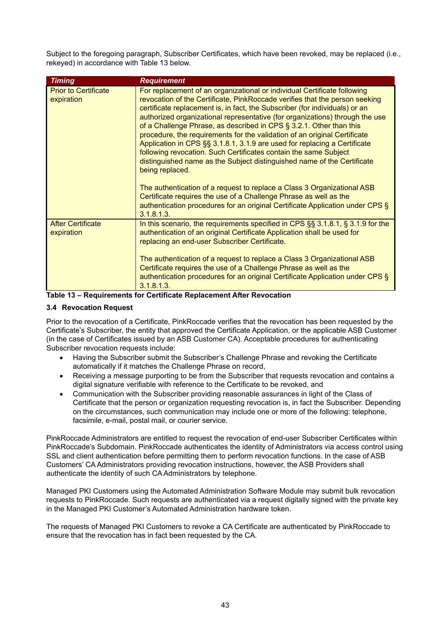Subject to the foregoing paragraph, Subscriber Certificates, which have been revoked, may be replaced (i.e., rekeyed) in accordance with Table 13 below.

| <b>Timing</b>                             | <b>Requirement</b>                                                                                                                                                                                                                                                                                                                                                                                                                                                                                                                                                                                                                                                                                                                                                                                                                                                                                                                                                       |
|-------------------------------------------|--------------------------------------------------------------------------------------------------------------------------------------------------------------------------------------------------------------------------------------------------------------------------------------------------------------------------------------------------------------------------------------------------------------------------------------------------------------------------------------------------------------------------------------------------------------------------------------------------------------------------------------------------------------------------------------------------------------------------------------------------------------------------------------------------------------------------------------------------------------------------------------------------------------------------------------------------------------------------|
| <b>Prior to Certificate</b><br>expiration | For replacement of an organizational or individual Certificate following<br>revocation of the Certificate, PinkRoccade verifies that the person seeking<br>certificate replacement is, in fact, the Subscriber (for individuals) or an<br>authorized organizational representative (for organizations) through the use<br>of a Challenge Phrase, as described in CPS § 3.2.1. Other than this<br>procedure, the requirements for the validation of an original Certificate<br>Application in CPS §§ 3.1.8.1, 3.1.9 are used for replacing a Certificate<br>following revocation. Such Certificates contain the same Subject<br>distinguished name as the Subject distinguished name of the Certificate<br>being replaced.<br>The authentication of a request to replace a Class 3 Organizational ASB<br>Certificate requires the use of a Challenge Phrase as well as the<br>authentication procedures for an original Certificate Application under CPS §<br>3.1.8.1.3. |
| <b>After Certificate</b><br>expiration    | In this scenario, the requirements specified in CPS $\S$ 3.1.8.1, $\S$ 3.1.9 for the<br>authentication of an original Certificate Application shall be used for<br>replacing an end-user Subscriber Certificate.<br>The authentication of a request to replace a Class 3 Organizational ASB<br>Certificate requires the use of a Challenge Phrase as well as the<br>authentication procedures for an original Certificate Application under CPS §<br>3.1.8.1.3.                                                                                                                                                                                                                                                                                                                                                                                                                                                                                                          |
|                                           |                                                                                                                                                                                                                                                                                                                                                                                                                                                                                                                                                                                                                                                                                                                                                                                                                                                                                                                                                                          |



## **3.4 Revocation Request**

Prior to the revocation of a Certificate, PinkRoccade verifies that the revocation has been requested by the Certificate's Subscriber, the entity that approved the Certificate Application, or the applicable ASB Customer (in the case of Certificates issued by an ASB Customer CA). Acceptable procedures for authenticating Subscriber revocation requests include:

- Having the Subscriber submit the Subscriber's Challenge Phrase and revoking the Certificate automatically if it matches the Challenge Phrase on record,
- Receiving a message purporting to be from the Subscriber that requests revocation and contains a digital signature verifiable with reference to the Certificate to be revoked, and
- Communication with the Subscriber providing reasonable assurances in light of the Class of Certificate that the person or organization requesting revocation is, in fact the Subscriber. Depending on the circumstances, such communication may include one or more of the following: telephone, facsimile, e-mail, postal mail, or courier service.

PinkRoccade Administrators are entitled to request the revocation of end-user Subscriber Certificates within PinkRoccade's Subdomain. PinkRoccade authenticates the identity of Administrators via access control using SSL and client authentication before permitting them to perform revocation functions. In the case of ASB Customers' CA Administrators providing revocation instructions, however, the ASB Providers shall authenticate the identity of such CA Administrators by telephone.

Managed PKI Customers using the Automated Administration Software Module may submit bulk revocation requests to PinkRoccade. Such requests are authenticated via a request digitally signed with the private key in the Managed PKI Customer's Automated Administration hardware token.

The requests of Managed PKI Customers to revoke a CA Certificate are authenticated by PinkRoccade to ensure that the revocation has in fact been requested by the CA.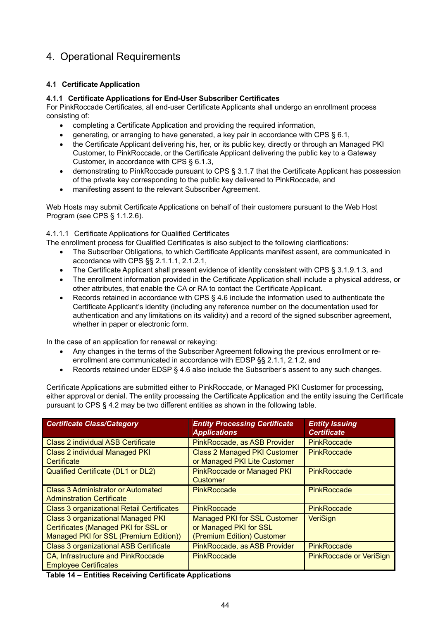# 4. Operational Requirements

# **4.1 Certificate Application**

## **4.1.1 Certificate Applications for End-User Subscriber Certificates**

For PinkRoccade Certificates, all end-user Certificate Applicants shall undergo an enrollment process consisting of:

- completing a Certificate Application and providing the required information,
- generating, or arranging to have generated, a key pair in accordance with CPS § 6.1,
- the Certificate Applicant delivering his, her, or its public key, directly or through an Managed PKI Customer, to PinkRoccade, or the Certificate Applicant delivering the public key to a Gateway Customer, in accordance with CPS § 6.1.3,
- demonstrating to PinkRoccade pursuant to CPS § 3.1.7 that the Certificate Applicant has possession of the private key corresponding to the public key delivered to PinkRoccade, and
- manifesting assent to the relevant Subscriber Agreement.

Web Hosts may submit Certificate Applications on behalf of their customers pursuant to the Web Host Program (see CPS § 1.1.2.6).

4.1.1.1 Certificate Applications for Qualified Certificates

- The enrollment process for Qualified Certificates is also subject to the following clarifications:
	- The Subscriber Obligations, to which Certificate Applicants manifest assent, are communicated in accordance with CPS §§ 2.1.1.1, 2.1.2.1,
	- The Certificate Applicant shall present evidence of identity consistent with CPS § 3.1.9.1.3, and
	- The enrollment information provided in the Certificate Application shall include a physical address, or other attributes, that enable the CA or RA to contact the Certificate Applicant.
	- Records retained in accordance with CPS § 4.6 include the information used to authenticate the Certificate Applicant's identity (including any reference number on the documentation used for authentication and any limitations on its validity) and a record of the signed subscriber agreement, whether in paper or electronic form.

In the case of an application for renewal or rekeying:

- Any changes in the terms of the Subscriber Agreement following the previous enrollment or reenrollment are communicated in accordance with EDSP §§ 2.1.1, 2.1.2, and
- Records retained under EDSP § 4.6 also include the Subscriber's assent to any such changes.

Certificate Applications are submitted either to PinkRoccade, or Managed PKI Customer for processing, either approval or denial. The entity processing the Certificate Application and the entity issuing the Certificate pursuant to CPS § 4.2 may be two different entities as shown in the following table.

| <b>Certificate Class/Category</b>                                                                                                  | <b>Entity Processing Certificate</b><br><b>Applications</b>                                 | <b>Entity Issuing</b><br><b>Certificate</b> |
|------------------------------------------------------------------------------------------------------------------------------------|---------------------------------------------------------------------------------------------|---------------------------------------------|
| <b>Class 2 individual ASB Certificate</b>                                                                                          | PinkRoccade, as ASB Provider                                                                | <b>PinkRoccade</b>                          |
| <b>Class 2 individual Managed PKI</b><br>Certificate                                                                               | <b>Class 2 Managed PKI Customer</b><br>or Managed PKI Lite Customer                         | <b>PinkRoccade</b>                          |
| Qualified Certificate (DL1 or DL2)                                                                                                 | <b>PinkRoccade or Managed PKI</b><br>Customer                                               | <b>PinkRoccade</b>                          |
| <b>Class 3 Administrator or Automated</b><br><b>Adminstration Certificate</b>                                                      | <b>PinkRoccade</b>                                                                          | <b>PinkRoccade</b>                          |
| <b>Class 3 organizational Retail Certificates</b>                                                                                  | <b>PinkRoccade</b>                                                                          | <b>PinkRoccade</b>                          |
| <b>Class 3 organizational Managed PKI</b><br><b>Certificates (Managed PKI for SSL or</b><br>Managed PKI for SSL (Premium Edition)) | <b>Managed PKI for SSL Customer</b><br>or Managed PKI for SSL<br>(Premium Edition) Customer | VeriSign                                    |
| <b>Class 3 organizational ASB Certificate</b>                                                                                      | PinkRoccade, as ASB Provider                                                                | <b>PinkRoccade</b>                          |
| CA, Infrastructure and PinkRoccade<br><b>Employee Certificates</b>                                                                 | <b>PinkRoccade</b>                                                                          | <b>PinkRoccade or VeriSign</b>              |

**Table 14 – Entities Receiving Certificate Applications**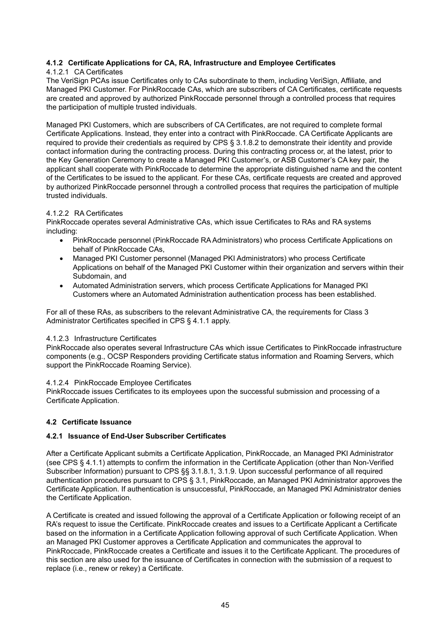## **4.1.2 Certificate Applications for CA, RA, Infrastructure and Employee Certificates**

#### 4.1.2.1 CA Certificates

The VeriSign PCAs issue Certificates only to CAs subordinate to them, including VeriSign, Affiliate, and Managed PKI Customer. For PinkRoccade CAs, which are subscribers of CA Certificates, certificate requests are created and approved by authorized PinkRoccade personnel through a controlled process that requires the participation of multiple trusted individuals.

Managed PKI Customers, which are subscribers of CA Certificates, are not required to complete formal Certificate Applications. Instead, they enter into a contract with PinkRoccade. CA Certificate Applicants are required to provide their credentials as required by CPS § 3.1.8.2 to demonstrate their identity and provide contact information during the contracting process. During this contracting process or, at the latest, prior to the Key Generation Ceremony to create a Managed PKI Customer's, or ASB Customer's CA key pair, the applicant shall cooperate with PinkRoccade to determine the appropriate distinguished name and the content of the Certificates to be issued to the applicant. For these CAs, certificate requests are created and approved by authorized PinkRoccade personnel through a controlled process that requires the participation of multiple trusted individuals.

#### 4.1.2.2 RA Certificates

PinkRoccade operates several Administrative CAs, which issue Certificates to RAs and RA systems including:

- PinkRoccade personnel (PinkRoccade RA Administrators) who process Certificate Applications on behalf of PinkRoccade CAs,
- Managed PKI Customer personnel (Managed PKI Administrators) who process Certificate Applications on behalf of the Managed PKI Customer within their organization and servers within their Subdomain, and
- Automated Administration servers, which process Certificate Applications for Managed PKI Customers where an Automated Administration authentication process has been established.

For all of these RAs, as subscribers to the relevant Administrative CA, the requirements for Class 3 Administrator Certificates specified in CPS § 4.1.1 apply.

#### 4.1.2.3 Infrastructure Certificates

PinkRoccade also operates several Infrastructure CAs which issue Certificates to PinkRoccade infrastructure components (e.g., OCSP Responders providing Certificate status information and Roaming Servers, which support the PinkRoccade Roaming Service).

#### 4.1.2.4 PinkRoccade Employee Certificates

PinkRoccade issues Certificates to its employees upon the successful submission and processing of a Certificate Application.

#### **4.2 Certificate Issuance**

#### **4.2.1 Issuance of End-User Subscriber Certificates**

After a Certificate Applicant submits a Certificate Application, PinkRoccade, an Managed PKI Administrator (see CPS § 4.1.1) attempts to confirm the information in the Certificate Application (other than Non-Verified Subscriber Information) pursuant to CPS §§ 3.1.8.1, 3.1.9. Upon successful performance of all required authentication procedures pursuant to CPS § 3.1, PinkRoccade, an Managed PKI Administrator approves the Certificate Application. If authentication is unsuccessful, PinkRoccade, an Managed PKI Administrator denies the Certificate Application.

A Certificate is created and issued following the approval of a Certificate Application or following receipt of an RA's request to issue the Certificate. PinkRoccade creates and issues to a Certificate Applicant a Certificate based on the information in a Certificate Application following approval of such Certificate Application. When an Managed PKI Customer approves a Certificate Application and communicates the approval to PinkRoccade, PinkRoccade creates a Certificate and issues it to the Certificate Applicant. The procedures of this section are also used for the issuance of Certificates in connection with the submission of a request to replace (i.e., renew or rekey) a Certificate.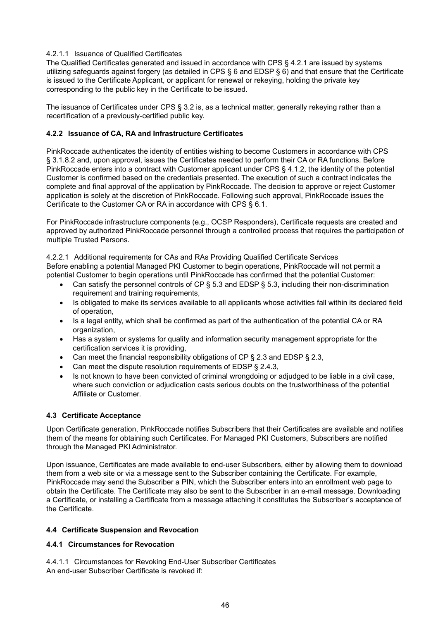# 4.2.1.1 Issuance of Qualified Certificates

The Qualified Certificates generated and issued in accordance with CPS § 4.2.1 are issued by systems utilizing safeguards against forgery (as detailed in CPS § 6 and EDSP § 6) and that ensure that the Certificate is issued to the Certificate Applicant, or applicant for renewal or rekeying, holding the private key corresponding to the public key in the Certificate to be issued.

The issuance of Certificates under CPS § 3.2 is, as a technical matter, generally rekeying rather than a recertification of a previously-certified public key.

## **4.2.2 Issuance of CA, RA and Infrastructure Certificates**

PinkRoccade authenticates the identity of entities wishing to become Customers in accordance with CPS § 3.1.8.2 and, upon approval, issues the Certificates needed to perform their CA or RA functions. Before PinkRoccade enters into a contract with Customer applicant under CPS § 4.1.2, the identity of the potential Customer is confirmed based on the credentials presented. The execution of such a contract indicates the complete and final approval of the application by PinkRoccade. The decision to approve or reject Customer application is solely at the discretion of PinkRoccade. Following such approval, PinkRoccade issues the Certificate to the Customer CA or RA in accordance with CPS § 6.1.

For PinkRoccade infrastructure components (e.g., OCSP Responders), Certificate requests are created and approved by authorized PinkRoccade personnel through a controlled process that requires the participation of multiple Trusted Persons.

4.2.2.1 Additional requirements for CAs and RAs Providing Qualified Certificate Services Before enabling a potential Managed PKI Customer to begin operations, PinkRoccade will not permit a potential Customer to begin operations until PinkRoccade has confirmed that the potential Customer:

- Can satisfy the personnel controls of CP § 5.3 and EDSP § 5.3, including their non-discrimination requirement and training requirements,
- Is obligated to make its services available to all applicants whose activities fall within its declared field of operation,
- Is a legal entity, which shall be confirmed as part of the authentication of the potential CA or RA organization,
- Has a system or systems for quality and information security management appropriate for the certification services it is providing,
- Can meet the financial responsibility obligations of CP § 2.3 and EDSP § 2.3,
- Can meet the dispute resolution requirements of EDSP § 2.4.3,
- Is not known to have been convicted of criminal wrongdoing or adjudged to be liable in a civil case, where such conviction or adjudication casts serious doubts on the trustworthiness of the potential Affiliate or Customer.

# **4.3 Certificate Acceptance**

Upon Certificate generation, PinkRoccade notifies Subscribers that their Certificates are available and notifies them of the means for obtaining such Certificates. For Managed PKI Customers, Subscribers are notified through the Managed PKI Administrator.

Upon issuance, Certificates are made available to end-user Subscribers, either by allowing them to download them from a web site or via a message sent to the Subscriber containing the Certificate. For example, PinkRoccade may send the Subscriber a PIN, which the Subscriber enters into an enrollment web page to obtain the Certificate. The Certificate may also be sent to the Subscriber in an e-mail message. Downloading a Certificate, or installing a Certificate from a message attaching it constitutes the Subscriber's acceptance of the Certificate.

#### **4.4 Certificate Suspension and Revocation**

## **4.4.1 Circumstances for Revocation**

4.4.1.1 Circumstances for Revoking End-User Subscriber Certificates An end-user Subscriber Certificate is revoked if: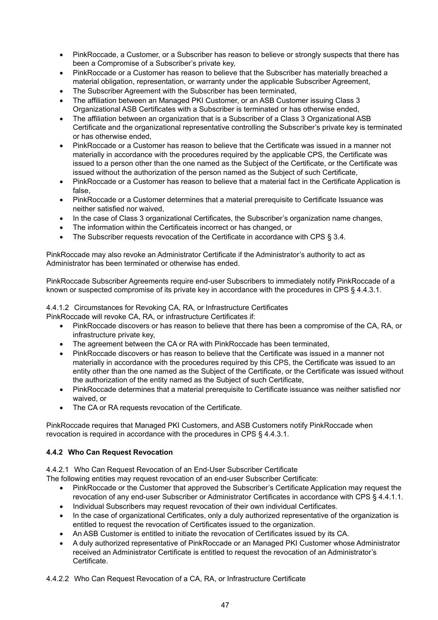- PinkRoccade, a Customer, or a Subscriber has reason to believe or strongly suspects that there has been a Compromise of a Subscriber's private key,
- PinkRoccade or a Customer has reason to believe that the Subscriber has materially breached a material obligation, representation, or warranty under the applicable Subscriber Agreement,
- The Subscriber Agreement with the Subscriber has been terminated,
- The affiliation between an Managed PKI Customer, or an ASB Customer issuing Class 3 Organizational ASB Certificates with a Subscriber is terminated or has otherwise ended,
- The affiliation between an organization that is a Subscriber of a Class 3 Organizational ASB Certificate and the organizational representative controlling the Subscriber's private key is terminated or has otherwise ended,
- PinkRoccade or a Customer has reason to believe that the Certificate was issued in a manner not materially in accordance with the procedures required by the applicable CPS, the Certificate was issued to a person other than the one named as the Subject of the Certificate, or the Certificate was issued without the authorization of the person named as the Subject of such Certificate,
- PinkRoccade or a Customer has reason to believe that a material fact in the Certificate Application is false,
- PinkRoccade or a Customer determines that a material prerequisite to Certificate Issuance was neither satisfied nor waived,
- In the case of Class 3 organizational Certificates, the Subscriber's organization name changes,
- The information within the Certificateis incorrect or has changed, or
- The Subscriber requests revocation of the Certificate in accordance with CPS § 3.4.

PinkRoccade may also revoke an Administrator Certificate if the Administrator's authority to act as Administrator has been terminated or otherwise has ended.

PinkRoccade Subscriber Agreements require end-user Subscribers to immediately notify PinkRoccade of a known or suspected compromise of its private key in accordance with the procedures in CPS § 4.4.3.1.

4.4.1.2 Circumstances for Revoking CA, RA, or Infrastructure Certificates PinkRoccade will revoke CA, RA, or infrastructure Certificates if:

- PinkRoccade discovers or has reason to believe that there has been a compromise of the CA, RA, or infrastructure private key,
- The agreement between the CA or RA with PinkRoccade has been terminated,
- PinkRoccade discovers or has reason to believe that the Certificate was issued in a manner not materially in accordance with the procedures required by this CPS, the Certificate was issued to an entity other than the one named as the Subject of the Certificate, or the Certificate was issued without the authorization of the entity named as the Subject of such Certificate,
- PinkRoccade determines that a material prerequisite to Certificate issuance was neither satisfied nor waived, or
- The CA or RA requests revocation of the Certificate.

PinkRoccade requires that Managed PKI Customers, and ASB Customers notify PinkRoccade when revocation is required in accordance with the procedures in CPS § 4.4.3.1.

# **4.4.2 Who Can Request Revocation**

4.4.2.1 Who Can Request Revocation of an End-User Subscriber Certificate

The following entities may request revocation of an end-user Subscriber Certificate:

- PinkRoccade or the Customer that approved the Subscriber's Certificate Application may request the revocation of any end-user Subscriber or Administrator Certificates in accordance with CPS § 4.4.1.1.
- Individual Subscribers may request revocation of their own individual Certificates.
- In the case of organizational Certificates, only a duly authorized representative of the organization is entitled to request the revocation of Certificates issued to the organization.
- An ASB Customer is entitled to initiate the revocation of Certificates issued by its CA.
- A duly authorized representative of PinkRoccade or an Managed PKI Customer whose Administrator received an Administrator Certificate is entitled to request the revocation of an Administrator's Certificate.
- 4.4.2.2 Who Can Request Revocation of a CA, RA, or Infrastructure Certificate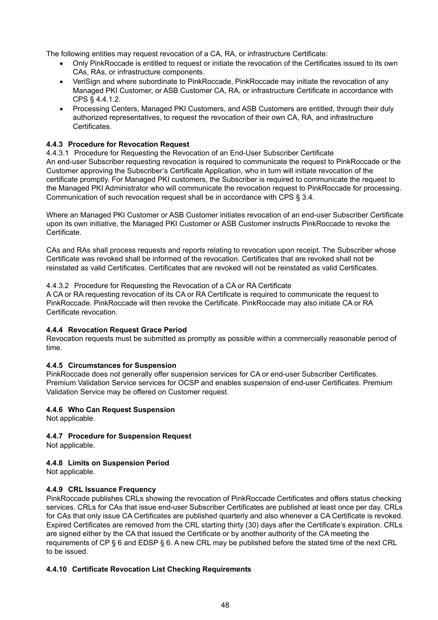The following entities may request revocation of a CA, RA, or infrastructure Certificate:

- Only PinkRoccade is entitled to request or initiate the revocation of the Certificates issued to its own CAs, RAs, or infrastructure components.
- VeriSign and where subordinate to PinkRoccade, PinkRoccade may initiate the revocation of any Managed PKI Customer, or ASB Customer CA, RA, or infrastructure Certificate in accordance with CPS § 4.4.1.2.
- Processing Centers, Managed PKI Customers, and ASB Customers are entitled, through their duly authorized representatives, to request the revocation of their own CA, RA, and infrastructure Certificates.

## **4.4.3 Procedure for Revocation Request**

4.4.3.1 Procedure for Requesting the Revocation of an End-User Subscriber Certificate An end-user Subscriber requesting revocation is required to communicate the request to PinkRoccade or the Customer approving the Subscriber's Certificate Application, who in turn will initiate revocation of the certificate promptly. For Managed PKI customers, the Subscriber is required to communicate the request to the Managed PKI Administrator who will communicate the revocation request to PinkRoccade for processing. Communication of such revocation request shall be in accordance with CPS § 3.4.

Where an Managed PKI Customer or ASB Customer initiates revocation of an end-user Subscriber Certificate upon its own initiative, the Managed PKI Customer or ASB Customer instructs PinkRoccade to revoke the Certificate.

CAs and RAs shall process requests and reports relating to revocation upon receipt. The Subscriber whose Certificate was revoked shall be informed of the revocation. Certificates that are revoked shall not be reinstated as valid Certificates. Certificates that are revoked will not be reinstated as valid Certificates.

#### 4.4.3.2 Procedure for Requesting the Revocation of a CA or RA Certificate

A CA or RA requesting revocation of its CA or RA Certificate is required to communicate the request to PinkRoccade. PinkRoccade will then revoke the Certificate. PinkRoccade may also initiate CA or RA Certificate revocation.

#### **4.4.4 Revocation Request Grace Period**

Revocation requests must be submitted as promptly as possible within a commercially reasonable period of time.

#### **4.4.5 Circumstances for Suspension**

PinkRoccade does not generally offer suspension services for CA or end-user Subscriber Certificates. Premium Validation Service services for OCSP and enables suspension of end-user Certificates. Premium Validation Service may be offered on Customer request.

#### **4.4.6 Who Can Request Suspension**

Not applicable.

# **4.4.7 Procedure for Suspension Request**

Not applicable.

#### **4.4.8 Limits on Suspension Period**

Not applicable.

#### **4.4.9 CRL Issuance Frequency**

PinkRoccade publishes CRLs showing the revocation of PinkRoccade Certificates and offers status checking services. CRLs for CAs that issue end-user Subscriber Certificates are published at least once per day. CRLs for CAs that only issue CA Certificates are published quarterly and also whenever a CA Certificate is revoked. Expired Certificates are removed from the CRL starting thirty (30) days after the Certificate's expiration. CRLs are signed either by the CA that issued the Certificate or by another authority of the CA meeting the requirements of CP § 6 and EDSP § 6. A new CRL may be published before the stated time of the next CRL to be issued.

#### **4.4.10 Certificate Revocation List Checking Requirements**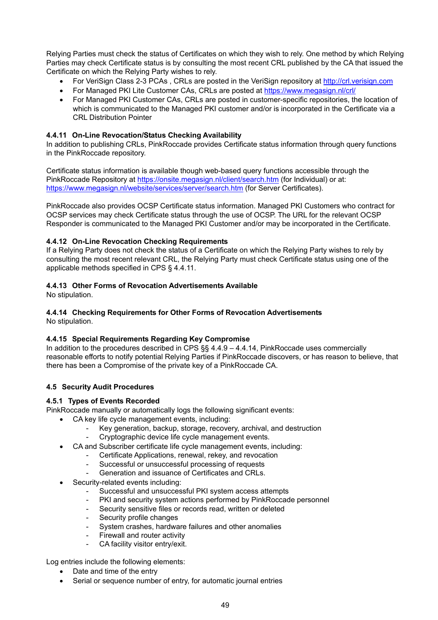Relying Parties must check the status of Certificates on which they wish to rely. One method by which Relying Parties may check Certificate status is by consulting the most recent CRL published by the CA that issued the Certificate on which the Relying Party wishes to rely.

- For VeriSign Class 2-3 PCAs, CRLs are posted in the VeriSign repository at http://crl.verisign.com
- For Managed PKI Lite Customer CAs, CRLs are posted at <https://www.megasign.nl/crl/>
- For Managed PKI Customer CAs, CRLs are posted in customer-specific repositories, the location of which is communicated to the Managed PKI customer and/or is incorporated in the Certificate via a CRL Distribution Pointer

## **4.4.11 On-Line Revocation/Status Checking Availability**

In addition to publishing CRLs, PinkRoccade provides Certificate status information through query functions in the PinkRoccade repository.

Certificate status information is available though web-based query functions accessible through the PinkRoccade Repository at <https://onsite.megasign.nl/client/search.htm>(for Individual) or at: <https://www.megasign.nl/website/services/server/search.htm> (for Server Certificates).

PinkRoccade also provides OCSP Certificate status information. Managed PKI Customers who contract for OCSP services may check Certificate status through the use of OCSP. The URL for the relevant OCSP Responder is communicated to the Managed PKI Customer and/or may be incorporated in the Certificate.

#### **4.4.12 On-Line Revocation Checking Requirements**

If a Relying Party does not check the status of a Certificate on which the Relying Party wishes to rely by consulting the most recent relevant CRL, the Relying Party must check Certificate status using one of the applicable methods specified in CPS § 4.4.11.

## **4.4.13 Other Forms of Revocation Advertisements Available**

No stipulation.

#### **4.4.14 Checking Requirements for Other Forms of Revocation Advertisements**  No stipulation.

#### **4.4.15 Special Requirements Regarding Key Compromise**

In addition to the procedures described in CPS §§ 4.4.9 – 4.4.14, PinkRoccade uses commercially reasonable efforts to notify potential Relying Parties if PinkRoccade discovers, or has reason to believe, that there has been a Compromise of the private key of a PinkRoccade CA.

#### **4.5 Security Audit Procedures**

#### **4.5.1 Types of Events Recorded**

PinkRoccade manually or automatically logs the following significant events:

- CA key life cycle management events, including:
	- Key generation, backup, storage, recovery, archival, and destruction
	- Cryptographic device life cycle management events.
	- CA and Subscriber certificate life cycle management events, including:
		- Certificate Applications, renewal, rekey, and revocation
		- Successful or unsuccessful processing of requests
		- Generation and issuance of Certificates and CRLs.
- Security-related events including:
	- Successful and unsuccessful PKI system access attempts
	- PKI and security system actions performed by PinkRoccade personnel
	- Security sensitive files or records read, written or deleted
	- Security profile changes
	- System crashes, hardware failures and other anomalies
	- Firewall and router activity
	- CA facility visitor entry/exit.

Log entries include the following elements:

- Date and time of the entry
- Serial or sequence number of entry, for automatic journal entries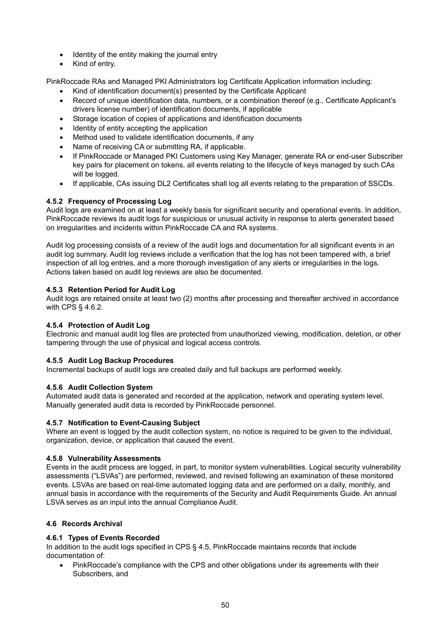- Identity of the entity making the journal entry
- Kind of entry.

PinkRoccade RAs and Managed PKI Administrators log Certificate Application information including:

- Kind of identification document(s) presented by the Certificate Applicant
- Record of unique identification data, numbers, or a combination thereof (e.g., Certificate Applicant's drivers license number) of identification documents, if applicable
- Storage location of copies of applications and identification documents
- Identity of entity accepting the application
- Method used to validate identification documents, if any
- Name of receiving CA or submitting RA, if applicable.
- If PinkRoccade or Managed PKI Customers using Key Manager, generate RA or end-user Subscriber key pairs for placement on tokens, all events relating to the lifecycle of keys managed by such CAs will be logged.
- If applicable, CAs issuing DL2 Certificates shall log all events relating to the preparation of SSCDs.

## **4.5.2 Frequency of Processing Log**

Audit logs are examined on at least a weekly basis for significant security and operational events. In addition, PinkRoccade reviews its audit logs for suspicious or unusual activity in response to alerts generated based on irregularities and incidents within PinkRoccade CA and RA systems.

Audit log processing consists of a review of the audit logs and documentation for all significant events in an audit log summary. Audit log reviews include a verification that the log has not been tampered with, a brief inspection of all log entries, and a more thorough investigation of any alerts or irregularities in the logs. Actions taken based on audit log reviews are also be documented.

#### **4.5.3 Retention Period for Audit Log**

Audit logs are retained onsite at least two (2) months after processing and thereafter archived in accordance with CPS § 4.6.2.

#### **4.5.4 Protection of Audit Log**

Electronic and manual audit log files are protected from unauthorized viewing, modification, deletion, or other tampering through the use of physical and logical access controls.

#### **4.5.5 Audit Log Backup Procedures**

Incremental backups of audit logs are created daily and full backups are performed weekly.

#### **4.5.6 Audit Collection System**

Automated audit data is generated and recorded at the application, network and operating system level. Manually generated audit data is recorded by PinkRoccade personnel.

#### **4.5.7 Notification to Event-Causing Subject**

Where an event is logged by the audit collection system, no notice is required to be given to the individual, organization, device, or application that caused the event.

#### **4.5.8 Vulnerability Assessments**

Events in the audit process are logged, in part, to monitor system vulnerabilities. Logical security vulnerability assessments ("LSVAs") are performed, reviewed, and revised following an examination of these monitored events. LSVAs are based on real-time automated logging data and are performed on a daily, monthly, and annual basis in accordance with the requirements of the Security and Audit Requirements Guide. An annual LSVA serves as an input into the annual Compliance Audit.

#### **4.6 Records Archival**

#### **4.6.1 Types of Events Recorded**

In addition to the audit logs specified in CPS § 4.5, PinkRoccade maintains records that include documentation of:

• PinkRoccade's compliance with the CPS and other obligations under its agreements with their Subscribers, and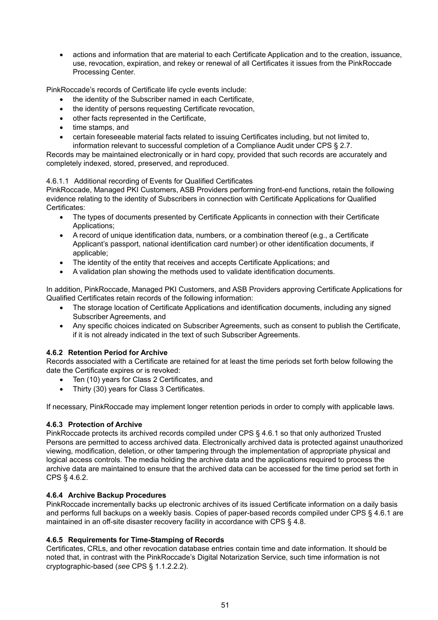• actions and information that are material to each Certificate Application and to the creation, issuance, use, revocation, expiration, and rekey or renewal of all Certificates it issues from the PinkRoccade Processing Center.

PinkRoccade's records of Certificate life cycle events include:

- the identity of the Subscriber named in each Certificate,
- the identity of persons requesting Certificate revocation,
- other facts represented in the Certificate,
- time stamps, and
- certain foreseeable material facts related to issuing Certificates including, but not limited to, information relevant to successful completion of a Compliance Audit under CPS § 2.7.

Records may be maintained electronically or in hard copy, provided that such records are accurately and completely indexed, stored, preserved, and reproduced.

## 4.6.1.1 Additional recording of Events for Qualified Certificates

PinkRoccade, Managed PKI Customers, ASB Providers performing front-end functions, retain the following evidence relating to the identity of Subscribers in connection with Certificate Applications for Qualified Certificates:

- The types of documents presented by Certificate Applicants in connection with their Certificate Applications;
- A record of unique identification data, numbers, or a combination thereof (e.g., a Certificate Applicant's passport, national identification card number) or other identification documents, if applicable;
- The identity of the entity that receives and accepts Certificate Applications; and
- A validation plan showing the methods used to validate identification documents.

In addition, PinkRoccade, Managed PKI Customers, and ASB Providers approving Certificate Applications for Qualified Certificates retain records of the following information:

- The storage location of Certificate Applications and identification documents, including any signed Subscriber Agreements, and
- Any specific choices indicated on Subscriber Agreements, such as consent to publish the Certificate, if it is not already indicated in the text of such Subscriber Agreements.

# **4.6.2 Retention Period for Archive**

Records associated with a Certificate are retained for at least the time periods set forth below following the date the Certificate expires or is revoked:

- Ten (10) years for Class 2 Certificates, and
- Thirty (30) years for Class 3 Certificates.

If necessary, PinkRoccade may implement longer retention periods in order to comply with applicable laws.

# **4.6.3 Protection of Archive**

PinkRoccade protects its archived records compiled under CPS § 4.6.1 so that only authorized Trusted Persons are permitted to access archived data. Electronically archived data is protected against unauthorized viewing, modification, deletion, or other tampering through the implementation of appropriate physical and logical access controls. The media holding the archive data and the applications required to process the archive data are maintained to ensure that the archived data can be accessed for the time period set forth in CPS § 4.6.2.

#### **4.6.4 Archive Backup Procedures**

PinkRoccade incrementally backs up electronic archives of its issued Certificate information on a daily basis and performs full backups on a weekly basis. Copies of paper-based records compiled under CPS § 4.6.1 are maintained in an off-site disaster recovery facility in accordance with CPS § 4.8.

#### **4.6.5 Requirements for Time-Stamping of Records**

Certificates, CRLs, and other revocation database entries contain time and date information. It should be noted that, in contrast with the PinkRoccade's Digital Notarization Service, such time information is not cryptographic-based (*see* CPS § 1.1.2.2.2).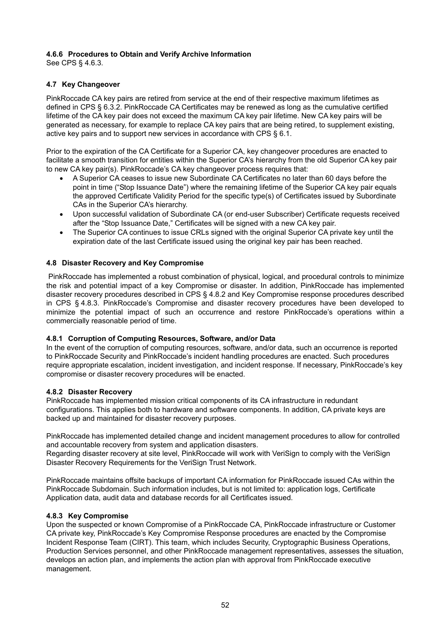## **4.6.6 Procedures to Obtain and Verify Archive Information**

See CPS § 4.6.3.

## **4.7 Key Changeover**

PinkRoccade CA key pairs are retired from service at the end of their respective maximum lifetimes as defined in CPS § 6.3.2. PinkRoccade CA Certificates may be renewed as long as the cumulative certified lifetime of the CA key pair does not exceed the maximum CA key pair lifetime. New CA key pairs will be generated as necessary, for example to replace CA key pairs that are being retired, to supplement existing, active key pairs and to support new services in accordance with CPS § 6.1.

Prior to the expiration of the CA Certificate for a Superior CA, key changeover procedures are enacted to facilitate a smooth transition for entities within the Superior CA's hierarchy from the old Superior CA key pair to new CA key pair(s). PinkRoccade's CA key changeover process requires that:

- A Superior CA ceases to issue new Subordinate CA Certificates no later than 60 days before the point in time ("Stop Issuance Date") where the remaining lifetime of the Superior CA key pair equals the approved Certificate Validity Period for the specific type(s) of Certificates issued by Subordinate CAs in the Superior CA's hierarchy.
- Upon successful validation of Subordinate CA (or end-user Subscriber) Certificate requests received after the "Stop Issuance Date," Certificates will be signed with a new CA key pair.
- The Superior CA continues to issue CRLs signed with the original Superior CA private key until the expiration date of the last Certificate issued using the original key pair has been reached.

## **4.8 Disaster Recovery and Key Compromise**

 PinkRoccade has implemented a robust combination of physical, logical, and procedural controls to minimize the risk and potential impact of a key Compromise or disaster. In addition, PinkRoccade has implemented disaster recovery procedures described in CPS § 4.8.2 and Key Compromise response procedures described in CPS § 4.8.3. PinkRoccade's Compromise and disaster recovery procedures have been developed to minimize the potential impact of such an occurrence and restore PinkRoccade's operations within a commercially reasonable period of time.

#### **4.8.1 Corruption of Computing Resources, Software, and/or Data**

In the event of the corruption of computing resources, software, and/or data, such an occurrence is reported to PinkRoccade Security and PinkRoccade's incident handling procedures are enacted. Such procedures require appropriate escalation, incident investigation, and incident response. If necessary, PinkRoccade's key compromise or disaster recovery procedures will be enacted.

#### **4.8.2 Disaster Recovery**

PinkRoccade has implemented mission critical components of its CA infrastructure in redundant configurations. This applies both to hardware and software components. In addition, CA private keys are backed up and maintained for disaster recovery purposes.

PinkRoccade has implemented detailed change and incident management procedures to allow for controlled and accountable recovery from system and application disasters.

Regarding disaster recovery at site level, PinkRoccade will work with VeriSign to comply with the VeriSign Disaster Recovery Requirements for the VeriSign Trust Network.

PinkRoccade maintains offsite backups of important CA information for PinkRoccade issued CAs within the PinkRoccade Subdomain. Such information includes, but is not limited to: application logs, Certificate Application data, audit data and database records for all Certificates issued.

#### **4.8.3 Key Compromise**

Upon the suspected or known Compromise of a PinkRoccade CA, PinkRoccade infrastructure or Customer CA private key, PinkRoccade's Key Compromise Response procedures are enacted by the Compromise Incident Response Team (CIRT). This team, which includes Security, Cryptographic Business Operations, Production Services personnel, and other PinkRoccade management representatives, assesses the situation, develops an action plan, and implements the action plan with approval from PinkRoccade executive management.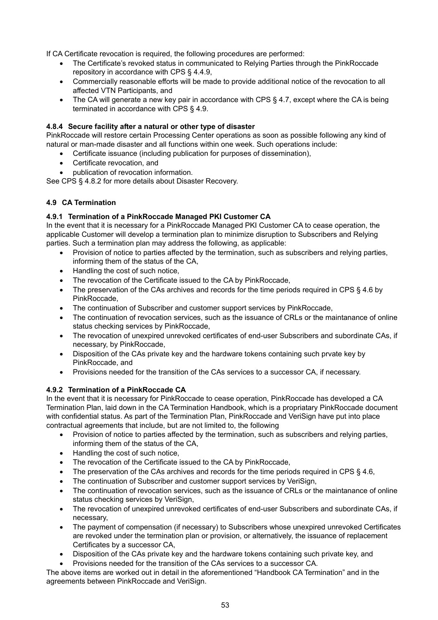If CA Certificate revocation is required, the following procedures are performed:

- The Certificate's revoked status in communicated to Relying Parties through the PinkRoccade repository in accordance with CPS § 4.4.9,
- Commercially reasonable efforts will be made to provide additional notice of the revocation to all affected VTN Participants, and
- The CA will generate a new key pair in accordance with CPS § 4.7, except where the CA is being terminated in accordance with CPS § 4.9.

## **4.8.4 Secure facility after a natural or other type of disaster**

PinkRoccade will restore certain Processing Center operations as soon as possible following any kind of natural or man-made disaster and all functions within one week. Such operations include:

- Certificate issuance (including publication for purposes of dissemination),
- Certificate revocation, and
- publication of revocation information.

See CPS § 4.8.2 for more details about Disaster Recovery.

## **4.9 CA Termination**

## **4.9.1 Termination of a PinkRoccade Managed PKI Customer CA**

In the event that it is necessary for a PinkRoccade Managed PKI Customer CA to cease operation, the applicable Customer will develop a termination plan to minimize disruption to Subscribers and Relying parties. Such a termination plan may address the following, as applicable:

- Provision of notice to parties affected by the termination, such as subscribers and relying parties, informing them of the status of the CA,
- Handling the cost of such notice,
- The revocation of the Certificate issued to the CA by PinkRoccade,
- The preservation of the CAs archives and records for the time periods required in CPS § 4.6 by PinkRoccade,
- The continuation of Subscriber and customer support services by PinkRoccade,
- The continuation of revocation services, such as the issuance of CRLs or the maintanance of online status checking services by PinkRoccade,
- The revocation of unexpired unrevoked certificates of end-user Subscribers and subordinate CAs, if necessary, by PinkRoccade,
- Disposition of the CAs private key and the hardware tokens containing such prvate key by PinkRoccade, and
- Provisions needed for the transition of the CAs services to a successor CA, if necessary.

#### **4.9.2 Termination of a PinkRoccade CA**

In the event that it is necessary for PinkRoccade to cease operation, PinkRoccade has developed a CA Termination Plan, laid down in the CA Termination Handbook, which is a propriatary PinkRoccade document with confidential status. As part of the Termination Plan, PinkRoccade and VeriSign have put into place contractual agreements that include, but are not limited to, the following

- Provision of notice to parties affected by the termination, such as subscribers and relying parties, informing them of the status of the CA,
- Handling the cost of such notice,
- The revocation of the Certificate issued to the CA by PinkRoccade,
- The preservation of the CAs archives and records for the time periods required in CPS § 4.6,
- The continuation of Subscriber and customer support services by VeriSign,
- The continuation of revocation services, such as the issuance of CRLs or the maintanance of online status checking services by VeriSign,
- The revocation of unexpired unrevoked certificates of end-user Subscribers and subordinate CAs, if necessary,
- The payment of compensation (if necessary) to Subscribers whose unexpired unrevoked Certificates are revoked under the termination plan or provision, or alternatively, the issuance of replacement Certificates by a successor CA,
- Disposition of the CAs private key and the hardware tokens containing such private key, and
- Provisions needed for the transition of the CAs services to a successor CA.

The above items are worked out in detail in the aforementioned "Handbook CA Termination" and in the agreements between PinkRoccade and VeriSign.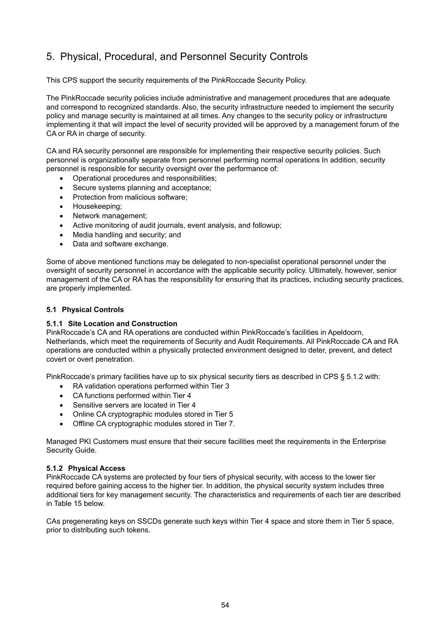# 5. Physical, Procedural, and Personnel Security Controls

This CPS support the security requirements of the PinkRoccade Security Policy.

The PinkRoccade security policies include administrative and management procedures that are adequate and correspond to recognized standards. Also, the security infrastructure needed to implement the security policy and manage security is maintained at all times. Any changes to the security policy or infrastructure implementing it that will impact the level of security provided will be approved by a management forum of the CA or RA in charge of security.

CA and RA security personnel are responsible for implementing their respective security policies. Such personnel is organizationally separate from personnel performing normal operations In addition, security personnel is responsible for security oversight over the performance of:

- Operational procedures and responsibilities;
- Secure systems planning and acceptance;
- Protection from malicious software;
- Housekeeping;
- Network management;
- Active monitoring of audit journals, event analysis, and followup;
- Media handling and security; and
- Data and software exchange.

Some of above mentioned functions may be delegated to non-specialist operational personnel under the oversight of security personnel in accordance with the applicable security policy. Ultimately, however, senior management of the CA or RA has the responsibility for ensuring that its practices, including security practices, are properly implemented.

## **5.1 Physical Controls**

#### **5.1.1 Site Location and Construction**

PinkRoccade's CA and RA operations are conducted within PinkRoccade's facilities in Apeldoorn, Netherlands, which meet the requirements of Security and Audit Requirements. All PinkRoccade CA and RA operations are conducted within a physically protected environment designed to deter, prevent, and detect covert or overt penetration.

PinkRoccade's primary facilities have up to six physical security tiers as described in CPS § 5.1.2 with:

- RA validation operations performed within Tier 3
- CA functions performed within Tier 4
- Sensitive servers are located in Tier 4
- Online CA cryptographic modules stored in Tier 5
- Offline CA cryptographic modules stored in Tier 7.

Managed PKI Customers must ensure that their secure facilities meet the requirements in the Enterprise Security Guide.

#### **5.1.2 Physical Access**

PinkRoccade CA systems are protected by four tiers of physical security, with access to the lower tier required before gaining access to the higher tier. In addition, the physical security system includes three additional tiers for key management security. The characteristics and requirements of each tier are described in Table 15 below.

CAs pregenerating keys on SSCDs generate such keys within Tier 4 space and store them in Tier 5 space, prior to distributing such tokens.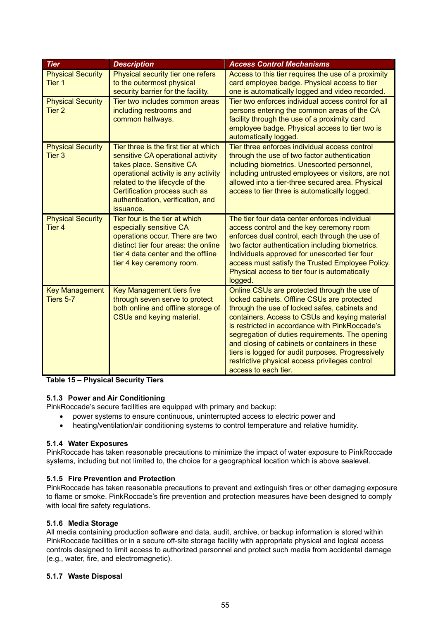| <b>Tier</b>                                   | <b>Description</b>                                                                                                                                                                                                                                                    | <b>Access Control Mechanisms</b>                                                                                                                                                                                                                                                                                                                                                                                                                                                     |
|-----------------------------------------------|-----------------------------------------------------------------------------------------------------------------------------------------------------------------------------------------------------------------------------------------------------------------------|--------------------------------------------------------------------------------------------------------------------------------------------------------------------------------------------------------------------------------------------------------------------------------------------------------------------------------------------------------------------------------------------------------------------------------------------------------------------------------------|
| <b>Physical Security</b><br>Tier <sub>1</sub> | Physical security tier one refers<br>to the outermost physical<br>security barrier for the facility.                                                                                                                                                                  | Access to this tier requires the use of a proximity<br>card employee badge. Physical access to tier<br>one is automatically logged and video recorded.                                                                                                                                                                                                                                                                                                                               |
| <b>Physical Security</b><br>Tier <sub>2</sub> | Tier two includes common areas<br>including restrooms and<br>common hallways.                                                                                                                                                                                         | Tier two enforces individual access control for all<br>persons entering the common areas of the CA<br>facility through the use of a proximity card<br>employee badge. Physical access to tier two is<br>automatically logged.                                                                                                                                                                                                                                                        |
| <b>Physical Security</b><br>Tier <sub>3</sub> | Tier three is the first tier at which<br>sensitive CA operational activity<br>takes place. Sensitive CA<br>operational activity is any activity<br>related to the lifecycle of the<br>Certification process such as<br>authentication, verification, and<br>issuance. | Tier three enforces individual access control<br>through the use of two factor authentication<br>including biometrics. Unescorted personnel,<br>including untrusted employees or visitors, are not<br>allowed into a tier-three secured area. Physical<br>access to tier three is automatically logged.                                                                                                                                                                              |
| <b>Physical Security</b><br>Tier <sub>4</sub> | Tier four is the tier at which<br>especially sensitive CA<br>operations occur. There are two<br>distinct tier four areas: the online<br>tier 4 data center and the offline<br>tier 4 key ceremony room.                                                               | The tier four data center enforces individual<br>access control and the key ceremony room<br>enforces dual control, each through the use of<br>two factor authentication including biometrics.<br>Individuals approved for unescorted tier four<br>access must satisfy the Trusted Employee Policy.<br>Physical access to tier four is automatically<br>logged.                                                                                                                      |
| <b>Key Management</b><br>Tiers 5-7            | <b>Key Management tiers five</b><br>through seven serve to protect<br>both online and offline storage of<br>CSUs and keying material.                                                                                                                                 | Online CSUs are protected through the use of<br>locked cabinets. Offline CSUs are protected<br>through the use of locked safes, cabinets and<br>containers. Access to CSUs and keying material<br>is restricted in accordance with PinkRoccade's<br>segregation of duties requirements. The opening<br>and closing of cabinets or containers in these<br>tiers is logged for audit purposes. Progressively<br>restrictive physical access privileges control<br>access to each tier. |

## **Table 15 – Physical Security Tiers**

# **5.1.3 Power and Air Conditioning**

PinkRoccade's secure facilities are equipped with primary and backup:

- power systems to ensure continuous, uninterrupted access to electric power and
- heating/ventilation/air conditioning systems to control temperature and relative humidity.

#### **5.1.4 Water Exposures**

PinkRoccade has taken reasonable precautions to minimize the impact of water exposure to PinkRoccade systems, including but not limited to, the choice for a geographical location which is above sealevel.

#### **5.1.5 Fire Prevention and Protection**

PinkRoccade has taken reasonable precautions to prevent and extinguish fires or other damaging exposure to flame or smoke. PinkRoccade's fire prevention and protection measures have been designed to comply with local fire safety regulations.

#### **5.1.6 Media Storage**

All media containing production software and data, audit, archive, or backup information is stored within PinkRoccade facilities or in a secure off-site storage facility with appropriate physical and logical access controls designed to limit access to authorized personnel and protect such media from accidental damage (e.g., water, fire, and electromagnetic).

#### **5.1.7 Waste Disposal**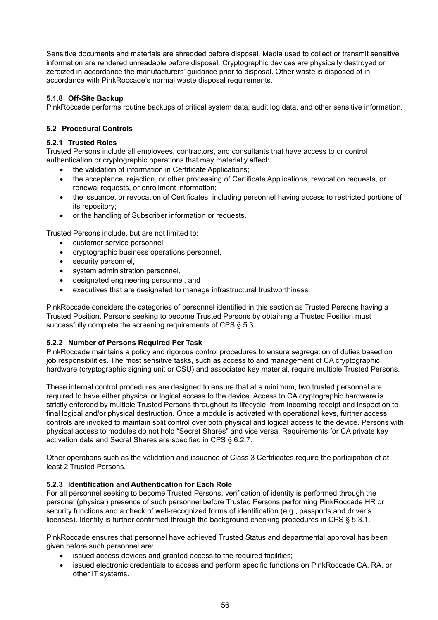Sensitive documents and materials are shredded before disposal. Media used to collect or transmit sensitive information are rendered unreadable before disposal. Cryptographic devices are physically destroyed or zeroized in accordance the manufacturers' guidance prior to disposal. Other waste is disposed of in accordance with PinkRoccade's normal waste disposal requirements.

# **5.1.8 Off-Site Backup**

PinkRoccade performs routine backups of critical system data, audit log data, and other sensitive information.

# **5.2 Procedural Controls**

## **5.2.1 Trusted Roles**

Trusted Persons include all employees, contractors, and consultants that have access to or control authentication or cryptographic operations that may materially affect:

- the validation of information in Certificate Applications;
- the acceptance, rejection, or other processing of Certificate Applications, revocation requests, or renewal requests, or enrollment information;
- the issuance, or revocation of Certificates, including personnel having access to restricted portions of its repository;
- or the handling of Subscriber information or requests.

Trusted Persons include, but are not limited to:

- customer service personnel,
- cryptographic business operations personnel,
- security personnel,
- system administration personnel.
- designated engineering personnel, and
- executives that are designated to manage infrastructural trustworthiness.

PinkRoccade considers the categories of personnel identified in this section as Trusted Persons having a Trusted Position. Persons seeking to become Trusted Persons by obtaining a Trusted Position must successfully complete the screening requirements of CPS § 5.3.

# **5.2.2 Number of Persons Required Per Task**

PinkRoccade maintains a policy and rigorous control procedures to ensure segregation of duties based on job responsibilities. The most sensitive tasks, such as access to and management of CA cryptographic hardware (cryptographic signing unit or CSU) and associated key material, require multiple Trusted Persons.

These internal control procedures are designed to ensure that at a minimum, two trusted personnel are required to have either physical or logical access to the device. Access to CA cryptographic hardware is strictly enforced by multiple Trusted Persons throughout its lifecycle, from incoming receipt and inspection to final logical and/or physical destruction. Once a module is activated with operational keys, further access controls are invoked to maintain split control over both physical and logical access to the device. Persons with physical access to modules do not hold "Secret Shares" and vice versa. Requirements for CA private key activation data and Secret Shares are specified in CPS § 6.2.7.

Other operations such as the validation and issuance of Class 3 Certificates require the participation of at least 2 Trusted Persons.

# **5.2.3 Identification and Authentication for Each Role**

For all personnel seeking to become Trusted Persons, verification of identity is performed through the personal (physical) presence of such personnel before Trusted Persons performing PinkRoccade HR or security functions and a check of well-recognized forms of identification (e.g., passports and driver's licenses). Identity is further confirmed through the background checking procedures in CPS § 5.3.1.

PinkRoccade ensures that personnel have achieved Trusted Status and departmental approval has been given before such personnel are:

- issued access devices and granted access to the required facilities;
- issued electronic credentials to access and perform specific functions on PinkRoccade CA, RA, or other IT systems.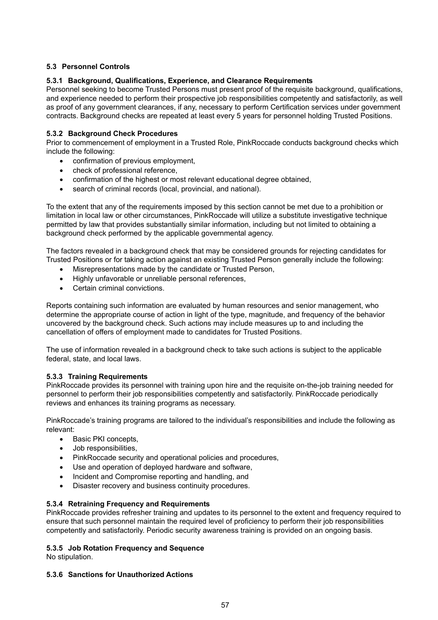# **5.3 Personnel Controls**

## **5.3.1 Background, Qualifications, Experience, and Clearance Requirements**

Personnel seeking to become Trusted Persons must present proof of the requisite background, qualifications, and experience needed to perform their prospective job responsibilities competently and satisfactorily, as well as proof of any government clearances, if any, necessary to perform Certification services under government contracts. Background checks are repeated at least every 5 years for personnel holding Trusted Positions.

## **5.3.2 Background Check Procedures**

Prior to commencement of employment in a Trusted Role, PinkRoccade conducts background checks which include the following:

- confirmation of previous employment,
- check of professional reference,
- confirmation of the highest or most relevant educational degree obtained,
- search of criminal records (local, provincial, and national).

To the extent that any of the requirements imposed by this section cannot be met due to a prohibition or limitation in local law or other circumstances, PinkRoccade will utilize a substitute investigative technique permitted by law that provides substantially similar information, including but not limited to obtaining a background check performed by the applicable governmental agency.

The factors revealed in a background check that may be considered grounds for rejecting candidates for Trusted Positions or for taking action against an existing Trusted Person generally include the following:

- Misrepresentations made by the candidate or Trusted Person,
- Highly unfavorable or unreliable personal references,
- Certain criminal convictions.

Reports containing such information are evaluated by human resources and senior management, who determine the appropriate course of action in light of the type, magnitude, and frequency of the behavior uncovered by the background check. Such actions may include measures up to and including the cancellation of offers of employment made to candidates for Trusted Positions.

The use of information revealed in a background check to take such actions is subject to the applicable federal, state, and local laws.

#### **5.3.3 Training Requirements**

PinkRoccade provides its personnel with training upon hire and the requisite on-the-job training needed for personnel to perform their job responsibilities competently and satisfactorily. PinkRoccade periodically reviews and enhances its training programs as necessary.

PinkRoccade's training programs are tailored to the individual's responsibilities and include the following as relevant:

- Basic PKI concepts,
- Job responsibilities,
- PinkRoccade security and operational policies and procedures,
- Use and operation of deployed hardware and software,
- Incident and Compromise reporting and handling, and
- Disaster recovery and business continuity procedures.

#### **5.3.4 Retraining Frequency and Requirements**

PinkRoccade provides refresher training and updates to its personnel to the extent and frequency required to ensure that such personnel maintain the required level of proficiency to perform their job responsibilities competently and satisfactorily. Periodic security awareness training is provided on an ongoing basis.

#### **5.3.5 Job Rotation Frequency and Sequence**

No stipulation.

#### **5.3.6 Sanctions for Unauthorized Actions**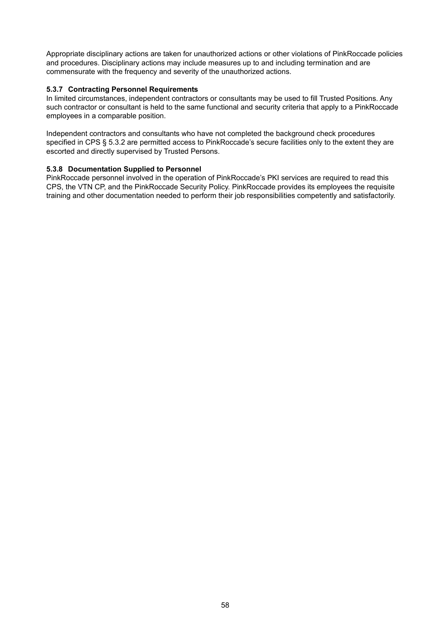Appropriate disciplinary actions are taken for unauthorized actions or other violations of PinkRoccade policies and procedures. Disciplinary actions may include measures up to and including termination and are commensurate with the frequency and severity of the unauthorized actions.

#### **5.3.7 Contracting Personnel Requirements**

In limited circumstances, independent contractors or consultants may be used to fill Trusted Positions. Any such contractor or consultant is held to the same functional and security criteria that apply to a PinkRoccade employees in a comparable position.

Independent contractors and consultants who have not completed the background check procedures specified in CPS § 5.3.2 are permitted access to PinkRoccade's secure facilities only to the extent they are escorted and directly supervised by Trusted Persons.

#### **5.3.8 Documentation Supplied to Personnel**

PinkRoccade personnel involved in the operation of PinkRoccade's PKI services are required to read this CPS, the VTN CP, and the PinkRoccade Security Policy. PinkRoccade provides its employees the requisite training and other documentation needed to perform their job responsibilities competently and satisfactorily.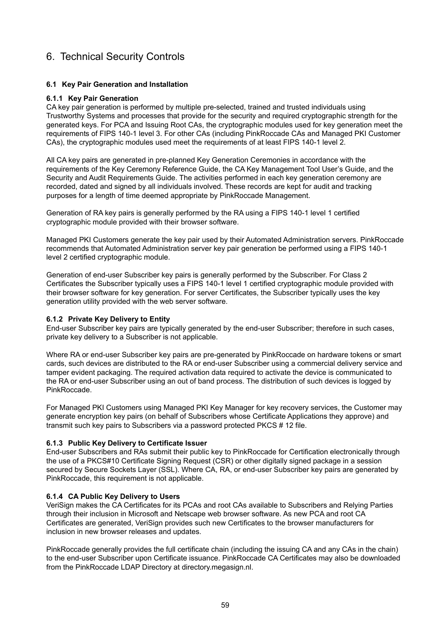# 6. Technical Security Controls

## **6.1 Key Pair Generation and Installation**

#### **6.1.1 Key Pair Generation**

CA key pair generation is performed by multiple pre-selected, trained and trusted individuals using Trustworthy Systems and processes that provide for the security and required cryptographic strength for the generated keys. For PCA and Issuing Root CAs, the cryptographic modules used for key generation meet the requirements of FIPS 140-1 level 3. For other CAs (including PinkRoccade CAs and Managed PKI Customer CAs), the cryptographic modules used meet the requirements of at least FIPS 140-1 level 2.

All CA key pairs are generated in pre-planned Key Generation Ceremonies in accordance with the requirements of the Key Ceremony Reference Guide, the CA Key Management Tool User's Guide, and the Security and Audit Requirements Guide. The activities performed in each key generation ceremony are recorded, dated and signed by all individuals involved. These records are kept for audit and tracking purposes for a length of time deemed appropriate by PinkRoccade Management.

Generation of RA key pairs is generally performed by the RA using a FIPS 140-1 level 1 certified cryptographic module provided with their browser software.

Managed PKI Customers generate the key pair used by their Automated Administration servers. PinkRoccade recommends that Automated Administration server key pair generation be performed using a FIPS 140-1 level 2 certified cryptographic module.

Generation of end-user Subscriber key pairs is generally performed by the Subscriber. For Class 2 Certificates the Subscriber typically uses a FIPS 140-1 level 1 certified cryptographic module provided with their browser software for key generation. For server Certificates, the Subscriber typically uses the key generation utility provided with the web server software.

#### **6.1.2 Private Key Delivery to Entity**

End-user Subscriber key pairs are typically generated by the end-user Subscriber; therefore in such cases, private key delivery to a Subscriber is not applicable.

Where RA or end-user Subscriber key pairs are pre-generated by PinkRoccade on hardware tokens or smart cards, such devices are distributed to the RA or end-user Subscriber using a commercial delivery service and tamper evident packaging. The required activation data required to activate the device is communicated to the RA or end-user Subscriber using an out of band process. The distribution of such devices is logged by PinkRoccade.

For Managed PKI Customers using Managed PKI Key Manager for key recovery services, the Customer may generate encryption key pairs (on behalf of Subscribers whose Certificate Applications they approve) and transmit such key pairs to Subscribers via a password protected PKCS # 12 file.

#### **6.1.3 Public Key Delivery to Certificate Issuer**

End-user Subscribers and RAs submit their public key to PinkRoccade for Certification electronically through the use of a PKCS#10 Certificate Signing Request (CSR) or other digitally signed package in a session secured by Secure Sockets Layer (SSL). Where CA, RA, or end-user Subscriber key pairs are generated by PinkRoccade, this requirement is not applicable.

#### **6.1.4 CA Public Key Delivery to Users**

VeriSign makes the CA Certificates for its PCAs and root CAs available to Subscribers and Relying Parties through their inclusion in Microsoft and Netscape web browser software. As new PCA and root CA Certificates are generated, VeriSign provides such new Certificates to the browser manufacturers for inclusion in new browser releases and updates.

PinkRoccade generally provides the full certificate chain (including the issuing CA and any CAs in the chain) to the end-user Subscriber upon Certificate issuance. PinkRoccade CA Certificates may also be downloaded from the PinkRoccade LDAP Directory at directory.megasign.nl.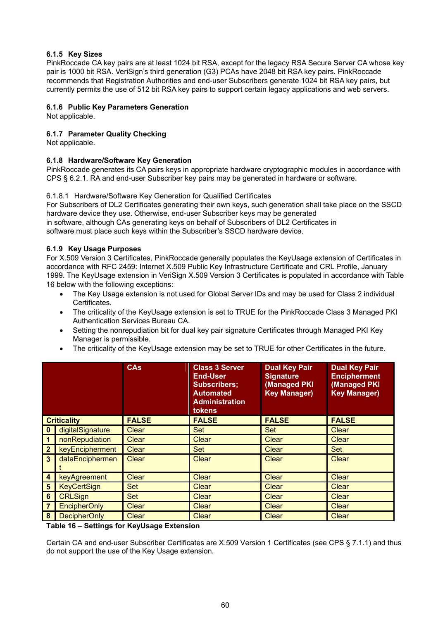# **6.1.5 Key Sizes**

PinkRoccade CA key pairs are at least 1024 bit RSA, except for the legacy RSA Secure Server CA whose key pair is 1000 bit RSA. VeriSign's third generation (G3) PCAs have 2048 bit RSA key pairs. PinkRoccade recommends that Registration Authorities and end-user Subscribers generate 1024 bit RSA key pairs, but currently permits the use of 512 bit RSA key pairs to support certain legacy applications and web servers.

# **6.1.6 Public Key Parameters Generation**

Not applicable.

# **6.1.7 Parameter Quality Checking**

Not applicable.

# **6.1.8 Hardware/Software Key Generation**

PinkRoccade generates its CA pairs keys in appropriate hardware cryptographic modules in accordance with CPS § 6.2.1. RA and end-user Subscriber key pairs may be generated in hardware or software.

6.1.8.1 Hardware/Software Key Generation for Qualified Certificates

For Subscribers of DL2 Certificates generating their own keys, such generation shall take place on the SSCD hardware device they use. Otherwise, end-user Subscriber keys may be generated in software, although CAs generating keys on behalf of Subscribers of DL2 Certificates in software must place such keys within the Subscriber's SSCD hardware device.

# **6.1.9 Key Usage Purposes**

For X.509 Version 3 Certificates, PinkRoccade generally populates the KeyUsage extension of Certificates in accordance with RFC 2459: Internet X.509 Public Key Infrastructure Certificate and CRL Profile, January 1999. The KeyUsage extension in VeriSign X.509 Version 3 Certificates is populated in accordance with Table 16 below with the following exceptions:

- The Key Usage extension is not used for Global Server IDs and may be used for Class 2 individual Certificates.
- The criticality of the KeyUsage extension is set to TRUE for the PinkRoccade Class 3 Managed PKI Authentication Services Bureau CA.
- Setting the nonrepudiation bit for dual key pair signature Certificates through Managed PKI Key Manager is permissible.
- The criticality of the KeyUsage extension may be set to TRUE for other Certificates in the future.

|                  |                     | <b>CAs</b>   | <b>Class 3 Server</b><br><b>End-User</b><br><b>Subscribers;</b><br><b>Automated</b><br><b>Administration</b><br><b>tokens</b> | <b>Dual Key Pair</b><br><b>Signature</b><br>(Managed PKI<br><b>Key Manager)</b> | <b>Dual Key Pair</b><br><b>Encipherment</b><br>(Managed PKI<br><b>Key Manager)</b> |
|------------------|---------------------|--------------|-------------------------------------------------------------------------------------------------------------------------------|---------------------------------------------------------------------------------|------------------------------------------------------------------------------------|
|                  | <b>Criticality</b>  | <b>FALSE</b> | <b>FALSE</b>                                                                                                                  | <b>FALSE</b>                                                                    | <b>FALSE</b>                                                                       |
| 0                | digitalSignature    | <b>Clear</b> | <b>Set</b>                                                                                                                    | Set                                                                             | <b>Clear</b>                                                                       |
|                  | nonRepudiation      | <b>Clear</b> | <b>Clear</b>                                                                                                                  | <b>Clear</b>                                                                    | <b>Clear</b>                                                                       |
| $\mathbf{2}$     | keyEncipherment     | <b>Clear</b> | <b>Set</b>                                                                                                                    | <b>Clear</b>                                                                    | Set                                                                                |
| $\overline{3}$   | dataEnciphermen     | <b>Clear</b> | Clear                                                                                                                         | <b>Clear</b>                                                                    | <b>Clear</b>                                                                       |
| $\boldsymbol{4}$ | keyAgreement        | Clear        | <b>Clear</b>                                                                                                                  | <b>Clear</b>                                                                    | <b>Clear</b>                                                                       |
| 5                | <b>KeyCertSign</b>  | <b>Set</b>   | <b>Clear</b>                                                                                                                  | <b>Clear</b>                                                                    | <b>Clear</b>                                                                       |
| 6                | <b>CRLSign</b>      | <b>Set</b>   | <b>Clear</b>                                                                                                                  | <b>Clear</b>                                                                    | <b>Clear</b>                                                                       |
| 7                | <b>EncipherOnly</b> | Clear        | <b>Clear</b>                                                                                                                  | <b>Clear</b>                                                                    | <b>Clear</b>                                                                       |
| 8                | <b>DecipherOnly</b> | Clear        | Clear                                                                                                                         | Clear                                                                           | Clear                                                                              |

**Table 16 – Settings for KeyUsage Extension** 

Certain CA and end-user Subscriber Certificates are X.509 Version 1 Certificates (see CPS § 7.1.1) and thus do not support the use of the Key Usage extension.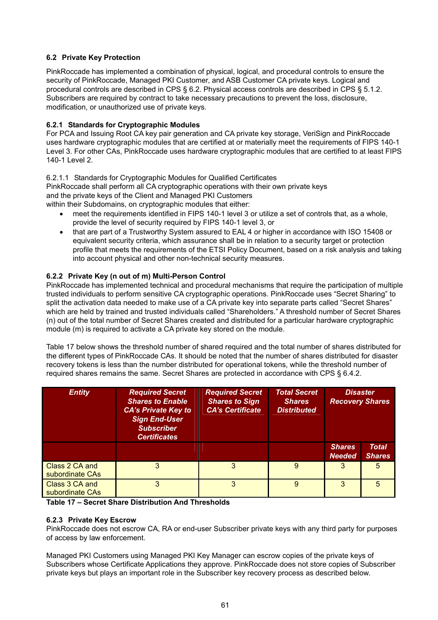# **6.2 Private Key Protection**

PinkRoccade has implemented a combination of physical, logical, and procedural controls to ensure the security of PinkRoccade, Managed PKI Customer, and ASB Customer CA private keys. Logical and procedural controls are described in CPS § 6.2. Physical access controls are described in CPS § 5.1.2. Subscribers are required by contract to take necessary precautions to prevent the loss, disclosure, modification, or unauthorized use of private keys.

# **6.2.1 Standards for Cryptographic Modules**

For PCA and Issuing Root CA key pair generation and CA private key storage, VeriSign and PinkRoccade uses hardware cryptographic modules that are certified at or materially meet the requirements of FIPS 140-1 Level 3. For other CAs, PinkRoccade uses hardware cryptographic modules that are certified to at least FIPS 140-1 Level 2.

# 6.2.1.1 Standards for Cryptographic Modules for Qualified Certificates

PinkRoccade shall perform all CA cryptographic operations with their own private keys and the private keys of the Client and Managed PKI Customers within their Subdomains, on cryptographic modules that either:

- - meet the requirements identified in FIPS 140-1 level 3 or utilize a set of controls that, as a whole, provide the level of security required by FIPS 140-1 level 3, or
	- that are part of a Trustworthy System assured to EAL 4 or higher in accordance with ISO 15408 or equivalent security criteria, which assurance shall be in relation to a security target or protection profile that meets the requirements of the ETSI Policy Document, based on a risk analysis and taking into account physical and other non-technical security measures.

# **6.2.2 Private Key (n out of m) Multi-Person Control**

PinkRoccade has implemented technical and procedural mechanisms that require the participation of multiple trusted individuals to perform sensitive CA cryptographic operations. PinkRoccade uses "Secret Sharing" to split the activation data needed to make use of a CA private key into separate parts called "Secret Shares" which are held by trained and trusted individuals called "Shareholders." A threshold number of Secret Shares (n) out of the total number of Secret Shares created and distributed for a particular hardware cryptographic module (m) is required to activate a CA private key stored on the module.

Table 17 below shows the threshold number of shared required and the total number of shares distributed for the different types of PinkRoccade CAs. It should be noted that the number of shares distributed for disaster recovery tokens is less than the number distributed for operational tokens, while the threshold number of required shares remains the same. Secret Shares are protected in accordance with CPS § 6.4.2.

| <b>Entity</b>                     | <b>Required Secret</b><br><b>Shares to Enable</b><br><b>CA's Private Key to</b><br><b>Sign End-User</b><br><b>Subscriber</b><br><b>Certificates</b> | <b>Required Secret</b><br><b>Shares to Sign</b><br><b>CA's Certificate</b> | <b>Total Secret</b><br><b>Shares</b><br><b>Distributed</b> | <b>Disaster</b><br><b>Recovery Shares</b> |                               |
|-----------------------------------|-----------------------------------------------------------------------------------------------------------------------------------------------------|----------------------------------------------------------------------------|------------------------------------------------------------|-------------------------------------------|-------------------------------|
|                                   |                                                                                                                                                     |                                                                            |                                                            | <b>Shares</b><br><b>Needed</b>            | <b>Total</b><br><b>Shares</b> |
| Class 2 CA and<br>subordinate CAs | 3                                                                                                                                                   | 3                                                                          | $\mathbf{Q}$                                               | 3                                         | 5                             |
| Class 3 CA and<br>subordinate CAs | 3                                                                                                                                                   | 3                                                                          | 9                                                          | 3                                         | 5                             |

**Table 17 – Secret Share Distribution And Thresholds** 

# **6.2.3 Private Key Escrow**

PinkRoccade does not escrow CA, RA or end-user Subscriber private keys with any third party for purposes of access by law enforcement.

Managed PKI Customers using Managed PKI Key Manager can escrow copies of the private keys of Subscribers whose Certificate Applications they approve. PinkRoccade does not store copies of Subscriber private keys but plays an important role in the Subscriber key recovery process as described below.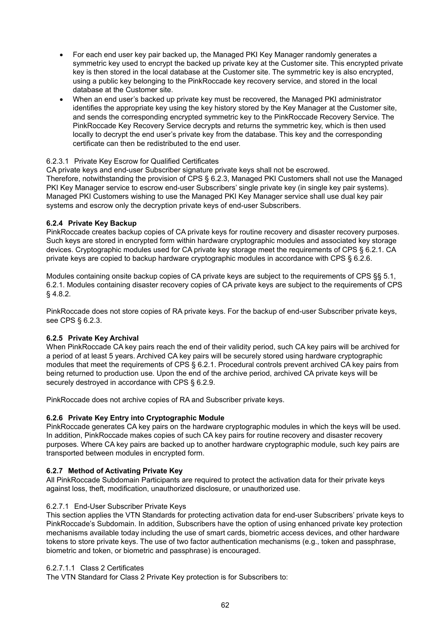- For each end user key pair backed up, the Managed PKI Key Manager randomly generates a symmetric key used to encrypt the backed up private key at the Customer site. This encrypted private key is then stored in the local database at the Customer site. The symmetric key is also encrypted, using a public key belonging to the PinkRoccade key recovery service, and stored in the local database at the Customer site.
- When an end user's backed up private key must be recovered, the Managed PKI administrator identifies the appropriate key using the key history stored by the Key Manager at the Customer site, and sends the corresponding encrypted symmetric key to the PinkRoccade Recovery Service. The PinkRoccade Key Recovery Service decrypts and returns the symmetric key, which is then used locally to decrypt the end user's private key from the database. This key and the corresponding certificate can then be redistributed to the end user.

#### 6.2.3.1 Private Key Escrow for Qualified Certificates

CA private keys and end-user Subscriber signature private keys shall not be escrowed. Therefore, notwithstanding the provision of CPS § 6.2.3, Managed PKI Customers shall not use the Managed PKI Key Manager service to escrow end-user Subscribers' single private key (in single key pair systems). Managed PKI Customers wishing to use the Managed PKI Key Manager service shall use dual key pair systems and escrow only the decryption private keys of end-user Subscribers.

## **6.2.4 Private Key Backup**

PinkRoccade creates backup copies of CA private keys for routine recovery and disaster recovery purposes. Such keys are stored in encrypted form within hardware cryptographic modules and associated key storage devices. Cryptographic modules used for CA private key storage meet the requirements of CPS § 6.2.1. CA private keys are copied to backup hardware cryptographic modules in accordance with CPS § 6.2.6.

Modules containing onsite backup copies of CA private keys are subject to the requirements of CPS §§ 5.1, 6.2.1. Modules containing disaster recovery copies of CA private keys are subject to the requirements of CPS § 4.8.2.

PinkRoccade does not store copies of RA private keys. For the backup of end-user Subscriber private keys, see CPS § 6.2.3.

# **6.2.5 Private Key Archival**

When PinkRoccade CA key pairs reach the end of their validity period, such CA key pairs will be archived for a period of at least 5 years. Archived CA key pairs will be securely stored using hardware cryptographic modules that meet the requirements of CPS § 6.2.1. Procedural controls prevent archived CA key pairs from being returned to production use. Upon the end of the archive period, archived CA private keys will be securely destroyed in accordance with CPS § 6.2.9.

PinkRoccade does not archive copies of RA and Subscriber private keys.

# **6.2.6 Private Key Entry into Cryptographic Module**

PinkRoccade generates CA key pairs on the hardware cryptographic modules in which the keys will be used. In addition, PinkRoccade makes copies of such CA key pairs for routine recovery and disaster recovery purposes. Where CA key pairs are backed up to another hardware cryptographic module, such key pairs are transported between modules in encrypted form.

#### **6.2.7 Method of Activating Private Key**

All PinkRoccade Subdomain Participants are required to protect the activation data for their private keys against loss, theft, modification, unauthorized disclosure, or unauthorized use.

#### 6.2.7.1 End-User Subscriber Private Keys

This section applies the VTN Standards for protecting activation data for end-user Subscribers' private keys to PinkRoccade's Subdomain. In addition, Subscribers have the option of using enhanced private key protection mechanisms available today including the use of smart cards, biometric access devices, and other hardware tokens to store private keys. The use of two factor authentication mechanisms (e.g., token and passphrase, biometric and token, or biometric and passphrase) is encouraged.

#### 6.2.7.1.1 Class 2 Certificates

The VTN Standard for Class 2 Private Key protection is for Subscribers to: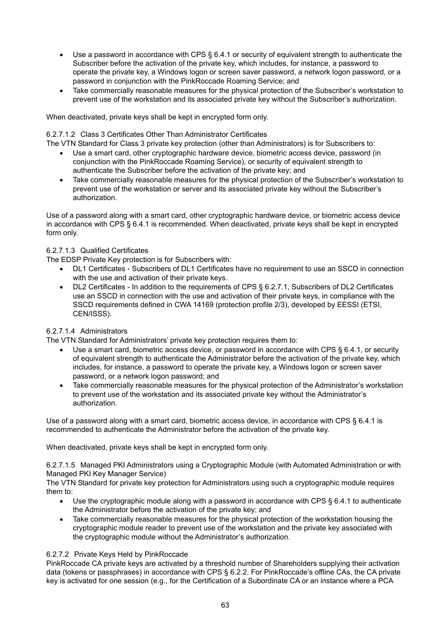- Use a password in accordance with CPS § 6.4.1 or security of equivalent strength to authenticate the Subscriber before the activation of the private key, which includes, for instance, a password to operate the private key, a Windows logon or screen saver password, a network logon password, or a password in conjunction with the PinkRoccade Roaming Service; and
- Take commercially reasonable measures for the physical protection of the Subscriber's workstation to prevent use of the workstation and its associated private key without the Subscriber's authorization.

When deactivated, private keys shall be kept in encrypted form only.

#### 6.2.7.1.2 Class 3 Certificates Other Than Administrator Certificates

The VTN Standard for Class 3 private key protection (other than Administrators) is for Subscribers to:

- Use a smart card, other cryptographic hardware device, biometric access device, password (in conjunction with the PinkRoccade Roaming Service), or security of equivalent strength to authenticate the Subscriber before the activation of the private key; and
- Take commercially reasonable measures for the physical protection of the Subscriber's workstation to prevent use of the workstation or server and its associated private key without the Subscriber's authorization.

Use of a password along with a smart card, other cryptographic hardware device, or biometric access device in accordance with CPS § 6.4.1 is recommended. When deactivated, private keys shall be kept in encrypted form only.

## 6.2.7.1.3 Qualified Certificates

The EDSP Private Key protection is for Subscribers with:

- DL1 Certificates Subscribers of DL1 Certificates have no requirement to use an SSCD in connection with the use and activation of their private keys.
- DL2 Certificates In addition to the requirements of CPS § 6.2.7.1. Subscribers of DL2 Certificates use an SSCD in connection with the use and activation of their private keys, in compliance with the SSCD requirements defined in CWA 14169 (protection profile 2/3), developed by EESSI (ETSI, CEN/ISSS).

# 6.2.7.1.4 Administrators

The VTN Standard for Administrators' private key protection requires them to:

- Use a smart card, biometric access device, or password in accordance with CPS § 6.4.1, or security of equivalent strength to authenticate the Administrator before the activation of the private key, which includes, for instance, a password to operate the private key, a Windows logon or screen saver password, or a network logon password; and
- Take commercially reasonable measures for the physical protection of the Administrator's workstation to prevent use of the workstation and its associated private key without the Administrator's authorization.

Use of a password along with a smart card, biometric access device, in accordance with CPS § 6.4.1 is recommended to authenticate the Administrator before the activation of the private key.

When deactivated, private keys shall be kept in encrypted form only.

6.2.7.1.5 Managed PKI Administrators using a Cryptographic Module (with Automated Administration or with Managed PKI Key Manager Service)

The VTN Standard for private key protection for Administrators using such a cryptographic module requires them to:

- Use the cryptographic module along with a password in accordance with CPS § 6.4.1 to authenticate the Administrator before the activation of the private key; and
- Take commercially reasonable measures for the physical protection of the workstation housing the cryptographic module reader to prevent use of the workstation and the private key associated with the cryptographic module without the Administrator's authorization.

## 6.2.7.2 Private Keys Held by PinkRoccade

PinkRoccade CA private keys are activated by a threshold number of Shareholders supplying their activation data (tokens or passphrases) in accordance with CPS § 6.2.2. For PinkRoccade's offline CAs, the CA private key is activated for one session (e.g., for the Certification of a Subordinate CA or an instance where a PCA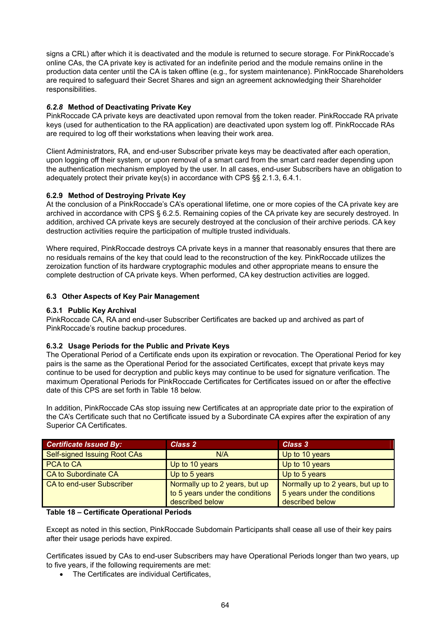signs a CRL) after which it is deactivated and the module is returned to secure storage. For PinkRoccade's online CAs, the CA private key is activated for an indefinite period and the module remains online in the production data center until the CA is taken offline (e.g., for system maintenance). PinkRoccade Shareholders are required to safeguard their Secret Shares and sign an agreement acknowledging their Shareholder responsibilities.

## *6.2.8* **Method of Deactivating Private Key**

PinkRoccade CA private keys are deactivated upon removal from the token reader. PinkRoccade RA private keys (used for authentication to the RA application) are deactivated upon system log off. PinkRoccade RAs are required to log off their workstations when leaving their work area.

Client Administrators, RA, and end-user Subscriber private keys may be deactivated after each operation, upon logging off their system, or upon removal of a smart card from the smart card reader depending upon the authentication mechanism employed by the user. In all cases, end-user Subscribers have an obligation to adequately protect their private key(s) in accordance with CPS §§ 2.1.3, 6.4.1.

## **6.2.9 Method of Destroying Private Key**

At the conclusion of a PinkRoccade's CA's operational lifetime, one or more copies of the CA private key are archived in accordance with CPS § 6.2.5. Remaining copies of the CA private key are securely destroyed. In addition, archived CA private keys are securely destroyed at the conclusion of their archive periods. CA key destruction activities require the participation of multiple trusted individuals.

Where required, PinkRoccade destroys CA private keys in a manner that reasonably ensures that there are no residuals remains of the key that could lead to the reconstruction of the key. PinkRoccade utilizes the zeroization function of its hardware cryptographic modules and other appropriate means to ensure the complete destruction of CA private keys. When performed, CA key destruction activities are logged.

## **6.3 Other Aspects of Key Pair Management**

#### **6.3.1 Public Key Archival**

PinkRoccade CA, RA and end-user Subscriber Certificates are backed up and archived as part of PinkRoccade's routine backup procedures.

# **6.3.2 Usage Periods for the Public and Private Keys**

The Operational Period of a Certificate ends upon its expiration or revocation. The Operational Period for key pairs is the same as the Operational Period for the associated Certificates, except that private keys may continue to be used for decryption and public keys may continue to be used for signature verification. The maximum Operational Periods for PinkRoccade Certificates for Certificates issued on or after the effective date of this CPS are set forth in Table 18 below.

In addition, PinkRoccade CAs stop issuing new Certificates at an appropriate date prior to the expiration of the CA's Certificate such that no Certificate issued by a Subordinate CA expires after the expiration of any Superior CA Certificates.

| <b>Certificate Issued By:</b> | <b>Class 2</b>                                                                       | Class 3                                                                              |
|-------------------------------|--------------------------------------------------------------------------------------|--------------------------------------------------------------------------------------|
| Self-signed Issuing Root CAs  | N/A                                                                                  | Up to 10 years                                                                       |
| PCA to CA                     | Up to 10 years                                                                       | Up to 10 years                                                                       |
| <b>CA to Subordinate CA</b>   | Up to 5 years                                                                        | Up to 5 years                                                                        |
| CA to end-user Subscriber     | Normally up to 2 years, but up<br>to 5 years under the conditions<br>described below | Normally up to 2 years, but up to<br>5 years under the conditions<br>described below |

#### **Table 18 – Certificate Operational Periods**

Except as noted in this section, PinkRoccade Subdomain Participants shall cease all use of their key pairs after their usage periods have expired.

Certificates issued by CAs to end-user Subscribers may have Operational Periods longer than two years, up to five years, if the following requirements are met:

• The Certificates are individual Certificates,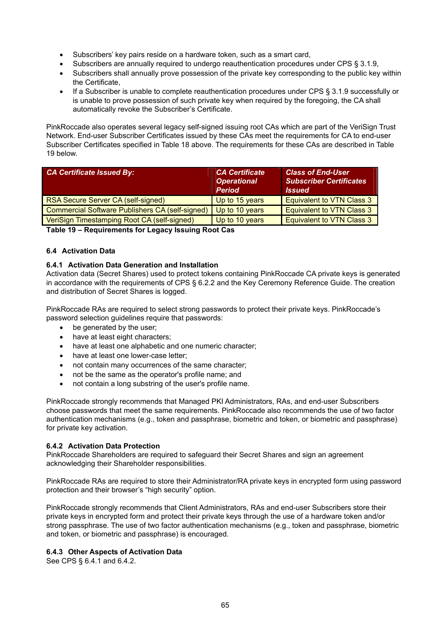- Subscribers' key pairs reside on a hardware token, such as a smart card,
- Subscribers are annually required to undergo reauthentication procedures under CPS § 3.1.9,
- Subscribers shall annually prove possession of the private key corresponding to the public key within the Certificate,
- If a Subscriber is unable to complete reauthentication procedures under CPS § 3.1.9 successfully or is unable to prove possession of such private key when required by the foregoing, the CA shall automatically revoke the Subscriber's Certificate.

PinkRoccade also operates several legacy self-signed issuing root CAs which are part of the VeriSign Trust Network. End-user Subscriber Certificates issued by these CAs meet the requirements for CA to end-user Subscriber Certificates specified in Table 18 above. The requirements for these CAs are described in Table 19 below.

| <b>CA Certificate Issued By:</b>                       | <b>CA Certificate</b><br><b>Operational</b><br><b>Period</b> | <b>Class of End-User</b><br><b>Subscriber Certificates</b><br><b>Issued</b> |
|--------------------------------------------------------|--------------------------------------------------------------|-----------------------------------------------------------------------------|
| RSA Secure Server CA (self-signed)                     | Up to 15 years                                               | <b>Equivalent to VTN Class 3</b>                                            |
| <b>Commercial Software Publishers CA (self-signed)</b> | Up to 10 years                                               | <b>Equivalent to VTN Class 3</b>                                            |
| VeriSign Timestamping Root CA (self-signed)            | Up to 10 years                                               | <b>Equivalent to VTN Class 3</b>                                            |

**Table 19 – Requirements for Legacy Issuing Root Cas** 

# **6.4 Activation Data**

# **6.4.1 Activation Data Generation and Installation**

Activation data (Secret Shares) used to protect tokens containing PinkRoccade CA private keys is generated in accordance with the requirements of CPS § 6.2.2 and the Key Ceremony Reference Guide. The creation and distribution of Secret Shares is logged.

PinkRoccade RAs are required to select strong passwords to protect their private keys. PinkRoccade's password selection guidelines require that passwords:

- be generated by the user;
- have at least eight characters:
- have at least one alphabetic and one numeric character;
- have at least one lower-case letter;
- not contain many occurrences of the same character;
- not be the same as the operator's profile name; and
- not contain a long substring of the user's profile name.

PinkRoccade strongly recommends that Managed PKI Administrators, RAs, and end-user Subscribers choose passwords that meet the same requirements. PinkRoccade also recommends the use of two factor authentication mechanisms (e.g., token and passphrase, biometric and token, or biometric and passphrase) for private key activation.

#### **6.4.2 Activation Data Protection**

PinkRoccade Shareholders are required to safeguard their Secret Shares and sign an agreement acknowledging their Shareholder responsibilities.

PinkRoccade RAs are required to store their Administrator/RA private keys in encrypted form using password protection and their browser's "high security" option.

PinkRoccade strongly recommends that Client Administrators, RAs and end-user Subscribers store their private keys in encrypted form and protect their private keys through the use of a hardware token and/or strong passphrase. The use of two factor authentication mechanisms (e.g., token and passphrase, biometric and token, or biometric and passphrase) is encouraged.

#### **6.4.3 Other Aspects of Activation Data**

See CPS § 6.4.1 and 6.4.2.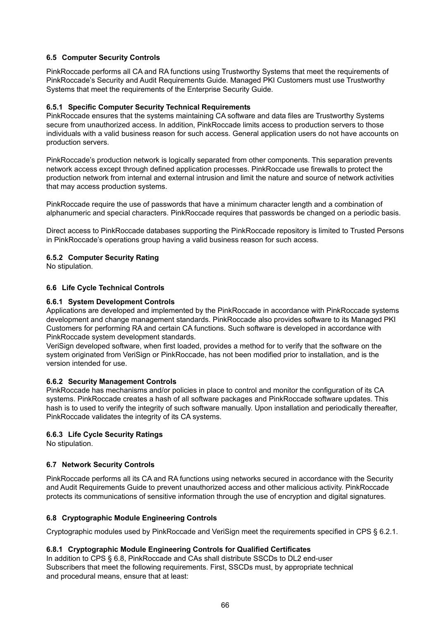# **6.5 Computer Security Controls**

PinkRoccade performs all CA and RA functions using Trustworthy Systems that meet the requirements of PinkRoccade's Security and Audit Requirements Guide. Managed PKI Customers must use Trustworthy Systems that meet the requirements of the Enterprise Security Guide.

#### **6.5.1 Specific Computer Security Technical Requirements**

PinkRoccade ensures that the systems maintaining CA software and data files are Trustworthy Systems secure from unauthorized access. In addition, PinkRoccade limits access to production servers to those individuals with a valid business reason for such access. General application users do not have accounts on production servers.

PinkRoccade's production network is logically separated from other components. This separation prevents network access except through defined application processes. PinkRoccade use firewalls to protect the production network from internal and external intrusion and limit the nature and source of network activities that may access production systems.

PinkRoccade require the use of passwords that have a minimum character length and a combination of alphanumeric and special characters. PinkRoccade requires that passwords be changed on a periodic basis.

Direct access to PinkRoccade databases supporting the PinkRoccade repository is limited to Trusted Persons in PinkRoccade's operations group having a valid business reason for such access.

#### **6.5.2 Computer Security Rating**

No stipulation.

#### **6.6 Life Cycle Technical Controls**

#### **6.6.1 System Development Controls**

Applications are developed and implemented by the PinkRoccade in accordance with PinkRoccade systems development and change management standards. PinkRoccade also provides software to its Managed PKI Customers for performing RA and certain CA functions. Such software is developed in accordance with PinkRoccade system development standards.

VeriSign developed software, when first loaded, provides a method for to verify that the software on the system originated from VeriSign or PinkRoccade, has not been modified prior to installation, and is the version intended for use.

#### **6.6.2 Security Management Controls**

PinkRoccade has mechanisms and/or policies in place to control and monitor the configuration of its CA systems. PinkRoccade creates a hash of all software packages and PinkRoccade software updates. This hash is to used to verify the integrity of such software manually. Upon installation and periodically thereafter, PinkRoccade validates the integrity of its CA systems.

#### **6.6.3 Life Cycle Security Ratings**

No stipulation.

#### **6.7 Network Security Controls**

PinkRoccade performs all its CA and RA functions using networks secured in accordance with the Security and Audit Requirements Guide to prevent unauthorized access and other malicious activity. PinkRoccade protects its communications of sensitive information through the use of encryption and digital signatures.

#### **6.8 Cryptographic Module Engineering Controls**

Cryptographic modules used by PinkRoccade and VeriSign meet the requirements specified in CPS § 6.2.1.

#### **6.8.1 Cryptographic Module Engineering Controls for Qualified Certificates**

In addition to CPS § 6.8, PinkRoccade and CAs shall distribute SSCDs to DL2 end-user Subscribers that meet the following requirements. First, SSCDs must, by appropriate technical and procedural means, ensure that at least: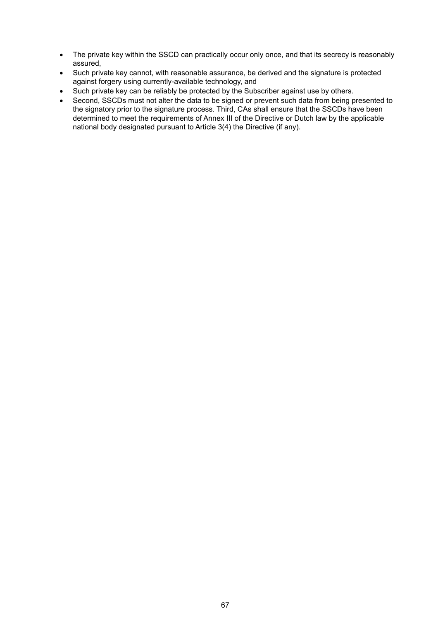- The private key within the SSCD can practically occur only once, and that its secrecy is reasonably assured,
- Such private key cannot, with reasonable assurance, be derived and the signature is protected against forgery using currently-available technology, and
- Such private key can be reliably be protected by the Subscriber against use by others.
- Second, SSCDs must not alter the data to be signed or prevent such data from being presented to the signatory prior to the signature process. Third, CAs shall ensure that the SSCDs have been determined to meet the requirements of Annex III of the Directive or Dutch law by the applicable national body designated pursuant to Article 3(4) the Directive (if any).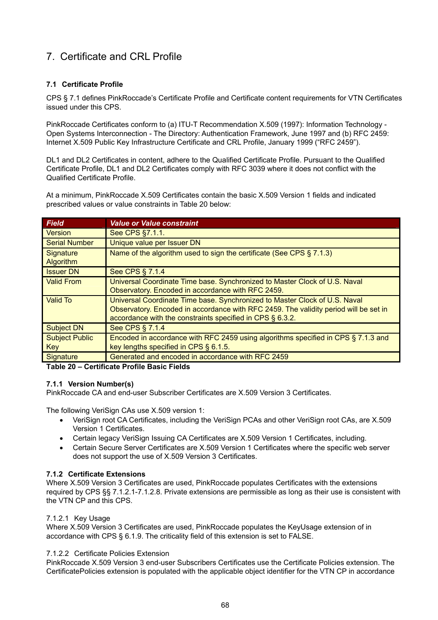# 7. Certificate and CRL Profile

# **7.1 Certificate Profile**

CPS § 7.1 defines PinkRoccade's Certificate Profile and Certificate content requirements for VTN Certificates issued under this CPS.

PinkRoccade Certificates conform to (a) ITU-T Recommendation X.509 (1997): Information Technology - Open Systems Interconnection - The Directory: Authentication Framework, June 1997 and (b) RFC 2459: Internet X.509 Public Key Infrastructure Certificate and CRL Profile, January 1999 ("RFC 2459").

DL1 and DL2 Certificates in content, adhere to the Qualified Certificate Profile. Pursuant to the Qualified Certificate Profile, DL1 and DL2 Certificates comply with RFC 3039 where it does not conflict with the Qualified Certificate Profile.

At a minimum, PinkRoccade X.509 Certificates contain the basic X.509 Version 1 fields and indicated prescribed values or value constraints in Table 20 below:

| <b>Field</b>          | <b>Value or Value constraint</b>                                                     |
|-----------------------|--------------------------------------------------------------------------------------|
| <b>Version</b>        | See CPS §7.1.1.                                                                      |
| <b>Serial Number</b>  | Unique value per Issuer DN                                                           |
| Signature             | Name of the algorithm used to sign the certificate (See CPS § 7.1.3)                 |
| Algorithm             |                                                                                      |
| <b>Issuer DN</b>      | See CPS § 7.1.4                                                                      |
| <b>Valid From</b>     | Universal Coordinate Time base. Synchronized to Master Clock of U.S. Naval           |
|                       | Observatory. Encoded in accordance with RFC 2459.                                    |
| <b>Valid To</b>       | Universal Coordinate Time base. Synchronized to Master Clock of U.S. Naval           |
|                       | Observatory. Encoded in accordance with RFC 2459. The validity period will be set in |
|                       | accordance with the constraints specified in CPS § 6.3.2.                            |
| <b>Subject DN</b>     | See CPS § 7.1.4                                                                      |
| <b>Subject Public</b> | Encoded in accordance with RFC 2459 using algorithms specified in CPS § 7.1.3 and    |
| Key                   | key lengths specified in CPS § 6.1.5.                                                |
| Signature             | Generated and encoded in accordance with RFC 2459                                    |

**Table 20 – Certificate Profile Basic Fields** 

# **7.1.1 Version Number(s)**

PinkRoccade CA and end-user Subscriber Certificates are X.509 Version 3 Certificates.

The following VeriSign CAs use X.509 version 1:

- VeriSign root CA Certificates, including the VeriSign PCAs and other VeriSign root CAs, are X.509 Version 1 Certificates.
- Certain legacy VeriSign Issuing CA Certificates are X.509 Version 1 Certificates, including.
- Certain Secure Server Certificates are X.509 Version 1 Certificates where the specific web server does not support the use of X.509 Version 3 Certificates.

# **7.1.2 Certificate Extensions**

Where X.509 Version 3 Certificates are used, PinkRoccade populates Certificates with the extensions required by CPS §§ 7.1.2.1-7.1.2.8. Private extensions are permissible as long as their use is consistent with the VTN CP and this CPS.

#### 7.1.2.1 Key Usage

Where X.509 Version 3 Certificates are used, PinkRoccade populates the KeyUsage extension of in accordance with CPS § 6.1.9. The criticality field of this extension is set to FALSE.

#### 7.1.2.2 Certificate Policies Extension

PinkRoccade X.509 Version 3 end-user Subscribers Certificates use the Certificate Policies extension. The CertificatePolicies extension is populated with the applicable object identifier for the VTN CP in accordance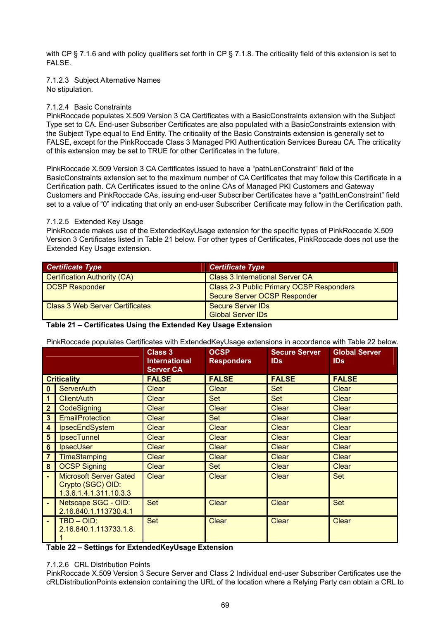with CP § 7.1.6 and with policy qualifiers set forth in CP § 7.1.8. The criticality field of this extension is set to **FALSE** 

7.1.2.3 Subject Alternative Names No stipulation.

## 7.1.2.4 Basic Constraints

PinkRoccade populates X.509 Version 3 CA Certificates with a BasicConstraints extension with the Subject Type set to CA. End-user Subscriber Certificates are also populated with a BasicConstraints extension with the Subject Type equal to End Entity. The criticality of the Basic Constraints extension is generally set to FALSE, except for the PinkRoccade Class 3 Managed PKI Authentication Services Bureau CA. The criticality of this extension may be set to TRUE for other Certificates in the future.

PinkRoccade X.509 Version 3 CA Certificates issued to have a "pathLenConstraint" field of the BasicConstraints extension set to the maximum number of CA Certificates that may follow this Certificate in a Certification path. CA Certificates issued to the online CAs of Managed PKI Customers and Gateway Customers and PinkRoccade CAs, issuing end-user Subscriber Certificates have a "pathLenConstraint" field set to a value of "0" indicating that only an end-user Subscriber Certificate may follow in the Certification path.

#### 7.1.2.5 Extended Key Usage

PinkRoccade makes use of the ExtendedKeyUsage extension for the specific types of PinkRoccade X.509 Version 3 Certificates listed in Table 21 below. For other types of Certificates, PinkRoccade does not use the Extended Key Usage extension.

| <b>Certificate Type</b>                | <b>Certificate Type</b>                                                         |
|----------------------------------------|---------------------------------------------------------------------------------|
| <b>Certification Authority (CA)</b>    | <b>Class 3 International Server CA</b>                                          |
| <b>OCSP Responder</b>                  | <b>Class 2-3 Public Primary OCSP Responders</b><br>Secure Server OCSP Responder |
| <b>Class 3 Web Server Certificates</b> | Secure Server IDs<br><b>Global Server IDs</b>                                   |

#### **Table 21 – Certificates Using the Extended Key Usage Extension**

PinkRoccade populates Certificates with ExtendedKeyUsage extensions in accordance with Table 22 below.

|                    |                                                                              | Class 3<br><b>International</b><br><b>Server CA</b> | <b>OCSP</b><br><b>Responders</b> | <b>Secure Server</b><br><b>IDs</b> | <b>Global Server</b><br><b>IDs</b> |
|--------------------|------------------------------------------------------------------------------|-----------------------------------------------------|----------------------------------|------------------------------------|------------------------------------|
| <b>Criticality</b> |                                                                              | <b>FALSE</b>                                        | <b>FALSE</b>                     | <b>FALSE</b>                       | <b>FALSE</b>                       |
| $\mathbf{0}$       | <b>ServerAuth</b>                                                            | <b>Clear</b>                                        | <b>Clear</b>                     | <b>Set</b>                         | <b>Clear</b>                       |
| 1                  | <b>ClientAuth</b>                                                            | <b>Clear</b>                                        | Set                              | Set                                | <b>Clear</b>                       |
| $\mathbf{2}$       | CodeSigning                                                                  | <b>Clear</b>                                        | Clear                            | Clear                              | Clear                              |
| $\mathbf{3}$       | <b>EmailProtection</b>                                                       | Clear                                               | <b>Set</b>                       | <b>Clear</b>                       | <b>Clear</b>                       |
| 4                  | IpsecEndSystem                                                               | Clear                                               | Clear                            | <b>Clear</b>                       | Clear                              |
| $5\phantom{.0}$    | <b>IpsecTunnel</b>                                                           | <b>Clear</b>                                        | <b>Clear</b>                     | <b>Clear</b>                       | <b>Clear</b>                       |
| 6                  | <b>IpsecUser</b>                                                             | Clear                                               | Clear                            | <b>Clear</b>                       | <b>Clear</b>                       |
| $\overline{7}$     | <b>TimeStamping</b>                                                          | <b>Clear</b>                                        | <b>Clear</b>                     | <b>Clear</b>                       | <b>Clear</b>                       |
| 8 <sup>1</sup>     | <b>OCSP Signing</b>                                                          | <b>Clear</b>                                        | Set                              | <b>Clear</b>                       | <b>Clear</b>                       |
|                    | <b>Microsoft Server Gated</b><br>Crypto (SGC) OID:<br>1.3.6.1.4.1.311.10.3.3 | <b>Clear</b>                                        | <b>Clear</b>                     | <b>Clear</b>                       | <b>Set</b>                         |
|                    | Netscape SGC - OID:<br>2.16.840.1.113730.4.1                                 | <b>Set</b>                                          | Clear                            | <b>Clear</b>                       | <b>Set</b>                         |
|                    | $TBD - OID:$<br>2.16.840.1.113733.1.8.                                       | Set                                                 | <b>Clear</b>                     | <b>Clear</b>                       | <b>Clear</b>                       |

#### **Table 22 – Settings for ExtendedKeyUsage Extension**

#### 7.1.2.6 CRL Distribution Points

PinkRoccade X.509 Version 3 Secure Server and Class 2 Individual end-user Subscriber Certificates use the cRLDistributionPoints extension containing the URL of the location where a Relying Party can obtain a CRL to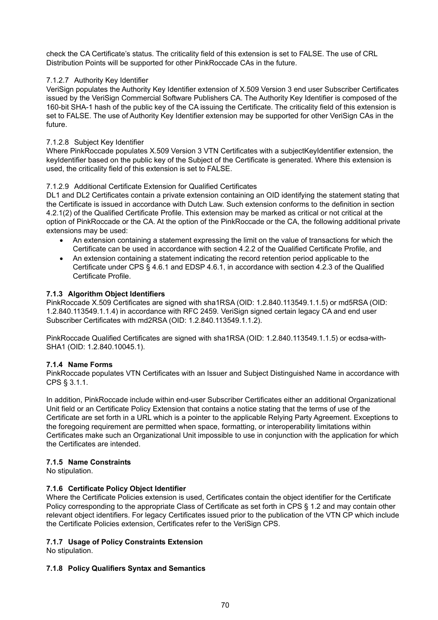check the CA Certificate's status. The criticality field of this extension is set to FALSE. The use of CRL Distribution Points will be supported for other PinkRoccade CAs in the future.

## 7.1.2.7 Authority Key Identifier

VeriSign populates the Authority Key Identifier extension of X.509 Version 3 end user Subscriber Certificates issued by the VeriSign Commercial Software Publishers CA. The Authority Key Identifier is composed of the 160-bit SHA-1 hash of the public key of the CA issuing the Certificate. The criticality field of this extension is set to FALSE. The use of Authority Key Identifier extension may be supported for other VeriSign CAs in the future.

## 7.1.2.8 Subject Key Identifier

Where PinkRoccade populates X.509 Version 3 VTN Certificates with a subjectKeyIdentifier extension, the keyIdentifier based on the public key of the Subject of the Certificate is generated. Where this extension is used, the criticality field of this extension is set to FALSE.

## 7.1.2.9 Additional Certificate Extension for Qualified Certificates

DL1 and DL2 Certificates contain a private extension containing an OID identifying the statement stating that the Certificate is issued in accordance with Dutch Law. Such extension conforms to the definition in section 4.2.1(2) of the Qualified Certificate Profile. This extension may be marked as critical or not critical at the option of PinkRoccade or the CA. At the option of the PinkRoccade or the CA, the following additional private extensions may be used:

- An extension containing a statement expressing the limit on the value of transactions for which the Certificate can be used in accordance with section 4.2.2 of the Qualified Certificate Profile, and
- An extension containing a statement indicating the record retention period applicable to the Certificate under CPS § 4.6.1 and EDSP 4.6.1, in accordance with section 4.2.3 of the Qualified Certificate Profile.

# **7.1.3 Algorithm Object Identifiers**

PinkRoccade X.509 Certificates are signed with sha1RSA (OID: 1.2.840.113549.1.1.5) or md5RSA (OID: 1.2.840.113549.1.1.4) in accordance with RFC 2459. VeriSign signed certain legacy CA and end user Subscriber Certificates with md2RSA (OID: 1.2.840.113549.1.1.2).

PinkRoccade Qualified Certificates are signed with sha1RSA (OID: 1.2.840.113549.1.1.5) or ecdsa-with-SHA1 (OID: 1.2.840.10045.1).

# **7.1.4 Name Forms**

PinkRoccade populates VTN Certificates with an Issuer and Subject Distinguished Name in accordance with CPS § 3.1.1.

In addition, PinkRoccade include within end-user Subscriber Certificates either an additional Organizational Unit field or an Certificate Policy Extension that contains a notice stating that the terms of use of the Certificate are set forth in a URL which is a pointer to the applicable Relying Party Agreement. Exceptions to the foregoing requirement are permitted when space, formatting, or interoperability limitations within Certificates make such an Organizational Unit impossible to use in conjunction with the application for which the Certificates are intended.

#### **7.1.5 Name Constraints**

No stipulation.

# **7.1.6 Certificate Policy Object Identifier**

Where the Certificate Policies extension is used, Certificates contain the object identifier for the Certificate Policy corresponding to the appropriate Class of Certificate as set forth in CPS § 1.2 and may contain other relevant object identifiers. For legacy Certificates issued prior to the publication of the VTN CP which include the Certificate Policies extension, Certificates refer to the VeriSign CPS.

# **7.1.7 Usage of Policy Constraints Extension**

No stipulation.

#### **7.1.8 Policy Qualifiers Syntax and Semantics**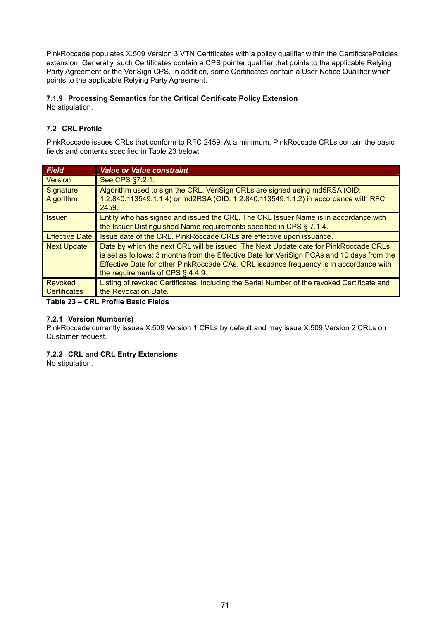PinkRoccade populates X.509 Version 3 VTN Certificates with a policy qualifier within the CertificatePolicies extension. Generally, such Certificates contain a CPS pointer qualifier that points to the applicable Relying Party Agreement or the VeriSign CPS. In addition, some Certificates contain a User Notice Qualifier which points to the applicable Relying Party Agreement.

# **7.1.9 Processing Semantics for the Critical Certificate Policy Extension**

No stipulation.

# **7.2 CRL Profile**

PinkRoccade issues CRLs that conform to RFC 2459. At a minimum, PinkRoccade CRLs contain the basic fields and contents specified in Table 23 below:

| <b>Field</b>                   | <b>Value or Value constraint</b>                                                                                                                                                                                                                                                                                    |
|--------------------------------|---------------------------------------------------------------------------------------------------------------------------------------------------------------------------------------------------------------------------------------------------------------------------------------------------------------------|
| Version                        | See CPS §7.2.1.                                                                                                                                                                                                                                                                                                     |
| Signature<br><b>Algorithm</b>  | Algorithm used to sign the CRL. VeriSign CRLs are signed using md5RSA (OID:<br>1.2.840.113549.1.1.4) or md2RSA (OID: 1.2.840.113549.1.1.2) in accordance with RFC<br>2459.                                                                                                                                          |
| <b>Issuer</b>                  | Entity who has signed and issued the CRL. The CRL Issuer Name is in accordance with<br>the Issuer Distinguished Name requirements specified in CPS § 7.1.4.                                                                                                                                                         |
| <b>Effective Date</b>          | Issue date of the CRL. PinkRoccade CRLs are effective upon issuance.                                                                                                                                                                                                                                                |
| <b>Next Update</b>             | Date by which the next CRL will be issued. The Next Update date for PinkRoccade CRLs<br>is set as follows: 3 months from the Effective Date for VeriSign PCAs and 10 days from the<br>Effective Date for other PinkRoccade CAs. CRL issuance frequency is in accordance with<br>the requirements of CPS $\S$ 4.4.9. |
| Revoked<br><b>Certificates</b> | Listing of revoked Certificates, including the Serial Number of the revoked Certificate and<br>the Revocation Date.                                                                                                                                                                                                 |

**Table 23 – CRL Profile Basic Fields** 

# **7.2.1 Version Number(s)**

PinkRoccade currently issues X.509 Version 1 CRLs by default and may issue X.509 Version 2 CRLs on Customer request.

# **7.2.2 CRL and CRL Entry Extensions**

No stipulation.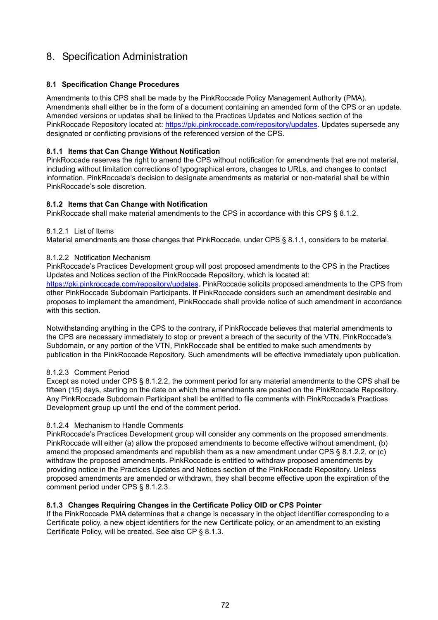# 8. Specification Administration

# **8.1 Specification Change Procedures**

Amendments to this CPS shall be made by the PinkRoccade Policy Management Authority (PMA). Amendments shall either be in the form of a document containing an amended form of the CPS or an update. Amended versions or updates shall be linked to the Practices Updates and Notices section of the PinkRoccade Repository located at: [https://pki.pinkroccade.com/repository/updates.](https://pki.pinkroccade.com/repository/updates) Updates supersede any designated or conflicting provisions of the referenced version of the CPS.

## **8.1.1 Items that Can Change Without Notification**

PinkRoccade reserves the right to amend the CPS without notification for amendments that are not material, including without limitation corrections of typographical errors, changes to URLs, and changes to contact information. PinkRoccade's decision to designate amendments as material or non-material shall be within PinkRoccade's sole discretion.

## **8.1.2 Items that Can Change with Notification**

PinkRoccade shall make material amendments to the CPS in accordance with this CPS § 8.1.2.

#### 8.1.2.1 List of Items

Material amendments are those changes that PinkRoccade, under CPS § 8.1.1, considers to be material.

#### 8.1.2.2 Notification Mechanism

PinkRoccade's Practices Development group will post proposed amendments to the CPS in the Practices Updates and Notices section of the PinkRoccade Repository, which is located at: [https://pki.pinkroccade.com/repository/updates.](https://pki.pinkroccade.com/repository/updates) PinkRoccade solicits proposed amendments to the CPS from other PinkRoccade Subdomain Participants. If PinkRoccade considers such an amendment desirable and proposes to implement the amendment, PinkRoccade shall provide notice of such amendment in accordance with this section.

Notwithstanding anything in the CPS to the contrary, if PinkRoccade believes that material amendments to the CPS are necessary immediately to stop or prevent a breach of the security of the VTN, PinkRoccade's Subdomain, or any portion of the VTN, PinkRoccade shall be entitled to make such amendments by publication in the PinkRoccade Repository. Such amendments will be effective immediately upon publication.

#### 8.1.2.3 Comment Period

Except as noted under CPS § 8.1.2.2, the comment period for any material amendments to the CPS shall be fifteen (15) days, starting on the date on which the amendments are posted on the PinkRoccade Repository. Any PinkRoccade Subdomain Participant shall be entitled to file comments with PinkRoccade's Practices Development group up until the end of the comment period.

#### 8.1.2.4 Mechanism to Handle Comments

PinkRoccade's Practices Development group will consider any comments on the proposed amendments. PinkRoccade will either (a) allow the proposed amendments to become effective without amendment, (b) amend the proposed amendments and republish them as a new amendment under CPS § 8.1.2.2, or (c) withdraw the proposed amendments. PinkRoccade is entitled to withdraw proposed amendments by providing notice in the Practices Updates and Notices section of the PinkRoccade Repository. Unless proposed amendments are amended or withdrawn, they shall become effective upon the expiration of the comment period under CPS § 8.1.2.3.

#### **8.1.3 Changes Requiring Changes in the Certificate Policy OID or CPS Pointer**

If the PinkRoccade PMA determines that a change is necessary in the object identifier corresponding to a Certificate policy, a new object identifiers for the new Certificate policy, or an amendment to an existing Certificate Policy, will be created. See also CP § 8.1.3.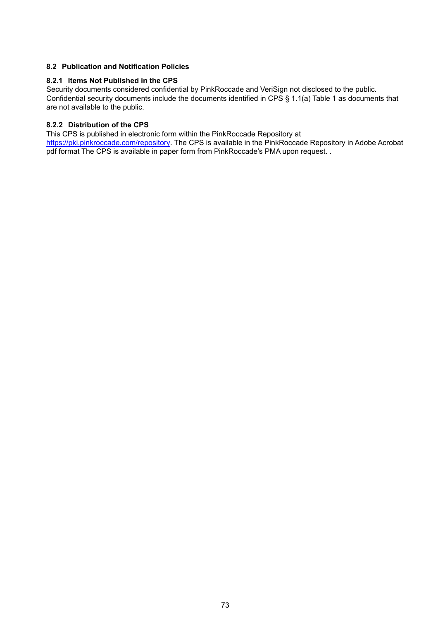### **8.2 Publication and Notification Policies**

#### **8.2.1 Items Not Published in the CPS**

Security documents considered confidential by PinkRoccade and VeriSign not disclosed to the public. Confidential security documents include the documents identified in CPS § 1.1(a) Table 1 as documents that are not available to the public.

### **8.2.2 Distribution of the CPS**

This CPS is published in electronic form within the PinkRoccade Repository at [https://pki.pinkroccade.com/repository.](https://pki.pinkroccade.com/repository) The CPS is available in the PinkRoccade Repository in Adobe Acrobat pdf format The CPS is available in paper form from PinkRoccade's PMA upon request. .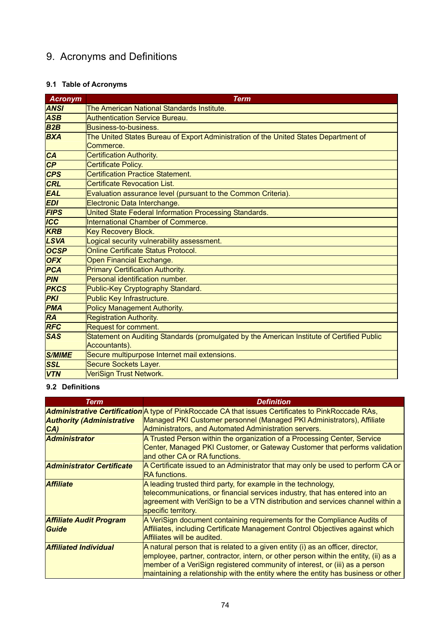# 9. Acronyms and Definitions

# **9.1 Table of Acronyms**

| <b>Acronym</b> | <b>Term</b>                                                                                |
|----------------|--------------------------------------------------------------------------------------------|
| <b>ANSI</b>    | The American National Standards Institute.                                                 |
| <b>ASB</b>     | <b>Authentication Service Bureau.</b>                                                      |
| B2B            | Business-to-business.                                                                      |
| <b>BXA</b>     | The United States Bureau of Export Administration of the United States Department of       |
|                | Commerce.                                                                                  |
| <b>CA</b>      | <b>Certification Authority.</b>                                                            |
| CP             | <b>Certificate Policy.</b>                                                                 |
| <b>CPS</b>     | <b>Certification Practice Statement.</b>                                                   |
| <b>CRL</b>     | <b>Certificate Revocation List.</b>                                                        |
| <b>EAL</b>     | Evaluation assurance level (pursuant to the Common Criteria).                              |
| <b>EDI</b>     | Electronic Data Interchange.                                                               |
| <b>FIPS</b>    | United State Federal Information Processing Standards.                                     |
| <b>ICC</b>     | International Chamber of Commerce.                                                         |
| <b>KRB</b>     | <b>Key Recovery Block.</b>                                                                 |
| <b>LSVA</b>    | Logical security vulnerability assessment.                                                 |
| <b>OCSP</b>    | Online Certificate Status Protocol.                                                        |
| <b>OFX</b>     | Open Financial Exchange.                                                                   |
| PCA            | <b>Primary Certification Authority.</b>                                                    |
| <b>PIN</b>     | Personal identification number.                                                            |
| <b>PKCS</b>    | Public-Key Cryptography Standard.                                                          |
| <b>PKI</b>     | Public Key Infrastructure.                                                                 |
| <b>PMA</b>     | <b>Policy Management Authority.</b>                                                        |
| <b>RA</b>      | <b>Registration Authority.</b>                                                             |
| <b>RFC</b>     | Request for comment.                                                                       |
| <b>SAS</b>     | Statement on Auditing Standards (promulgated by the American Institute of Certified Public |
|                | Accountants).                                                                              |
| <b>S/MIME</b>  | Secure multipurpose Internet mail extensions.                                              |
| <b>SSL</b>     | Secure Sockets Layer.                                                                      |
| <b>VTN</b>     | VeriSign Trust Network.                                                                    |

## **9.2 Definitions**

| <b>Term</b>                      | <b>Definition</b>                                                                                            |
|----------------------------------|--------------------------------------------------------------------------------------------------------------|
|                                  | Administrative Certification A type of PinkRoccade CA that issues Certificates to PinkRoccade RAs,           |
| <b>Authority (Administrative</b> | Managed PKI Customer personnel (Managed PKI Administrators), Affiliate                                       |
| CA)                              | Administrators, and Automated Administration servers.                                                        |
| <b>Administrator</b>             | A Trusted Person within the organization of a Processing Center, Service                                     |
|                                  | Center, Managed PKI Customer, or Gateway Customer that performs validation<br>land other CA or RA functions. |
| <b>Administrator Certificate</b> | A Certificate issued to an Administrator that may only be used to perform CA or<br>IRA functions.            |
| <b>Affiliate</b>                 | A leading trusted third party, for example in the technology,                                                |
|                                  | telecommunications, or financial services industry, that has entered into an                                 |
|                                  | agreement with VeriSign to be a VTN distribution and services channel within a<br>specific territory.        |
| <b>Affiliate Audit Program</b>   | A VeriSign document containing requirements for the Compliance Audits of                                     |
| <b>Guide</b>                     | Affiliates, including Certificate Management Control Objectives against which                                |
|                                  | <b>Affiliates will be audited.</b>                                                                           |
| <b>Affiliated Individual</b>     | A natural person that is related to a given entity (i) as an officer, director,                              |
|                                  | employee, partner, contractor, intern, or other person within the entity, (ii) as a                          |
|                                  | member of a VeriSign registered community of interest, or (iii) as a person                                  |
|                                  | maintaining a relationship with the entity where the entity has business or other                            |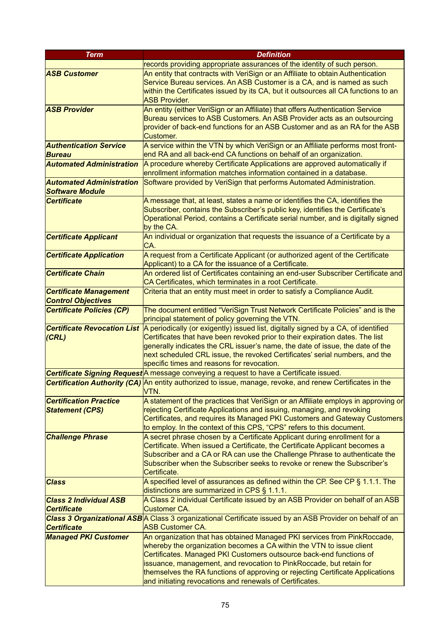| <b>Term</b>                                                | <b>Definition</b>                                                                                                                                      |
|------------------------------------------------------------|--------------------------------------------------------------------------------------------------------------------------------------------------------|
|                                                            | records providing appropriate assurances of the identity of such person.                                                                               |
| <b>ASB Customer</b>                                        | An entity that contracts with VeriSign or an Affiliate to obtain Authentication                                                                        |
|                                                            | Service Bureau services. An ASB Customer is a CA, and is named as such                                                                                 |
|                                                            | within the Certificates issued by its CA, but it outsources all CA functions to an                                                                     |
|                                                            | <b>ASB Provider.</b>                                                                                                                                   |
| <b>ASB Provider</b>                                        | An entity (either VeriSign or an Affiliate) that offers Authentication Service                                                                         |
|                                                            | Bureau services to ASB Customers. An ASB Provider acts as an outsourcing                                                                               |
|                                                            | provider of back-end functions for an ASB Customer and as an RA for the ASB                                                                            |
|                                                            | Customer.                                                                                                                                              |
| <b>Authentication Service</b>                              | A service within the VTN by which VeriSign or an Affiliate performs most front-                                                                        |
| <b>Bureau</b>                                              | end RA and all back-end CA functions on behalf of an organization.                                                                                     |
| <b>Automated Administration</b>                            | A procedure whereby Certificate Applications are approved automatically if                                                                             |
|                                                            | enrollment information matches information contained in a database.                                                                                    |
| <b>Automated Administration</b>                            | Software provided by VeriSign that performs Automated Administration.                                                                                  |
| <b>Software Module</b>                                     |                                                                                                                                                        |
| <b>Certificate</b>                                         | A message that, at least, states a name or identifies the CA, identifies the                                                                           |
|                                                            | Subscriber, contains the Subscriber's public key, identifies the Certificate's                                                                         |
|                                                            | Operational Period, contains a Certificate serial number, and is digitally signed                                                                      |
|                                                            | by the CA.                                                                                                                                             |
| <b>Certificate Applicant</b>                               | An individual or organization that requests the issuance of a Certificate by a                                                                         |
|                                                            | CA.                                                                                                                                                    |
| <b>Certificate Application</b>                             | A request from a Certificate Applicant (or authorized agent of the Certificate                                                                         |
| <b>Certificate Chain</b>                                   | Applicant) to a CA for the issuance of a Certificate.                                                                                                  |
|                                                            | An ordered list of Certificates containing an end-user Subscriber Certificate and<br>CA Certificates, which terminates in a root Certificate.          |
|                                                            | Criteria that an entity must meet in order to satisfy a Compliance Audit.                                                                              |
| <b>Certificate Management</b><br><b>Control Objectives</b> |                                                                                                                                                        |
| <b>Certificate Policies (CP)</b>                           | The document entitled "VeriSign Trust Network Certificate Policies" and is the                                                                         |
|                                                            | principal statement of policy governing the VTN.                                                                                                       |
| <b>Certificate Revocation List</b>                         | A periodically (or exigently) issued list, digitally signed by a CA, of identified                                                                     |
| (CRL)                                                      | Certificates that have been revoked prior to their expiration dates. The list                                                                          |
|                                                            | generally indicates the CRL issuer's name, the date of issue, the date of the                                                                          |
|                                                            | next scheduled CRL issue, the revoked Certificates' serial numbers, and the                                                                            |
|                                                            | specific times and reasons for revocation.                                                                                                             |
|                                                            | Certificate Signing Request A message conveying a request to have a Certificate issued.                                                                |
|                                                            | Certification Authority (CA) An entity authorized to issue, manage, revoke, and renew Certificates in the                                              |
|                                                            | VTN.                                                                                                                                                   |
| <b>Certification Practice</b>                              | A statement of the practices that VeriSign or an Affiliate employs in approving or                                                                     |
| <b>Statement (CPS)</b>                                     | rejecting Certificate Applications and issuing, managing, and revoking                                                                                 |
|                                                            | Certificates, and requires its Managed PKI Customers and Gateway Customers                                                                             |
|                                                            | to employ. In the context of this CPS, "CPS" refers to this document.                                                                                  |
| <b>Challenge Phrase</b>                                    | A secret phrase chosen by a Certificate Applicant during enrollment for a                                                                              |
|                                                            | Certificate. When issued a Certificate, the Certificate Applicant becomes a                                                                            |
|                                                            | Subscriber and a CA or RA can use the Challenge Phrase to authenticate the<br>Subscriber when the Subscriber seeks to revoke or renew the Subscriber's |
|                                                            | Certificate.                                                                                                                                           |
| <b>Class</b>                                               | A specified level of assurances as defined within the CP. See CP $\S$ 1.1.1. The                                                                       |
|                                                            | distinctions are summarized in CPS § 1.1.1.                                                                                                            |
| <b>Class 2 Individual ASB</b>                              | A Class 2 individual Certificate issued by an ASB Provider on behalf of an ASB                                                                         |
| <b>Certificate</b>                                         | <b>Customer CA.</b>                                                                                                                                    |
|                                                            | Class 3 Organizational ASB A Class 3 organizational Certificate issued by an ASB Provider on behalf of an                                              |
| <b>Certificate</b>                                         | <b>ASB Customer CA.</b>                                                                                                                                |
| <b>Managed PKI Customer</b>                                | An organization that has obtained Managed PKI services from PinkRoccade,                                                                               |
|                                                            | whereby the organization becomes a CA within the VTN to issue client                                                                                   |
|                                                            | Certificates. Managed PKI Customers outsource back-end functions of                                                                                    |
|                                                            | issuance, management, and revocation to PinkRoccade, but retain for                                                                                    |
|                                                            | themselves the RA functions of approving or rejecting Certificate Applications                                                                         |
|                                                            | and initiating revocations and renewals of Certificates.                                                                                               |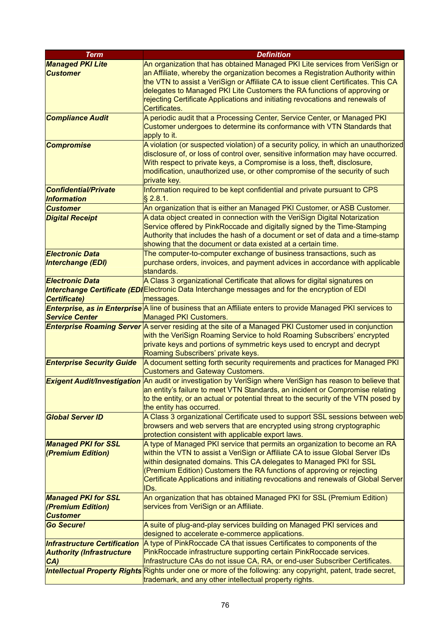| <b>Term</b>                         | <b>Definition</b>                                                                                                                              |
|-------------------------------------|------------------------------------------------------------------------------------------------------------------------------------------------|
| <b>Managed PKI Lite</b>             | An organization that has obtained Managed PKI Lite services from VeriSign or                                                                   |
| <b>Customer</b>                     | an Affiliate, whereby the organization becomes a Registration Authority within                                                                 |
|                                     | the VTN to assist a VeriSign or Affiliate CA to issue client Certificates. This CA                                                             |
|                                     | delegates to Managed PKI Lite Customers the RA functions of approving or                                                                       |
|                                     | rejecting Certificate Applications and initiating revocations and renewals of                                                                  |
|                                     | Certificates.                                                                                                                                  |
| <b>Compliance Audit</b>             | A periodic audit that a Processing Center, Service Center, or Managed PKI                                                                      |
|                                     | Customer undergoes to determine its conformance with VTN Standards that                                                                        |
|                                     | apply to it.                                                                                                                                   |
| <b>Compromise</b>                   | A violation (or suspected violation) of a security policy, in which an unauthorized                                                            |
|                                     | disclosure of, or loss of control over, sensitive information may have occurred.                                                               |
|                                     | With respect to private keys, a Compromise is a loss, theft, disclosure,                                                                       |
|                                     | modification, unauthorized use, or other compromise of the security of such                                                                    |
|                                     | private key.                                                                                                                                   |
| <b>Confidential/Private</b>         | Information required to be kept confidential and private pursuant to CPS                                                                       |
| <b>Information</b>                  | $§$ 2.8.1.                                                                                                                                     |
| <b>Customer</b>                     | An organization that is either an Managed PKI Customer, or ASB Customer.                                                                       |
| <b>Digital Receipt</b>              | A data object created in connection with the VeriSign Digital Notarization                                                                     |
|                                     | Service offered by PinkRoccade and digitally signed by the Time-Stamping                                                                       |
|                                     | Authority that includes the hash of a document or set of data and a time-stamp<br>showing that the document or data existed at a certain time. |
| <b>Electronic Data</b>              | The computer-to-computer exchange of business transactions, such as                                                                            |
| <b>Interchange (EDI)</b>            | purchase orders, invoices, and payment advices in accordance with applicable                                                                   |
|                                     | standards.                                                                                                                                     |
| <b>Electronic Data</b>              | A Class 3 organizational Certificate that allows for digital signatures on                                                                     |
|                                     | Interchange Certificate (EDIElectronic Data Interchange messages and for the encryption of EDI                                                 |
| Certificate)                        | messages.                                                                                                                                      |
|                                     | <b>Enterprise, as in Enterprise</b> A line of business that an Affiliate enters to provide Managed PKI services to                             |
| <b>Service Center</b>               | <b>Managed PKI Customers.</b>                                                                                                                  |
|                                     | <b>Enterprise Roaming Server</b> A server residing at the site of a Managed PKI Customer used in conjunction                                   |
|                                     | with the VeriSign Roaming Service to hold Roaming Subscribers' encrypted                                                                       |
|                                     | private keys and portions of symmetric keys used to encrypt and decrypt                                                                        |
|                                     | Roaming Subscribers' private keys.                                                                                                             |
| <b>Enterprise Security Guide</b>    | A document setting forth security requirements and practices for Managed PKI                                                                   |
|                                     | <b>Customers and Gateway Customers.</b>                                                                                                        |
|                                     | <b>Exigent Audit/Investigation</b> An audit or investigation by VeriSign where VeriSign has reason to believe that                             |
|                                     | an entity's failure to meet VTN Standards, an incident or Compromise relating                                                                  |
|                                     | to the entity, or an actual or potential threat to the security of the VTN posed by                                                            |
|                                     | the entity has occurred.<br>A Class 3 organizational Certificate used to support SSL sessions between web                                      |
| <b>Global Server ID</b>             | browsers and web servers that are encrypted using strong cryptographic                                                                         |
|                                     | protection consistent with applicable export laws.                                                                                             |
| <b>Managed PKI for SSL</b>          | A type of Managed PKI service that permits an organization to become an RA                                                                     |
| (Premium Edition)                   | within the VTN to assist a VeriSign or Affiliate CA to issue Global Server IDs                                                                 |
|                                     | within designated domains. This CA delegates to Managed PKI for SSL                                                                            |
|                                     | (Premium Edition) Customers the RA functions of approving or rejecting                                                                         |
|                                     | Certificate Applications and initiating revocations and renewals of Global Server                                                              |
|                                     | IDs.                                                                                                                                           |
| <b>Managed PKI for SSL</b>          | An organization that has obtained Managed PKI for SSL (Premium Edition)                                                                        |
| (Premium Edition)                   | services from VeriSign or an Affiliate.                                                                                                        |
| <b>Customer</b>                     |                                                                                                                                                |
| <b>Go Secure!</b>                   | A suite of plug-and-play services building on Managed PKI services and                                                                         |
|                                     | designed to accelerate e-commerce applications.                                                                                                |
| <b>Infrastructure Certification</b> | A type of PinkRoccade CA that issues Certificates to components of the                                                                         |
| <b>Authority (Infrastructure</b>    | PinkRoccade infrastructure supporting certain PinkRoccade services.                                                                            |
| CA)                                 | Infrastructure CAs do not issue CA, RA, or end-user Subscriber Certificates.                                                                   |
| <b>Intellectual Property Rights</b> | Rights under one or more of the following: any copyright, patent, trade secret,                                                                |
|                                     | trademark, and any other intellectual property rights.                                                                                         |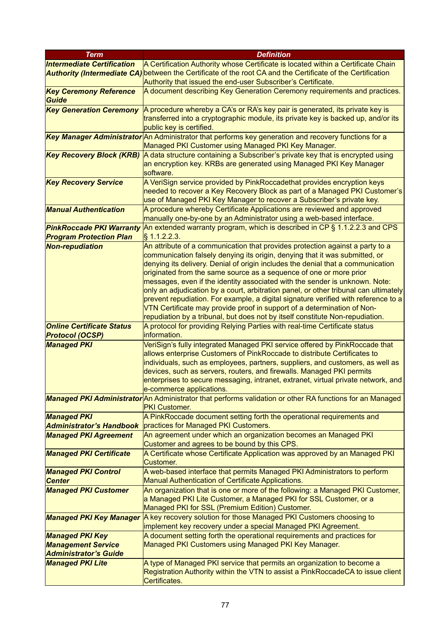| <b>Term</b>                       | <b>Definition</b>                                                                                           |
|-----------------------------------|-------------------------------------------------------------------------------------------------------------|
| <b>Intermediate Certification</b> | A Certification Authority whose Certificate is located within a Certificate Chain                           |
|                                   | Authority (Intermediate CA) between the Certificate of the root CA and the Certificate of the Certification |
|                                   | Authority that issued the end-user Subscriber's Certificate.                                                |
| <b>Key Ceremony Reference</b>     | A document describing Key Generation Ceremony requirements and practices.                                   |
| Guide                             |                                                                                                             |
| <b>Key Generation Ceremony</b>    | A procedure whereby a CA's or RA's key pair is generated, its private key is                                |
|                                   | transferred into a cryptographic module, its private key is backed up, and/or its                           |
|                                   | public key is certified.                                                                                    |
|                                   | Key Manager Administrator An Administrator that performs key generation and recovery functions for a        |
|                                   | Managed PKI Customer using Managed PKI Key Manager.                                                         |
| <b>Key Recovery Block (KRB)</b>   | A data structure containing a Subscriber's private key that is encrypted using                              |
|                                   | an encryption key. KRBs are generated using Managed PKI Key Manager                                         |
|                                   | software.                                                                                                   |
| <b>Key Recovery Service</b>       | A VeriSign service provided by PinkRoccadethat provides encryption keys                                     |
|                                   | needed to recover a Key Recovery Block as part of a Managed PKI Customer's                                  |
|                                   | use of Managed PKI Key Manager to recover a Subscriber's private key.                                       |
| <b>Manual Authentication</b>      | A procedure whereby Certificate Applications are reviewed and approved                                      |
|                                   | manually one-by-one by an Administrator using a web-based interface.                                        |
| <b>PinkRoccade PKI Warranty</b>   | An extended warranty program, which is described in CP § 1.1.2.2.3 and CPS                                  |
| <b>Program Protection Plan</b>    | $\S$ 1.1.2.2.3.                                                                                             |
| <b>Non-repudiation</b>            | An attribute of a communication that provides protection against a party to a                               |
|                                   | communication falsely denying its origin, denying that it was submitted, or                                 |
|                                   | denying its delivery. Denial of origin includes the denial that a communication                             |
|                                   | originated from the same source as a sequence of one or more prior                                          |
|                                   | messages, even if the identity associated with the sender is unknown. Note:                                 |
|                                   | only an adjudication by a court, arbitration panel, or other tribunal can ultimately                        |
|                                   | prevent repudiation. For example, a digital signature verified with reference to a                          |
|                                   | VTN Certificate may provide proof in support of a determination of Non-                                     |
|                                   | repudiation by a tribunal, but does not by itself constitute Non-repudiation.                               |
| <b>Online Certificate Status</b>  | A protocol for providing Relying Parties with real-time Certificate status                                  |
| <b>Protocol (OCSP)</b>            | information.                                                                                                |
| <b>Managed PKI</b>                | VeriSign's fully integrated Managed PKI service offered by PinkRoccade that                                 |
|                                   | allows enterprise Customers of PinkRoccade to distribute Certificates to                                    |
|                                   | individuals, such as employees, partners, suppliers, and customers, as well as                              |
|                                   | devices, such as servers, routers, and firewalls. Managed PKI permits                                       |
|                                   | enterprises to secure messaging, intranet, extranet, virtual private network, and                           |
|                                   | e-commerce applications.                                                                                    |
|                                   | Managed PKI Administrator An Administrator that performs validation or other RA functions for an Managed    |
|                                   | <b>PKI Customer.</b>                                                                                        |
| <b>Managed PKI</b>                | A PinkRoccade document setting forth the operational requirements and                                       |
| <b>Administrator's Handbook</b>   | practices for Managed PKI Customers.                                                                        |
| <b>Managed PKI Agreement</b>      | An agreement under which an organization becomes an Managed PKI                                             |
|                                   | Customer and agrees to be bound by this CPS.                                                                |
| <b>Managed PKI Certificate</b>    | A Certificate whose Certificate Application was approved by an Managed PKI                                  |
|                                   | <b>Customer.</b>                                                                                            |
| <b>Managed PKI Control</b>        | A web-based interface that permits Managed PKI Administrators to perform                                    |
| <b>Center</b>                     | Manual Authentication of Certificate Applications.                                                          |
| <b>Managed PKI Customer</b>       | An organization that is one or more of the following: a Managed PKI Customer,                               |
|                                   | a Managed PKI Lite Customer, a Managed PKI for SSL Customer, or a                                           |
|                                   | Managed PKI for SSL (Premium Edition) Customer.                                                             |
| <b>Managed PKI Key Manager</b>    | A key recovery solution for those Managed PKI Customers choosing to                                         |
|                                   | implement key recovery under a special Managed PKI Agreement.                                               |
| <b>Managed PKI Key</b>            | A document setting forth the operational requirements and practices for                                     |
| <b>Management Service</b>         | Managed PKI Customers using Managed PKI Key Manager.                                                        |
| <b>Administrator's Guide</b>      |                                                                                                             |
| <b>Managed PKI Lite</b>           | A type of Managed PKI service that permits an organization to become a                                      |
|                                   | Registration Authority within the VTN to assist a PinkRoccadeCA to issue client                             |
|                                   | Certificates.                                                                                               |
|                                   |                                                                                                             |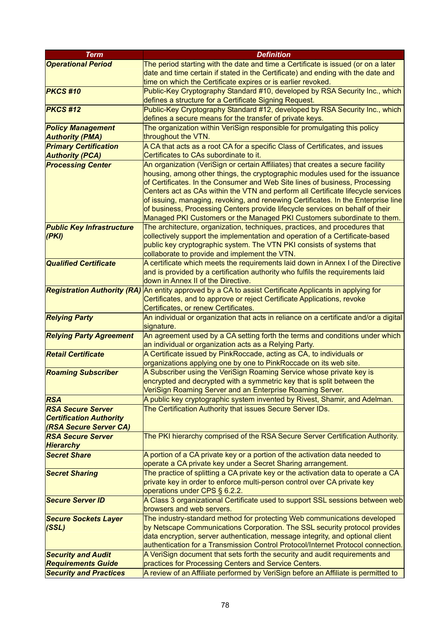| <b>Term</b>                                              | <b>Definition</b>                                                                                                                                                  |
|----------------------------------------------------------|--------------------------------------------------------------------------------------------------------------------------------------------------------------------|
| <b>Operational Period</b>                                | The period starting with the date and time a Certificate is issued (or on a later                                                                                  |
|                                                          | date and time certain if stated in the Certificate) and ending with the date and                                                                                   |
|                                                          | time on which the Certificate expires or is earlier revoked.                                                                                                       |
| <b>PKCS#10</b>                                           | Public-Key Cryptography Standard #10, developed by RSA Security Inc., which                                                                                        |
|                                                          | defines a structure for a Certificate Signing Request.                                                                                                             |
| <b>PKCS#12</b>                                           | Public-Key Cryptography Standard #12, developed by RSA Security Inc., which                                                                                        |
|                                                          | defines a secure means for the transfer of private keys.                                                                                                           |
| <b>Policy Management</b>                                 | The organization within VeriSign responsible for promulgating this policy                                                                                          |
| <b>Authority (PMA)</b>                                   | throughout the VTN.                                                                                                                                                |
| <b>Primary Certification</b>                             | A CA that acts as a root CA for a specific Class of Certificates, and issues                                                                                       |
| <b>Authority (PCA)</b>                                   | Certificates to CAs subordinate to it.                                                                                                                             |
| <b>Processing Center</b>                                 | An organization (VeriSign or certain Affiliates) that creates a secure facility                                                                                    |
|                                                          | housing, among other things, the cryptographic modules used for the issuance                                                                                       |
|                                                          | of Certificates. In the Consumer and Web Site lines of business, Processing                                                                                        |
|                                                          | Centers act as CAs within the VTN and perform all Certificate lifecycle services                                                                                   |
|                                                          | of issuing, managing, revoking, and renewing Certificates. In the Enterprise line                                                                                  |
|                                                          | of business, Processing Centers provide lifecycle services on behalf of their                                                                                      |
|                                                          | Managed PKI Customers or the Managed PKI Customers subordinate to them.                                                                                            |
| <b>Public Key Infrastructure</b>                         | The architecture, organization, techniques, practices, and procedures that                                                                                         |
| (PKI)                                                    | collectively support the implementation and operation of a Certificate-based                                                                                       |
|                                                          | public key cryptographic system. The VTN PKI consists of systems that                                                                                              |
|                                                          | collaborate to provide and implement the VTN.                                                                                                                      |
| <b>Qualified Certificate</b>                             | A certificate which meets the requirements laid down in Annex I of the Directive                                                                                   |
|                                                          | and is provided by a certification authority who fulfils the requirements laid                                                                                     |
|                                                          | down in Annex II of the Directive.                                                                                                                                 |
|                                                          | Registration Authority (RA) An entity approved by a CA to assist Certificate Applicants in applying for                                                            |
|                                                          | Certificates, and to approve or reject Certificate Applications, revoke                                                                                            |
|                                                          | Certificates, or renew Certificates.                                                                                                                               |
|                                                          | An individual or organization that acts in reliance on a certificate and/or a digital                                                                              |
| <b>Relying Party</b>                                     | signature.                                                                                                                                                         |
|                                                          |                                                                                                                                                                    |
| <b>Relying Party Agreement</b>                           | An agreement used by a CA setting forth the terms and conditions under which                                                                                       |
|                                                          | an individual or organization acts as a Relying Party.                                                                                                             |
| <b>Retail Certificate</b>                                | A Certificate issued by PinkRoccade, acting as CA, to individuals or                                                                                               |
|                                                          | organizations applying one by one to PinkRoccade on its web site.                                                                                                  |
| <b>Roaming Subscriber</b>                                | A Subscriber using the VeriSign Roaming Service whose private key is                                                                                               |
|                                                          | encrypted and decrypted with a symmetric key that is split between the<br>VeriSign Roaming Server and an Enterprise Roaming Server.                                |
| <b>RSA</b>                                               | A public key cryptographic system invented by Rivest, Shamir, and Adelman.                                                                                         |
| <b>RSA Secure Server</b>                                 | The Certification Authority that issues Secure Server IDs.                                                                                                         |
|                                                          |                                                                                                                                                                    |
| <b>Certification Authority</b><br>(RSA Secure Server CA) |                                                                                                                                                                    |
| <b>RSA Secure Server</b>                                 | The PKI hierarchy comprised of the RSA Secure Server Certification Authority.                                                                                      |
| <b>Hierarchy</b>                                         |                                                                                                                                                                    |
| <b>Secret Share</b>                                      |                                                                                                                                                                    |
|                                                          | A portion of a CA private key or a portion of the activation data needed to<br>operate a CA private key under a Secret Sharing arrangement.                        |
|                                                          | The practice of splitting a CA private key or the activation data to operate a CA                                                                                  |
| <b>Secret Sharing</b>                                    | private key in order to enforce multi-person control over CA private key                                                                                           |
|                                                          | operations under CPS § 6.2.2.                                                                                                                                      |
| <b>Secure Server ID</b>                                  |                                                                                                                                                                    |
|                                                          | A Class 3 organizational Certificate used to support SSL sessions between web<br>browsers and web servers.                                                         |
|                                                          | The industry-standard method for protecting Web communications developed                                                                                           |
| <b>Secure Sockets Layer</b>                              |                                                                                                                                                                    |
| (SSL)                                                    | by Netscape Communications Corporation. The SSL security protocol provides                                                                                         |
|                                                          | data encryption, server authentication, message integrity, and optional client<br>authentication for a Transmission Control Protocol/Internet Protocol connection. |
|                                                          |                                                                                                                                                                    |
| <b>Security and Audit</b>                                | A VeriSign document that sets forth the security and audit requirements and                                                                                        |
| <b>Requirements Guide</b>                                | practices for Processing Centers and Service Centers.                                                                                                              |
| <b>Security and Practices</b>                            | A review of an Affiliate performed by VeriSign before an Affiliate is permitted to                                                                                 |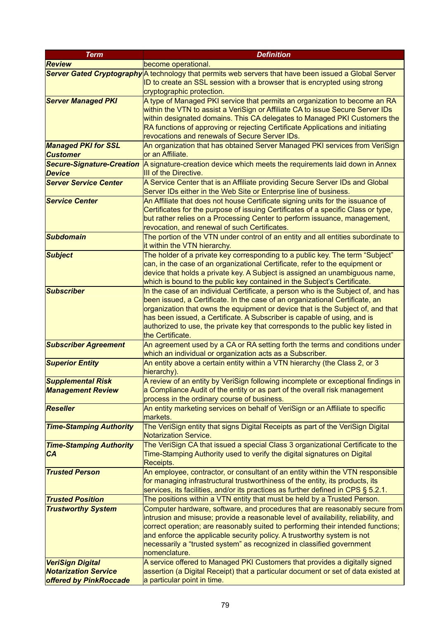| <b>Term</b>                      | <b>Definition</b>                                                                  |
|----------------------------------|------------------------------------------------------------------------------------|
| <b>Review</b>                    | become operational.                                                                |
| <b>Server Gated Cryptography</b> | A technology that permits web servers that have been issued a Global Server        |
|                                  | ID to create an SSL session with a browser that is encrypted using strong          |
|                                  | cryptographic protection.                                                          |
| <b>Server Managed PKI</b>        | A type of Managed PKI service that permits an organization to become an RA         |
|                                  | within the VTN to assist a VeriSign or Affiliate CA to issue Secure Server IDs     |
|                                  | within designated domains. This CA delegates to Managed PKI Customers the          |
|                                  | RA functions of approving or rejecting Certificate Applications and initiating     |
|                                  | revocations and renewals of Secure Server IDs.                                     |
| <b>Managed PKI for SSL</b>       | An organization that has obtained Server Managed PKI services from VeriSign        |
|                                  |                                                                                    |
| <b>Customer</b>                  | or an Affiliate.                                                                   |
| <b>Secure-Signature-Creation</b> | A signature-creation device which meets the requirements laid down in Annex        |
| <b>Device</b>                    | III of the Directive.                                                              |
| <b>Server Service Center</b>     | A Service Center that is an Affiliate providing Secure Server IDs and Global       |
|                                  | Server IDs either in the Web Site or Enterprise line of business.                  |
| <b>Service Center</b>            | An Affiliate that does not house Certificate signing units for the issuance of     |
|                                  | Certificates for the purpose of issuing Certificates of a specific Class or type,  |
|                                  | but rather relies on a Processing Center to perform issuance, management,          |
|                                  | revocation, and renewal of such Certificates.                                      |
| <b>Subdomain</b>                 | The portion of the VTN under control of an entity and all entities subordinate to  |
|                                  | it within the VTN hierarchy.                                                       |
| <b>Subject</b>                   | The holder of a private key corresponding to a public key. The term "Subject"      |
|                                  | can, in the case of an organizational Certificate, refer to the equipment or       |
|                                  | device that holds a private key. A Subject is assigned an unambiguous name,        |
|                                  | which is bound to the public key contained in the Subject's Certificate.           |
| <b>Subscriber</b>                | In the case of an individual Certificate, a person who is the Subject of, and has  |
|                                  |                                                                                    |
|                                  | been issued, a Certificate. In the case of an organizational Certificate, an       |
|                                  | organization that owns the equipment or device that is the Subject of, and that    |
|                                  | has been issued, a Certificate. A Subscriber is capable of using, and is           |
|                                  | authorized to use, the private key that corresponds to the public key listed in    |
|                                  | the Certificate.                                                                   |
| <b>Subscriber Agreement</b>      | An agreement used by a CA or RA setting forth the terms and conditions under       |
|                                  | which an individual or organization acts as a Subscriber.                          |
| <b>Superior Entity</b>           | An entity above a certain entity within a VTN hierarchy (the Class 2, or 3         |
|                                  | hierarchy).                                                                        |
| <b>Supplemental Risk</b>         | A review of an entity by VeriSign following incomplete or exceptional findings in  |
| <b>Management Review</b>         | a Compliance Audit of the entity or as part of the overall risk management         |
|                                  | process in the ordinary course of business.                                        |
| <b>Reseller</b>                  | An entity marketing services on behalf of VeriSign or an Affiliate to specific     |
|                                  | markets.                                                                           |
| <b>Time-Stamping Authority</b>   | The VeriSign entity that signs Digital Receipts as part of the VeriSign Digital    |
|                                  | <b>Notarization Service.</b>                                                       |
| <b>Time-Stamping Authority</b>   | The VeriSign CA that issued a special Class 3 organizational Certificate to the    |
| <b>CA</b>                        | Time-Stamping Authority used to verify the digital signatures on Digital           |
|                                  | Receipts.                                                                          |
| <b>Trusted Person</b>            | An employee, contractor, or consultant of an entity within the VTN responsible     |
|                                  | for managing infrastructural trustworthiness of the entity, its products, its      |
|                                  | services, its facilities, and/or its practices as further defined in CPS § 5.2.1.  |
| <b>Trusted Position</b>          | The positions within a VTN entity that must be held by a Trusted Person.           |
| <b>Trustworthy System</b>        | Computer hardware, software, and procedures that are reasonably secure from        |
|                                  | intrusion and misuse; provide a reasonable level of availability, reliability, and |
|                                  | correct operation; are reasonably suited to performing their intended functions;   |
|                                  | and enforce the applicable security policy. A trustworthy system is not            |
|                                  | necessarily a "trusted system" as recognized in classified government              |
|                                  | nomenclature.                                                                      |
|                                  |                                                                                    |
| <b>VeriSign Digital</b>          | A service offered to Managed PKI Customers that provides a digitally signed        |
| <b>Notarization Service</b>      | assertion (a Digital Receipt) that a particular document or set of data existed at |
| offered by PinkRoccade           | a particular point in time.                                                        |